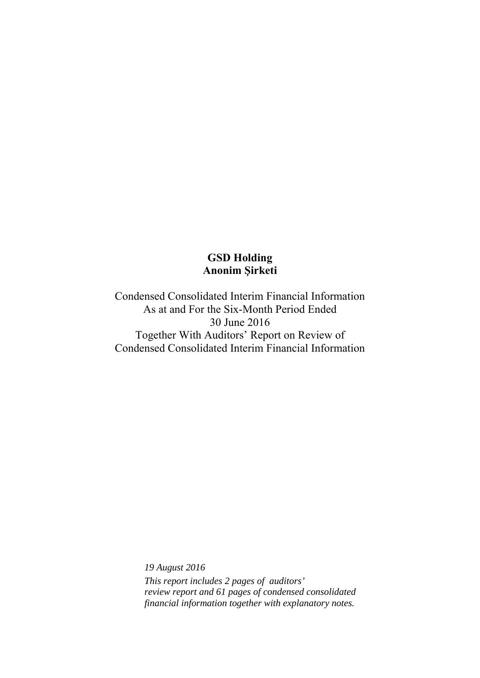Condensed Consolidated Interim Financial Information As at and For the Six-Month Period Ended 30 June 2016 Together With Auditors' Report on Review of Condensed Consolidated Interim Financial Information

> *19 August 2016 This report includes 2 pages of auditors' review report and 61 pages of condensed consolidated financial information together with explanatory notes.*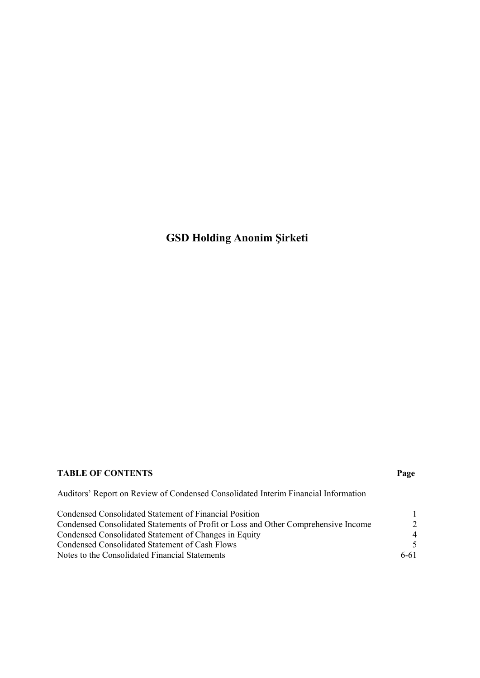# **TABLE OF CONTENTS Page**

Auditors' Report on Review of Condensed Consolidated Interim Financial Information

| Condensed Consolidated Statement of Financial Position                             |                |
|------------------------------------------------------------------------------------|----------------|
| Condensed Consolidated Statements of Profit or Loss and Other Comprehensive Income |                |
| Condensed Consolidated Statement of Changes in Equity                              | $\overline{4}$ |
| Condensed Consolidated Statement of Cash Flows                                     | $\sim$         |
| Notes to the Consolidated Financial Statements                                     | 6-61           |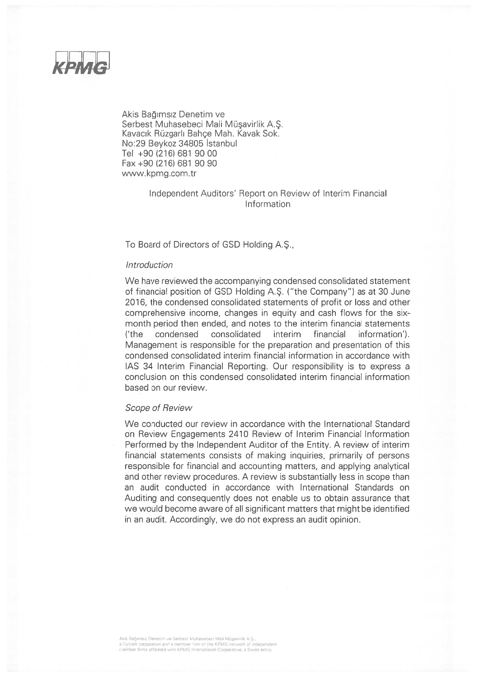

Akis Bağımsız Denetim ve Serbest Muhasebeci Mali Müsavirlik A.S. Kavacık Rüzgarlı Bahçe Mah. Kavak Sok. No:29 Beykoz 34805 İstanbul Tel +90 (216) 681 90 00 Fax +90 (216) 681 90 90 www.kpmg.com.tr

# Independent Auditors' Report on Review of Interim Financial Information

### To Board of Directors of GSD Holding A.S.,

#### Introduction

We have reviewed the accompanying condensed consolidated statement of financial position of GSD Holding A.S. ("the Company") as at 30 June 2016, the condensed consolidated statements of profit or loss and other comprehensive income, changes in equity and cash flows for the sixmonth period then ended, and notes to the interim financial statements consolidated interim financial  $('the$ condensed information'). Management is responsible for the preparation and presentation of this condensed consolidated interim financial information in accordance with IAS 34 Interim Financial Reporting. Our responsibility is to express a conclusion on this condensed consolidated interim financial information based on our review

#### **Scope of Review**

We conducted our review in accordance with the International Standard on Review Engagements 2410 Review of Interim Financial Information Performed by the Independent Auditor of the Entity. A review of interim financial statements consists of making inquiries, primarily of persons responsible for financial and accounting matters, and applying analytical and other review procedures. A review is substantially less in scope than an audit conducted in accordance with International Standards on Auditing and consequently does not enable us to obtain assurance that we would become aware of all significant matters that might be identified in an audit. Accordingly, we do not express an audit opinion.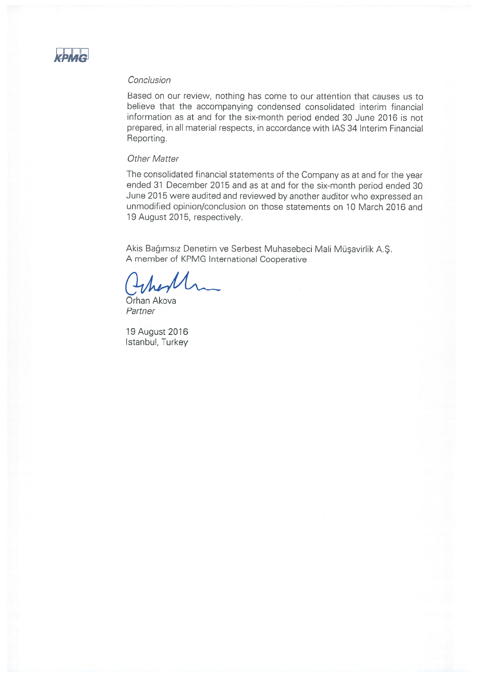

### Conclusion

Based on our review, nothing has come to our attention that causes us to believe that the accompanying condensed consolidated interim financial information as at and for the six-month period ended 30 June 2016 is not prepared, in all material respects, in accordance with IAS 34 Interim Financial Reporting.

# **Other Matter**

The consolidated financial statements of the Company as at and for the year ended 31 December 2015 and as at and for the six-month period ended 30 June 2015 were audited and reviewed by another auditor who expressed an unmodified opinion/conclusion on those statements on 10 March 2016 and 19 August 2015, respectively.

Akis Bağımsız Denetim ve Serbest Muhasebeci Mali Müşavirlik A.Ş. A member of KPMG International Cooperative

Orhan Akova Partner

19 August 2016 Istanbul, Turkey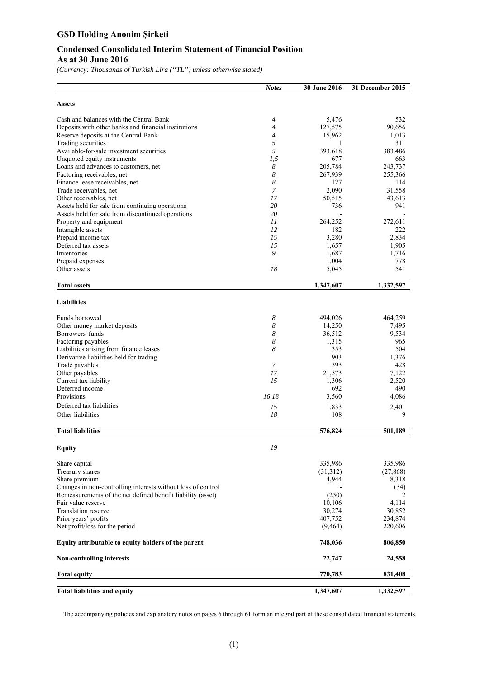# **Condensed Consolidated Interim Statement of Financial Position As at 30 June 2016**

*(Currency: Thousands of Turkish Lira ("TL") unless otherwise stated)* 

|                                                              | <b>Notes</b>   | <b>30 June 2016</b> | 31 December 2015 |
|--------------------------------------------------------------|----------------|---------------------|------------------|
| <b>Assets</b>                                                |                |                     |                  |
| Cash and balances with the Central Bank                      | $\overline{4}$ | 5,476               | 532              |
| Deposits with other banks and financial institutions         | $\overline{4}$ | 127,575             | 90,656           |
| Reserve deposits at the Central Bank                         | $\overline{4}$ | 15,962              | 1,013            |
| Trading securities                                           | 5              | 1                   | 311              |
| Available-for-sale investment securities                     | 5              | 393.618             | 383.486          |
| Unquoted equity instruments                                  | 1,5            | 677                 | 663              |
| Loans and advances to customers, net                         | 8              | 205,784             | 243,737          |
| Factoring receivables, net                                   | 8              | 267,939             | 255,366          |
| Finance lease receivables, net                               | 8              | 127                 | 114              |
| Trade receivables, net                                       | 7              | 2,090               | 31.558           |
| Other receivables, net                                       | 17             | 50,515              | 43,613           |
| Assets held for sale from continuing operations              | 20             | 736                 | 941              |
| Assets held for sale from discontinued operations            | 20             |                     |                  |
| Property and equipment                                       | 11             | 264,252             | 272,611          |
| Intangible assets                                            | 12             | 182                 | 222              |
| Prepaid income tax                                           | 15             | 3,280               | 2,834            |
| Deferred tax assets                                          | 15             | 1,657               | 1,905            |
| Inventories                                                  | 9              | 1,687               | 1,716            |
| Prepaid expenses<br>Other assets                             | 18             | 1,004               | 778<br>541       |
|                                                              |                | 5,045               |                  |
| <b>Total assets</b>                                          |                | 1,347,607           | 1,332,597        |
| <b>Liabilities</b>                                           |                |                     |                  |
| Funds borrowed                                               | 8              | 494,026             | 464,259          |
| Other money market deposits                                  | 8              | 14,250              | 7,495            |
| Borrowers' funds                                             | 8              | 36,512              | 9,534            |
| Factoring payables                                           | 8              | 1,315               | 965              |
| Liabilities arising from finance leases                      | 8              | 353                 | 504              |
| Derivative liabilities held for trading                      |                | 903                 | 1,376            |
| Trade payables                                               | $\overline{7}$ | 393                 | 428              |
| Other payables                                               | 17             | 21,573              | 7,122            |
| Current tax liability                                        | 15             | 1,306               | 2,520            |
| Deferred income                                              |                | 692                 | 490              |
| Provisions                                                   | 16,18          | 3,560               | 4,086            |
| Deferred tax liabilities                                     | 15             | 1,833               | 2,401            |
| Other liabilities                                            | 18             | 108                 | 9                |
| <b>Total liabilities</b>                                     |                | 576,824             | 501,189          |
| <b>Equity</b>                                                | 19             |                     |                  |
|                                                              |                |                     |                  |
| Share capital                                                |                | 335,986             | 335,986          |
| Treasury shares                                              |                | (31,312)            | (27, 868)        |
| Share premium                                                |                | 4,944               | 8,318            |
| Changes in non-controlling interests without loss of control |                |                     | (34)             |
| Remeasurements of the net defined benefit liability (asset)  |                | (250)               | 2                |
| Fair value reserve                                           |                | 10,106              | 4,114            |
| Translation reserve                                          |                | 30,274              | 30,852           |
| Prior years' profits                                         |                | 407,752             | 234,874          |
| Net profit/loss for the period                               |                | (9, 464)            | 220,606          |
| Equity attributable to equity holders of the parent          |                | 748,036             | 806,850          |
| <b>Non-controlling interests</b>                             |                | 22,747              | 24,558           |
| <b>Total equity</b>                                          |                | 770,783             | 831,408          |
| <b>Total liabilities and equity</b>                          |                | 1,347,607           | 1,332,597        |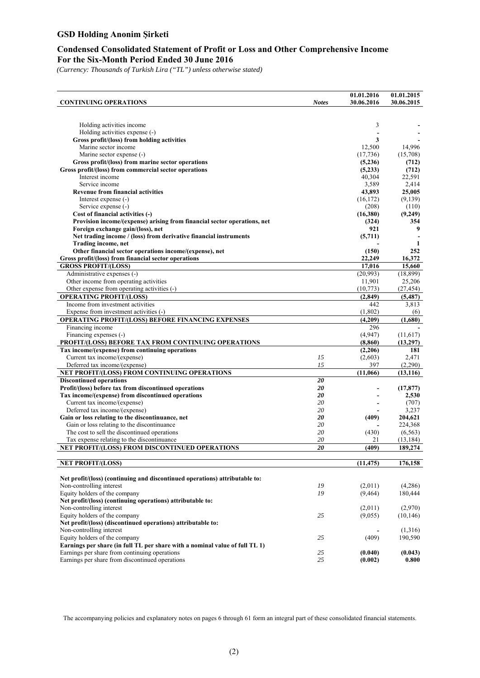### **Condensed Consolidated Statement of Profit or Loss and Other Comprehensive Income For the Six-Month Period Ended 30 June 2016**

*(Currency: Thousands of Turkish Lira ("TL") unless otherwise stated)* 

|                                                                               |                 | 01.01.2016         | 01.01.2015          |
|-------------------------------------------------------------------------------|-----------------|--------------------|---------------------|
| <b>CONTINUING OPERATIONS</b>                                                  | <b>Notes</b>    | 30.06.2016         | 30.06.2015          |
|                                                                               |                 |                    |                     |
|                                                                               |                 |                    |                     |
| Holding activities income                                                     |                 | 3                  |                     |
| Holding activities expense (-)                                                |                 |                    |                     |
| Gross profit/(loss) from holding activities<br>Marine sector income           |                 | 3                  |                     |
|                                                                               |                 | 12,500             | 14,996              |
| Marine sector expense (-)                                                     |                 | (17,736)           | (15,708)            |
| Gross profit/(loss) from marine sector operations                             |                 | (5,236)            | (712)               |
| Gross profit/(loss) from commercial sector operations<br>Interest income      |                 | (5,233)            | (712)               |
| Service income                                                                |                 | 40,304             | 22,591              |
|                                                                               |                 | 3,589              | 2,414               |
| <b>Revenue from financial activities</b>                                      |                 | 43,893             | 25,005              |
| Interest expense (-)<br>Service expense (-)                                   |                 | (16, 172)<br>(208) | (9,139)<br>(110)    |
| Cost of financial activities (-)                                              |                 | (16,380)           | (9,249)             |
| Provision income/(expense) arising from financial sector operations, net      |                 | (324)              | 354                 |
| Foreign exchange gain/(loss), net                                             |                 | 921                | 9                   |
| Net trading income / (loss) from derivative financial instruments             |                 | (5,711)            |                     |
| Trading income, net                                                           |                 |                    | 1                   |
| Other financial sector operations income/(expense), net                       |                 | (150)              | 252                 |
| Gross profit/(loss) from financial sector operations                          |                 | 22,249             | 16,372              |
| <b>GROSS PROFIT/(LOSS)</b>                                                    |                 | 17,016             | 15,660              |
| Administrative expenses (-)                                                   |                 |                    |                     |
|                                                                               |                 | (20,993)<br>11,901 | (18, 899)<br>25,206 |
| Other income from operating activities                                        |                 |                    |                     |
| Other expense from operating activities (-)<br><b>OPERATING PROFIT/(LOSS)</b> |                 | (10,773)           | (27, 454)           |
|                                                                               |                 | (2, 849)           | (5, 487)            |
| Income from investment activities                                             |                 | 442                | 3,813               |
| Expense from investment activities (-)                                        |                 | (1,802)            | (6)                 |
| OPERATING PROFIT/(LOSS) BEFORE FINANCING EXPENSES                             |                 | (4,209)            | (1,680)             |
| Financing income                                                              |                 | 296                |                     |
| Financing expenses (-)                                                        |                 | (4,947)            | (11,617)            |
| PROFIT/(LOSS) BEFORE TAX FROM CONTINUING OPERATIONS                           |                 | (8, 860)           | (13,297)            |
| Tax income/(expense) from continuing operations                               |                 | (2,206)            | 181                 |
| Current tax income/(expense)                                                  | 15              | (2,603)            | 2,471               |
| Deferred tax income/(expense)                                                 | 15              | 397                | (2,290)             |
| NET PROFIT/(LOSS) FROM CONTINUING OPERATIONS                                  |                 | (11,066)           | (13, 116)           |
| <b>Discontinued operations</b>                                                | 20              |                    |                     |
| Profit/(loss) before tax from discontinued operations                         | 20              |                    | (17, 877)           |
| Tax income/(expense) from discontinued operations                             | 20              |                    | 2,530               |
| Current tax income/(expense)                                                  | 20              |                    | (707)               |
| Deferred tax income/(expense)                                                 | 20              |                    | 3,237               |
| Gain or loss relating to the discontinuance, net                              | 20              | (409)              | 204,621             |
| Gain or loss relating to the discontinuance                                   | 20              |                    | 224,368             |
| The cost to sell the discontinued operations                                  | 20              | (430)              | (6, 563)            |
| Tax expense relating to the discontinuance                                    | 20              | 21                 | (13, 184)           |
| NET PROFIT/(LOSS) FROM DISCONTINUED OPERATIONS                                | $\overline{20}$ | (409)              | 189,274             |
|                                                                               |                 |                    |                     |
| <b>NET PROFIT/(LOSS)</b>                                                      |                 | (11, 475)          | 176,158             |
|                                                                               |                 |                    |                     |
| Net profit/(loss) (continuing and discontinued operations) attributable to:   |                 |                    |                     |
| Non-controlling interest                                                      | 19              | (2,011)            | (4,286)             |
| Equity holders of the company                                                 | 19              | (9, 464)           | 180,444             |
| Net profit/(loss) (continuing operations) attributable to:                    |                 |                    |                     |
| Non-controlling interest                                                      |                 | (2,011)            | (2,970)             |
| Equity holders of the company                                                 | 25              | (9,055)            | (10, 146)           |
| Net profit/(loss) (discontinued operations) attributable to:                  |                 |                    |                     |
| Non-controlling interest                                                      |                 |                    | (1,316)             |
| Equity holders of the company                                                 | 25              | (409)              | 190,590             |
| Earnings per share (in full TL per share with a nominal value of full TL 1)   |                 |                    |                     |
| Earnings per share from continuing operations                                 | 25              | (0.040)            | (0.043)             |
| Earnings per share from discontinued operations                               | 25              | (0.002)            | 0.800               |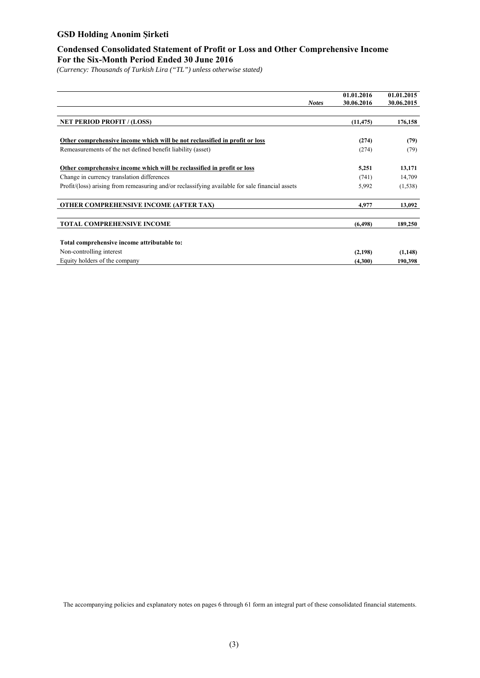# **Condensed Consolidated Statement of Profit or Loss and Other Comprehensive Income For the Six-Month Period Ended 30 June 2016**

*(Currency: Thousands of Turkish Lira ("TL") unless otherwise stated)* 

|                                                                                                 | <b>Notes</b> | 01.01.2016<br>30.06.2016 | 01.01.2015<br>30.06.2015 |
|-------------------------------------------------------------------------------------------------|--------------|--------------------------|--------------------------|
|                                                                                                 |              |                          |                          |
| <b>NET PERIOD PROFIT / (LOSS)</b>                                                               |              | (11, 475)                | 176,158                  |
|                                                                                                 |              |                          |                          |
| Other comprehensive income which will be not reclassified in profit or loss                     |              | (274)                    | (79)                     |
| Remeasurements of the net defined benefit liability (asset)                                     |              | (274)                    | (79)                     |
|                                                                                                 |              |                          |                          |
| Other comprehensive income which will be reclassified in profit or loss                         |              | 5,251                    | 13,171                   |
| Change in currency translation differences                                                      |              | (741)                    | 14,709                   |
| Profit/(loss) arising from remeasuring and/or reclassifying available for sale financial assets |              | 5,992                    | (1,538)                  |
| <b>OTHER COMPREHENSIVE INCOME (AFTER TAX)</b>                                                   |              | 4.977                    | 13,092                   |
| <b>TOTAL COMPREHENSIVE INCOME</b>                                                               |              | (6, 498)                 | 189,250                  |
| Total comprehensive income attributable to:                                                     |              |                          |                          |
|                                                                                                 |              |                          |                          |
| Non-controlling interest                                                                        |              | (2,198)                  | (1,148)                  |
| Equity holders of the company                                                                   |              | (4,300)                  | 190,398                  |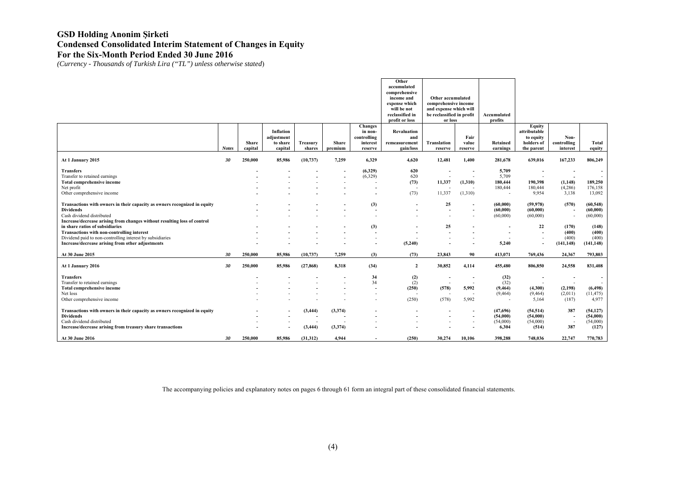*(Currency - Thousands of Turkish Lira ("TL") unless otherwise stated*)

|                                                                                                                                                                                                        |              |                  |                                                |                                                  |                    |                                                                 | Other<br>accumulated<br>comprehensive<br>income and<br>expense which<br>will be not<br>reclassified in | Other accumulated<br>comprehensive income<br>and expense which will<br>be reclassified in profit |                                                                                  | Accumulated<br>profits                                           |                                                                        |                                                                                      |                                                            |
|--------------------------------------------------------------------------------------------------------------------------------------------------------------------------------------------------------|--------------|------------------|------------------------------------------------|--------------------------------------------------|--------------------|-----------------------------------------------------------------|--------------------------------------------------------------------------------------------------------|--------------------------------------------------------------------------------------------------|----------------------------------------------------------------------------------|------------------------------------------------------------------|------------------------------------------------------------------------|--------------------------------------------------------------------------------------|------------------------------------------------------------|
|                                                                                                                                                                                                        | <b>Notes</b> | Share<br>capital | Inflation<br>adjustment<br>to share<br>capital | Treasury<br>shares                               | Share<br>premium   | <b>Changes</b><br>in non-<br>controlling<br>interest<br>reserve | profit or loss<br>Revaluation<br>and<br>remeasurement<br>gain/loss                                     | or loss<br>Translation<br>reserve                                                                | Fair<br>value<br>reserve                                                         | Retained<br>earnings                                             | <b>Equity</b><br>attributable<br>to equity<br>holders of<br>the parent | Non-<br>controlling<br>interest                                                      | Total<br>equity                                            |
| At 1 January 2015                                                                                                                                                                                      | 30           | 250,000          | 85,986                                         | (10, 737)                                        | 7.259              | 6,329                                                           | 4,620                                                                                                  | 12,481                                                                                           | 1,400                                                                            | 281,678                                                          | 639,016                                                                | 167,233                                                                              | 806,249                                                    |
| <b>Transfers</b><br>Transfer to retained earnings<br>Total comprehensive income<br>Net profit<br>Other comprehensive income                                                                            |              |                  |                                                |                                                  |                    | (6,329)<br>(6,329)                                              | 620<br>620<br>(73)<br>$\overline{\phantom{a}}$<br>(73)                                                 | $\overline{\phantom{a}}$<br>11,337<br>11,337                                                     | $\overline{\phantom{a}}$<br>$\overline{\phantom{a}}$<br>(1,310)<br>(1,310)       | 5,709<br>5,709<br>180,444<br>180,444<br>$\overline{\phantom{a}}$ | 190,398<br>180,444<br>9,954                                            | $\overline{\phantom{a}}$<br>$\overline{\phantom{a}}$<br>(1, 148)<br>(4,286)<br>3,138 | $\overline{\phantom{a}}$<br>189,250<br>176,158<br>13,092   |
| Transactions with owners in their capacity as owners recognized in equity<br><b>Dividends</b><br>Cash dividend distributed<br>Increase/decrease arising from changes without resulting loss of control |              |                  |                                                |                                                  |                    | (3)<br>$\overline{\phantom{a}}$                                 | $\overline{\phantom{a}}$                                                                               | 25<br>$\overline{\phantom{a}}$                                                                   | $\overline{\phantom{a}}$<br>$\overline{\phantom{a}}$                             | (60,000)<br>(60,000)<br>(60,000)                                 | (59, 978)<br>(60,000)<br>(60,000)                                      | (570)<br>$\overline{\phantom{a}}$<br>$\overline{\phantom{a}}$                        | (60, 548)<br>(60,000)<br>(60,000)                          |
| in share ratios of subsidiaries<br>Transactions with non-controlling interest<br>Dividend paid to non-controlling interest by subsidiaries<br>Increase/decrease arising from other adjustments         |              |                  |                                                |                                                  |                    | (3)                                                             | (5,240)                                                                                                | 25                                                                                               | $\overline{\phantom{a}}$                                                         | $\overline{\phantom{a}}$<br>5,240                                | 22                                                                     | (170)<br>(400)<br>(400)<br>(141, 148)                                                | (148)<br>(400)<br>(400)<br>(141, 148)                      |
| At 30 June 2015                                                                                                                                                                                        | 30           | 250,000          | 85,986                                         | (10, 737)                                        | 7,259              | (3)                                                             | (73)                                                                                                   | 23,843                                                                                           | 90                                                                               | 413,071                                                          | 769.436                                                                | 24,367                                                                               | 793,803                                                    |
| At 1 January 2016                                                                                                                                                                                      | 30           | 250,000          | 85,986                                         | (27, 868)                                        | 8.318              | (34)                                                            | $\overline{2}$                                                                                         | 30,852                                                                                           | 4,114                                                                            | 455,480                                                          | 806,850                                                                | 24,558                                                                               | 831,408                                                    |
| <b>Transfers</b><br>Transfer to retained earnings<br><b>Total comprehensive income</b><br>Net loss<br>Other comprehensive income                                                                       |              |                  |                                                |                                                  |                    | 34<br>34<br>$\overline{\phantom{a}}$                            | (2)<br>(2)<br>(250)<br>(250)                                                                           | $\overline{\phantom{a}}$<br>(578)<br>(578)                                                       | $\overline{\phantom{a}}$<br>$\sim$<br>5,992<br>5,992                             | (32)<br>(32)<br>(9, 464)<br>(9, 464)                             | $\overline{\phantom{a}}$<br>(4,300)<br>(9, 464)<br>5,164               | $\overline{\phantom{a}}$<br>$\overline{\phantom{a}}$<br>(2,198)<br>(2,011)<br>(187)  | $\overline{\phantom{a}}$<br>(6, 498)<br>(11, 475)<br>4,977 |
| Transactions with owners in their capacity as owners recognized in equity<br><b>Dividends</b><br>Cash dividend distributed<br>Increase/decrease arising from treasury share transactions               |              |                  | $\overline{\phantom{a}}$                       | (3, 444)<br>$\overline{\phantom{a}}$<br>(3, 444) | (3,374)<br>(3,374) |                                                                 | $\overline{\phantom{a}}$                                                                               | $\overline{\phantom{a}}$                                                                         | $\overline{\phantom{a}}$<br>$\overline{\phantom{a}}$<br>$\overline{\phantom{a}}$ | (47,696)<br>(54,000)<br>(54,000)<br>6,304                        | (54, 514)<br>(54,000)<br>(54,000)<br>(514)                             | 387<br>$\overline{\phantom{a}}$<br>$\overline{\phantom{a}}$<br>387                   | (54, 127)<br>(54,000)<br>(54,000)<br>(127)                 |
| At 30 June 2016                                                                                                                                                                                        | 30           | 250,000          | 85,986                                         | (31,312)                                         | 4,944              |                                                                 | (250)                                                                                                  | 30,274                                                                                           | 10,106                                                                           | 398,288                                                          | 748,036                                                                | 22,747                                                                               | 770,783                                                    |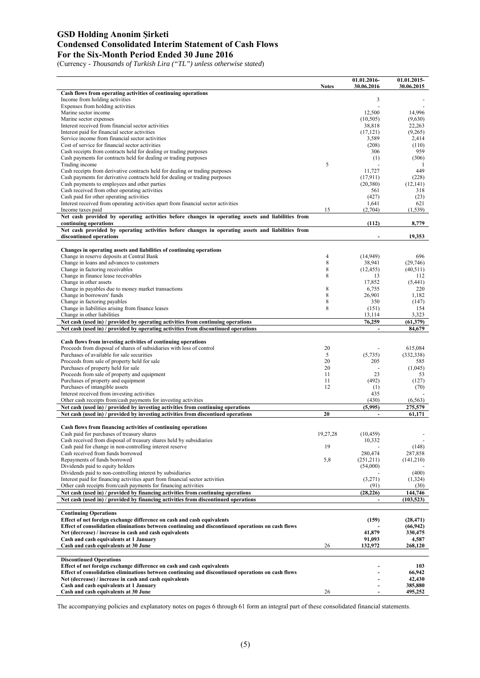(Currency - *Thousands of Turkish Lira ("TL") unless otherwise stated*)

|                                                                                                                                                     | <b>Notes</b> | 01.01.2016-<br>30.06.2016 | 01.01.2015-<br>30.06.2015 |
|-----------------------------------------------------------------------------------------------------------------------------------------------------|--------------|---------------------------|---------------------------|
| Cash flows from operating activities of continuing operations                                                                                       |              |                           |                           |
| Income from holding activities                                                                                                                      |              | 3                         |                           |
| Expenses from holding activities                                                                                                                    |              |                           |                           |
| Marine sector income<br>Marine sector expenses                                                                                                      |              | 12,500<br>(10, 505)       | 14,996<br>(9,630)         |
| Interest received from financial sector activities                                                                                                  |              | 38,818                    | 22,263                    |
| Interest paid for financial sector activities                                                                                                       |              | (17, 121)                 | (9,265)                   |
| Service income from financial sector activities                                                                                                     |              | 3,589                     | 2,414                     |
| Cost of service for financial sector activities                                                                                                     |              | (208)                     | (110)                     |
| Cash receipts from contracts held for dealing or trading purposes                                                                                   |              | 306                       | 959                       |
| Cash payments for contracts held for dealing or trading purposes                                                                                    |              | (1)                       | (306)                     |
| Trading income<br>Cash receipts from derivative contracts held for dealing or trading purposes                                                      | 5            | 11,727                    | -1<br>449                 |
| Cash payments for derivative contracts held for dealing or trading purposes                                                                         |              | (17,911)                  | (228)                     |
| Cash payments to employees and other parties                                                                                                        |              | (20, 380)                 | (12, 141)                 |
| Cash received from other operating activities                                                                                                       |              | 561                       | 318                       |
| Cash paid for other operating activities                                                                                                            |              | (427)                     | (23)                      |
| Interest received from operating activities apart from financial sector activities                                                                  |              | 1,641                     | 621                       |
| Income taxes paid                                                                                                                                   | 15           | (2,704)                   | (1, 539)                  |
| Net cash provided by operating activities before changes in operating assets and liabilities from                                                   |              |                           |                           |
| continuing operations<br>Net cash provided by operating activities before changes in operating assets and liabilities from                          |              | (112)                     | 8,779                     |
| discontinued operations                                                                                                                             |              |                           | 19,353                    |
| Changes in operating assets and liabilities of continuing operations                                                                                |              |                           |                           |
| Change in reserve deposits at Central Bank                                                                                                          | 4            | (14.949)                  | 696                       |
| Change in loans and advances to customers                                                                                                           | 8            | 38,941                    | (29,746)                  |
| Change in factoring receivables                                                                                                                     | 8            | (12, 455)                 | (40,511)                  |
| Change in finance lease receivables                                                                                                                 | 8            | 13                        | 112                       |
| Change in other assets                                                                                                                              |              | 17,852                    | (5, 441)                  |
| Change in payables due to money market transactions                                                                                                 | 8            | 6,755                     | 220                       |
| Change in borrowers' funds                                                                                                                          | 8            | 26,901                    | 1,182                     |
| Change in factoring payables<br>Change in liabilities arising from finance leases                                                                   | 8<br>8       | 350                       | (147)                     |
| Change in other liabilities                                                                                                                         |              | (151)<br>13,114           | 154<br>3,323              |
| Net cash (used in) / provided by operating activities from continuing operations                                                                    |              | 76,259                    | (61, 379)                 |
| Net cash (used in) / provided by operating activities from discontinued operations                                                                  |              | $\blacksquare$            | 84,679                    |
|                                                                                                                                                     |              |                           |                           |
| Cash flows from investing activities of continuing operations                                                                                       |              |                           |                           |
| Proceeds from disposal of shares of subsidiaries with loss of control<br>Purchases of available for sale securities                                 | 20<br>5      | (5,735)                   | 615,084<br>(332, 338)     |
| Proceeds from sale of property held for sale                                                                                                        | 20           | 205                       | 585                       |
| Purchases of property held for sale                                                                                                                 | 20           | L.                        | (1,045)                   |
| Proceeds from sale of property and equipment                                                                                                        | 11           | 23                        | 53                        |
| Purchases of property and equipment                                                                                                                 | 11           | (492)                     | (127)                     |
| Purchases of intangible assets                                                                                                                      | 12           | (1)                       | (70)                      |
| Interest received from investing activities                                                                                                         |              | 435                       |                           |
| Other cash receipts from/cash payments for investing activities<br>Net cash (used in) / provided by investing activities from continuing operations |              | (430)<br>(5,995)          | (6, 563)<br>275,579       |
| Net cash (used in) / provided by investing activities from discontiued operations                                                                   | 20           | $\blacksquare$            | 61,171                    |
|                                                                                                                                                     |              |                           |                           |
| Cash flows from financing activities of continuing operations                                                                                       |              |                           |                           |
| Cash paid for purchases of treasury shares                                                                                                          | 19,27,28     | (10, 459)                 |                           |
| Cash received from disposal of treasury shares held by subsidiaries                                                                                 |              | 10,332                    |                           |
| Cash paid for change in non-controlling interest reserve<br>Cash received from funds borrowed                                                       | 19           | 280,474                   | (148)<br>287,858          |
| Repayments of funds borrowed                                                                                                                        | 5,8          | (251,211)                 | (141,210)                 |
| Dividends paid to equity holders                                                                                                                    |              | (54,000)                  |                           |
| Dividends paid to non-controlling interest by subsidiaries                                                                                          |              |                           | (400)                     |
| Interest paid for financing activities apart from financial sector activities                                                                       |              | (3,271)                   | (1,324)                   |
| Other cash receipts from/cash payments for financing activities                                                                                     |              | (91)                      | (30)                      |
| Net cash (used in) / provided by financing activities from continuing operations                                                                    |              | (28, 226)                 | 144,746                   |
| Net cash (used in) / provided by financing activities from discontinued operations                                                                  |              | $\overline{a}$            | (103, 523)                |
| <b>Continuing Operations</b>                                                                                                                        |              |                           |                           |
| Effect of net foreign exchange difference on cash and cash equivalents                                                                              |              | (159)                     | (28, 471)                 |
| Effect of consolidation eliminations between continuing and discontinued operations on cash flows                                                   |              |                           | (66, 942)                 |
| Net (decrease) / increase in cash and cash equivalents                                                                                              |              | 41,879                    | 330,475                   |
| Cash and cash equivalents at 1 January                                                                                                              |              | 91,093                    | 4,587                     |
| Cash and cash equivalents at 30 June                                                                                                                | 26           | 132,972                   | 268,120                   |
| <b>Discontinued Operations</b>                                                                                                                      |              |                           |                           |
| Effect of net foreign exchange difference on cash and cash equivalents                                                                              |              |                           | 103                       |
| Effect of consolidation eliminations between continuing and discontinued operations on cash flows                                                   |              |                           | 66,942                    |
| Net (decrease) / increase in cash and cash equivalents                                                                                              |              |                           | 42,430                    |
| Cash and cash equivalents at 1 January<br>Cash and cash equivalents at 30 June                                                                      | 26           |                           | 385,880<br>495,252        |
|                                                                                                                                                     |              |                           |                           |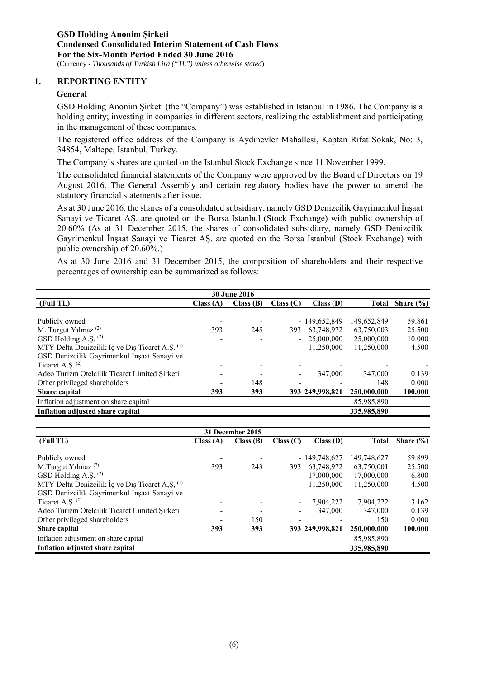#### **1. REPORTING ENTITY**

#### **General**

GSD Holding Anonim Şirketi (the "Company") was established in Istanbul in 1986. The Company is a holding entity; investing in companies in different sectors, realizing the establishment and participating in the management of these companies.

The registered office address of the Company is Aydınevler Mahallesi, Kaptan Rıfat Sokak, No: 3, 34854, Maltepe, Istanbul, Turkey.

The Company's shares are quoted on the Istanbul Stock Exchange since 11 November 1999.

The consolidated financial statements of the Company were approved by the Board of Directors on 19 August 2016. The General Assembly and certain regulatory bodies have the power to amend the statutory financial statements after issue.

As at 30 June 2016, the shares of a consolidated subsidiary, namely GSD Denizcilik Gayrimenkul İnşaat Sanayi ve Ticaret AŞ. are quoted on the Borsa Istanbul (Stock Exchange) with public ownership of 20.60% (As at 31 December 2015, the shares of consolidated subsidiary, namely GSD Denizcilik Gayrimenkul İnşaat Sanayi ve Ticaret AŞ. are quoted on the Borsa Istanbul (Stock Exchange) with public ownership of 20.60%.)

As at 30 June 2016 and 31 December 2015, the composition of shareholders and their respective percentages of ownership can be summarized as follows:

| <b>30 June 2016</b>                             |           |          |           |                 |             |               |  |  |  |  |
|-------------------------------------------------|-----------|----------|-----------|-----------------|-------------|---------------|--|--|--|--|
| (Full TL)                                       | Class (A) | Class(B) | Class (C) | Class(D)        | Total       | Share $(\% )$ |  |  |  |  |
|                                                 |           |          |           |                 |             |               |  |  |  |  |
| Publicly owned                                  |           |          |           | $-149,652,849$  | 149,652,849 | 59.861        |  |  |  |  |
| M. Turgut Yılmaz <sup>(2)</sup>                 | 393       | 245      | 393       | 63,748,972      | 63,750,003  | 25.500        |  |  |  |  |
| GSD Holding A.S. <sup>(2)</sup>                 |           |          |           | $-25,000,000$   | 25,000,000  | 10.000        |  |  |  |  |
| MTY Delta Denizcilik İç ve Dış Ticaret A.Ş. (1) |           |          |           | 11,250,000      | 11,250,000  | 4.500         |  |  |  |  |
| GSD Denizcilik Gayrimenkul İnşaat Sanayi ve     |           |          |           |                 |             |               |  |  |  |  |
| Ticaret A.S. $(2)$                              |           |          |           |                 |             |               |  |  |  |  |
| Adeo Turizm Otelcilik Ticaret Limited Şirketi   |           |          |           | 347,000         | 347,000     | 0.139         |  |  |  |  |
| Other privileged shareholders                   |           | 148      |           |                 | 148         | 0.000         |  |  |  |  |
| <b>Share capital</b>                            | 393       | 393      |           | 393 249,998,821 | 250,000,000 | 100.000       |  |  |  |  |
| Inflation adjustment on share capital           |           |          |           |                 | 85,985,890  |               |  |  |  |  |
| Inflation adjusted share capital                |           |          |           |                 | 335,985,890 |               |  |  |  |  |

| 31 December 2015                                            |          |          |           |                 |              |               |  |  |  |  |
|-------------------------------------------------------------|----------|----------|-----------|-----------------|--------------|---------------|--|--|--|--|
| (Full TL)                                                   | Class(A) | Class(B) | Class (C) | Class(D)        | <b>Total</b> | Share $(\% )$ |  |  |  |  |
|                                                             |          |          |           |                 |              |               |  |  |  |  |
| Publicly owned                                              |          |          |           | $-149,748,627$  | 149,748,627  | 59.899        |  |  |  |  |
| M.Turgut Yılmaz <sup>(2)</sup>                              | 393      | 243      | 393       | 63,748,972      | 63,750,001   | 25.500        |  |  |  |  |
| GSD Holding A.Ş. (2)                                        |          |          |           | 17,000,000      | 17,000,000   | 6.800         |  |  |  |  |
| MTY Delta Denizcilik İç ve Dış Ticaret A, Ş, <sup>(1)</sup> |          |          |           | 11.250,000      | 11,250,000   | 4.500         |  |  |  |  |
| GSD Denizcilik Gayrimenkul İnşaat Sanayi ve                 |          |          |           |                 |              |               |  |  |  |  |
| Ticaret A.S. $(2)$                                          |          |          |           | 7.904.222       | 7.904.222    | 3.162         |  |  |  |  |
| Adeo Turizm Otelcilik Ticaret Limited Şirketi               |          |          |           | 347,000         | 347,000      | 0.139         |  |  |  |  |
| Other privileged shareholders                               |          | 150      |           |                 | 150          | 0.000         |  |  |  |  |
| Share capital                                               | 393      | 393      |           | 393 249,998,821 | 250,000,000  | 100.000       |  |  |  |  |
| Inflation adjustment on share capital                       |          |          |           |                 | 85,985,890   |               |  |  |  |  |
| Inflation adjusted share capital                            |          |          |           |                 | 335,985,890  |               |  |  |  |  |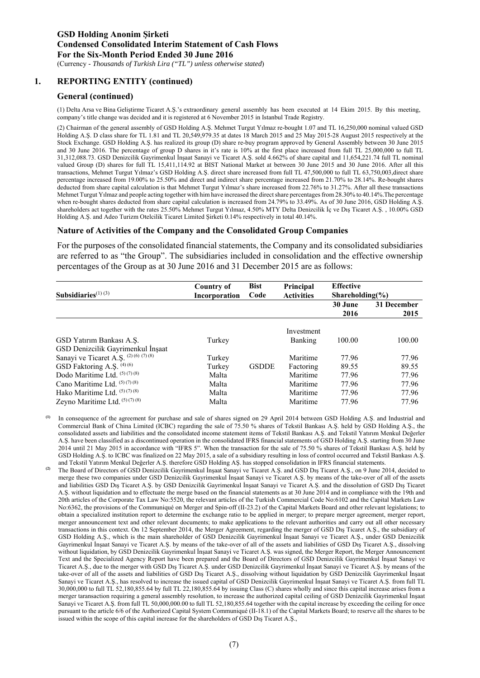# **1. REPORTING ENTITY (continued)**

#### **General (continued)**

(1) Delta Arsa ve Bina Geliştirme Ticaret A.Ş.'s extraordinary general assembly has been executed at 14 Ekim 2015. By this meeting, company's title change was decided and it is registered at 6 November 2015 in Istanbul Trade Registry.

(2) Chairman of the general assembly of GSD Holding A.Ş. Mehmet Turgut Yılmaz re-bought 1.07 and TL 16,250,000 nominal valued GSD Holding A.Ş. D class share for TL 1.81 and TL 20,549,979.35 at dates 18 March 2015 and 25 May 2015-28 August 2015 respectively at the Stock Exchange. GSD Holding A.Ş. has realized its group (D) share re-buy program approved by General Assembly between 30 June 2015 and 30 June 2016. The percentage of group D shares in it's rate is 10% at the first place increased from full TL 25,000,000 to full TL 31,312,088.73. GSD Denizcilik Gayrimenkul İnşaat Sanayi ve Ticaret A.Ş. sold 4.662% of share capital and 11,654,221.74 full TL nominal valued Group (D) shares for full TL 15,411,114.92 at BIST National Market at between 30 June 2015 and 30 June 2016. After all this transactions, Mehmet Turgut Yılmaz's GSD Holding A.Ş. direct share increased from full TL 47,500,000 to full TL 63,750,003,direct share percentage increased from 19.00% to 25.50% and direct and indirect share percentage increased from 21.70% to 28.14%. Re-bought shares deducted from share capital calculation is that Mehmet Turgut Yılmaz's share increased from 22.76% to 31.27%. After all these transactions Mehmet Turgut Yılmaz and people acting together with him have increased the direct share percentages from 28.30% to 40.14%.The percentage when re-bought shares deducted from share capital calculation is increased from 24.79% to 33.49%. As of 30 June 2016, GSD Holding A.S. shareholders act together with the rates 25.50% Mehmet Turgut Yılmaz, 4.50% MTY Delta Denizcilik İç ve Dış Ticaret A.Ş. , 10.00% GSD Holding A.Ş. and Adeo Turizm Otelcilik Ticaret Limited Şirketi 0.14% respectively in total 40.14%.

#### **Nature of Activities of the Company and the Consolidated Group Companies**

For the purposes of the consolidated financial statements, the Company and its consolidated subsidiaries are referred to as "the Group". The subsidiaries included in consolidation and the effective ownership percentages of the Group as at 30 June 2016 and 31 December 2015 are as follows:

| Subsidiaries $(1)(3)$                  | Country of<br>Incorporation | <b>Bist</b><br>Code | Principal<br><b>Activities</b> | <b>Effective</b><br>Shareholding $\frac{6}{6}$ |                     |
|----------------------------------------|-----------------------------|---------------------|--------------------------------|------------------------------------------------|---------------------|
|                                        |                             |                     |                                | 30 June<br>2016                                | 31 December<br>2015 |
|                                        |                             |                     | Investment                     |                                                |                     |
| GSD Yatırım Bankası A.Ş.               | Turkey                      |                     | Banking                        | 100.00                                         | 100.00              |
| GSD Denizcilik Gayrimenkul İnşaat      |                             |                     |                                |                                                |                     |
| Sanayi ve Ticaret A.S. (2) (6) (7) (8) | Turkey                      |                     | Maritime                       | 77.96                                          | 77.96               |
| GSD Faktoring A.S. <sup>(4) (6)</sup>  | Turkey                      | <b>GSDDE</b>        | Factoring                      | 89.55                                          | 89.55               |
| Dodo Maritime Ltd. (5)(7)(8)           | Malta                       |                     | Maritime                       | 77.96                                          | 77.96               |
| Cano Maritime Ltd. (5)(7)(8)           | Malta                       |                     | Maritime                       | 77.96                                          | 77.96               |
| Hako Maritime Ltd. (5)(7)(8)           | Malta                       |                     | Maritime                       | 77.96                                          | 77.96               |
| Zeyno Maritime Ltd. (5)(7)(8)          | Malta                       |                     | Maritime                       | 77.96                                          | 77.96               |

- **(1)** In consequence of the agreement for purchase and sale of shares signed on 29 April 2014 between GSD Holding A.Ş. and Industrial and Commercial Bank of China Limited (ICBC) regarding the sale of 75.50 % shares of Tekstil Bankası A.Ş. held by GSD Holding A.Ş., the consolidated assets and liabilities and the consolidated income statement items of Tekstil Bankası A.Ş. and Tekstil Yatırım Menkul Değerler A.Ş. have been classified as a discontinued operation in the consolidated IFRS financial statements of GSD Holding A.Ş. starting from 30 June 2014 until 21 May 2015 in accordance with "IFRS 5". When the transaction for the sale of 75.50 % shares of Tekstil Bankası A.Ş. held by GSD Holding A.Ş. to ICBC was finalized on 22 May 2015, a sale of a subsidiary resulting in loss of control occurred and Tekstil Bankası A.Ş. and Tekstil Yatırım Menkul Değerler A.Ş. therefore GSD Holding AŞ. has stopped consolidation in IFRS financial statements.
- **(2)** The Board of Directors of GSD Denizcilik Gayrimenkul İnşaat Sanayi ve Ticaret A.Ş. and GSD Dış Ticaret A.Ş., on 9 June 2014, decided to merge these two companies under GSD Denizcilik Gayrimenkul İnşaat Sanayi ve Ticaret A.Ş. by means of the take-over of all of the assets and liabilities GSD Dış Ticaret A.Ş. by GSD Denizcilik Gayrimenkul İnşaat Sanayi ve Ticaret A.Ş. and the dissolution of GSD Dış Ticaret A.Ş. without liquidation and to effectuate the merge based on the financial statements as at 30 June 2014 and in compliance with the 19th and 20th articles of the Corporate Tax Law No:5520, the relevant articles of the Turkish Commercial Code No:6102 and the Capital Markets Law No:6362, the provisions of the Communiqué on Merger and Spin-off (II-23.2) of the Capital Markets Board and other relevant legislations; to obtain a specialized institution report to determine the exchange ratio to be applied in merger; to prepare merger agreement, merger report, merger announcement text and other relevant documents; to make applications to the relevant authorities and carry out all other necessary transactions in this context. On 12 September 2014, the Merger Agreement, regarding the merger of GSD Dış Ticaret A.Ş., the subsidiary of GSD Holding A.Ş., which is the main shareholder of GSD Denizcilik Gayrimenkul İnşaat Sanayi ve Ticaret A.Ş., under GSD Denizcilik Gayrimenkul İnşaat Sanayi ve Ticaret A.Ş. by means of the take-over of all of the assets and liabilities of GSD Dış Ticaret A.Ş., dissolving without liquidation, by GSD Denizcilik Gayrimenkul İnşaat Sanayi ve Ticaret A.Ş. was signed, the Merger Report, the Merger Announcement Text and the Specialized Agency Report have been prepared and the Board of Directors of GSD Denizcilik Gayrimenkul İnşaat Sanayi ve Ticaret A.Ş., due to the merger with GSD Dış Ticaret A.Ş. under GSD Denizcilik Gayrimenkul İnşaat Sanayi ve Ticaret A.Ş. by means of the take-over of all of the assets and liabilities of GSD Dış Ticaret A.Ş., dissolving without liquidation by GSD Denizcilik Gayrimenkul İnşaat Sanayi ve Ticaret A.Ş., has resolved to increase the issued capital of GSD Denizcilik Gayrimenkul İnşaat Sanayi ve Ticaret A.Ş. from full TL 30,000,000 to full TL 52,180,855.64 by full TL 22,180,855.64 by issuing Class (C) shares wholly and since this capital increase arises from a merger taransaction requiring a general assembly resolution, to increase the authorized capital ceiling of GSD Denizcilik Gayrimenkul İnşaat Sanayi ve Ticaret A.Ş. from full TL 50,000,000.00 to full TL 52,180,855.64 together with the capital increase by exceeding the ceiling for once pursuant to the article 6/6 of the Authorized Capital System Communiqué (II-18.1) of the Capital Markets Board; to reserve all the shares to be issued within the scope of this capital increase for the shareholders of GSD Dış Ticaret A.Ş.,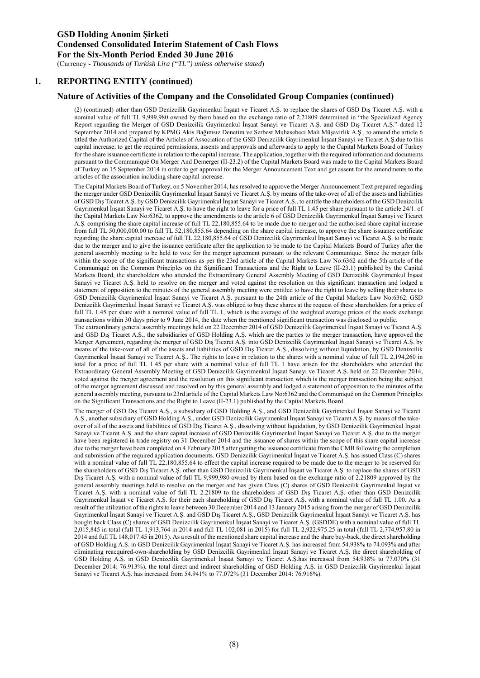(Currency - *Thousands of Turkish Lira ("TL") unless otherwise stated*)

#### **1. REPORTING ENTITY (continued)**

#### **Nature of Activities of the Company and the Consolidated Group Companies (continued)**

(2) (continued) other than GSD Denizcilik Gayrimenkul İnşaat ve Ticaret A.Ş. to replace the shares of GSD Dış Ticaret A.Ş. with a nominal value of full TL 9,999,980 owned by them based on the exchange ratio of 2.21809 determined in "the Specialized Agency Report regarding the Merger of GSD Denizcilik Gayrimenkul İnşaat Sanayi ve Ticaret A.Ş. and GSD Dış Ticaret A.Ş." dated 12 September 2014 and prepared by KPMG Akis Bağımsız Denetim ve Serbest Muhasebeci Mali Müşavirlik A.Ş., to amend the article 6 titled the Authorized Capital of the Articles of Association of the GSD Denizcilik Gayrimenkul İnşaat Sanayi ve Ticaret A.Ş.due to this capital increase; to get the required permissions, assents and approvals and afterwards to apply to the Capital Markets Board of Turkey for the share issuance certificate in relation to the capital increase. The application, together with the required information and documents pursuant to the Communiqué On Merger And Demerger (II-23.2) of the Capital Markets Board was made to the Capital Markets Board of Turkey on 15 September 2014 in order to get approval for the Merger Announcement Text and get assent for the amendments to the articles of the association including share capital increase.

The Capital Markets Board of Turkey, on 5 November 2014, has resolved to approve the Merger Announcement Text prepared regarding the merger under GSD Denizcilik Gayrimenkul İnşaat Sanayi ve Ticaret A.Ş. by means of the take-over of all of the assets and liabilities of GSD Dış Ticaret A.Ş. by GSD Denizcilik Gayrimenkul İnşaat Sanayi ve Ticaret A.Ş., to entitle the shareholders of the GSD Denizcilik Gayrimenkul İnşaat Sanayi ve Ticaret A.Ş. to have the right to leave for a price of full TL 1.45 per share pursuant to the article 24/1. of the Capital Markets Law No:6362, to approve the amendments to the article 6 of GSD Denizcilik Gayrimenkul İnşaat Sanayi ve Ticaret A.Ş. comprising the share capital increase of full TL 22,180,855.64 to be made due to merger and the authorised share capital increase from full TL 50,000,000.00 to full TL 52,180,855.64 depending on the share capital increase, to approve the share issuance certificate regarding the share capital increase of full TL 22,180,855.64 of GSD Denizcilik Gayrimenkul İnşaat Sanayi ve Ticaret A.Ş. to be made due to the merger and to give the issuance certificate after the application to be made to the Capital Markets Board of Turkey after the general assembly meeting to be held to vote for the merger agreement pursuant to the relevant Communique. Since the merger falls within the scope of the significant transactions as per the 23rd article of the Capital Markets Law No:6362 and the 5th article of the Communiqué on the Common Principles on the Significant Transactions and the Right to Leave (II-23.1) published by the Capital Markets Board, the shareholders who attended the Extraordinary General Assembly Meeting of GSD Denizcilik Gayrimenkul İnşaat Sanayi ve Ticaret A.Ş. held to resolve on the merger and voted against the resolution on this significant transaction and lodged a statement of opposition to the minutes of the general assembly meeting were entitled to have the right to leave by selling their shares to GSD Denizcilik Gayrimenkul İnşaat Sanayi ve Ticaret A.Ş. pursuant to the 24th article of the Capital Markets Law No:6362. GSD Denizcilik Gayrimenkul İnşaat Sanayi ve Ticaret A.Ş. was obliged to buy these shares at the request of these shareholders for a price of full TL 1.45 per share with a nominal value of full TL 1, which is the average of the weighted average prices of the stock exchange transactions within 30 days prior to 9 June 2014, the date when the mentioned significant transaction was disclosed to public.

The extraordinary general assembly meetings held on 22 December 2014 of GSD Denizcilik Gayrimenkul İnşaat Sanayi ve Ticaret A.Ş. and GSD Dış Ticaret A.Ş., the subsidiaries of GSD Holding A.Ş. which are the parties to the merger transaction, have approved the Merger Agreement, regarding the merger of GSD Dis Ticaret A.Ş. into GSD Denizcilik Gayrimenkul İnsaat Sanayi ve Ticaret A.S. by means of the take-over of all of the assets and liabilities of GSD Dış Ticaret A.Ş., dissolving without liquidation, by GSD Denizcilik Gayrimenkul İnşaat Sanayi ve Ticaret A.Ş.. The rights to leave in relation to the shares with a nominal value of full TL 2,194,260 in total for a price of full TL 1.45 per share with a nominal value of full TL 1 have arisen for the shareholders who attended the Extraordinary General Assembly Meeting of GSD Denizcilik Gayrimenkul İnşaat Sanayi ve Ticaret A.Ş. held on 22 December 2014, voted against the merger agreement and the resolution on this significant transaction which is the merger transaction being the subject of the merger agreement discussed and resolved on by this general assembly and lodged a statement of opposition to the minutes of the general assembly meeting, pursuant to 23rd article of the Capital Markets Law No:6362 and the Communiqué on the Common Principles on the Significant Transactions and the Right to Leave (II-23.1) published by the Capital Markets Board.

The merger of GSD Dış Ticaret A.Ş., a subsidiary of GSD Holding A.Ş., and GSD Denizcilik Gayrimenkul İnşaat Sanayi ve Ticaret A.Ş., another subsidiary of GSD Holding A.Ş., under GSD Denizcilik Gayrimenkul İnşaat Sanayi ve Ticaret A.Ş. by means of the takeover of all of the assets and liabilities of GSD Dış Ticaret A.Ş., dissolving without liquidation, by GSD Denizcilik Gayrimenkul İnşaat Sanayi ve Ticaret A.Ş. and the share capital increase of GSD Denizcilik Gayrimenkul İnşaat Sanayi ve Ticaret A.Ş. due to the merger have been registered in trade registry on 31 December 2014 and the issuance of shares within the scope of this share capital increase due to the merger have been completed on 4 February 2015 after getting the issuance certificate from the CMB following the completion and submission of the required application documents. GSD Denizcilik Gayrimenkul İnşaat ve Ticaret A.Ş. has issued Class (C) shares with a nominal value of full TL 22,180,855.64 to effect the capital increase required to be made due to the merger to be reserved for the shareholders of GSD Dış Ticaret A.Ş. other than GSD Denizcilik Gayrimenkul İnşaat ve Ticaret A.Ş. to replace the shares of GSD Dış Ticaret A.Ş. with a nominal value of full TL 9,999,980 owned by them based on the exchange ratio of 2.21809 approved by the general assembly meetings held to resolve on the merger and has given Class (C) shares of GSD Denizcilik Gayrimenkul İnşaat ve Ticaret A.Ş. with a nominal value of full TL 2.21809 to the shareholders of GSD Dış Ticaret A.Ş. other than GSD Denizcilik Gayrimenkul İnşaat ve Ticaret A.Ş. for their each shareholding of GSD Dış Ticaret A.Ş. with a nominal value of full TL 1.00. As a result of the utilization of the rights to leave between 30 December 2014 and 13 January 2015 arising from the merger of GSD Denizcilik Gayrimenkul İnşaat Sanayi ve Ticaret A.Ş. and GSD Dış Ticaret A.Ş., GSD Denizcilik Gayrimenkul İnşaat Sanayi ve Ticaret A.Ş. has bought back Class (C) shares of GSD Denizcilik Gayrimenkul İnşaat Sanayi ve Ticaret A.Ş. (GSDDE) with a nominal value of full TL 2,015,845 in total (full TL 1,913,764 in 2014 and full TL 102,081 in 2015) for full TL 2,922,975.25 in total (full TL 2,774,957.80 in 2014 and full TL 148,017.45 in 2015). As a result of the mentioned share capital increase and the share buy-back, the direct shareholding of GSD Holding A.Ş. in GSD Denizcilik Gayrimenkul İnşaat Sanayi ve Ticaret A.Ş. has increased from 54.938% to 74.093% and after eliminating reacquired-own-shareholding by GSD Denizcilik Gayrimenkul İnşaat Sanayi ve Ticaret A.Ş. the direct shareholding of GSD Holding A.Ş. in GSD Denizcilik Gayrimenkul İnşaat Sanayi ve Ticaret A.Ş.has increased from 54.938% to 77.070% (31 December 2014: 76.913%), the total direct and indirect shareholding of GSD Holding A.Ş. in GSD Denizcilik Gayrimenkul İnşaat Sanayi ve Ticaret A.Ş. has increased from 54.941% to 77.072% (31 December 2014: 76.916%).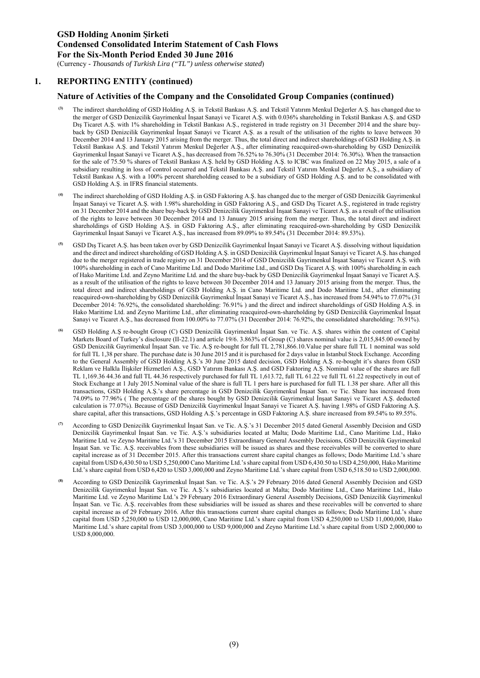(Currency - *Thousands of Turkish Lira ("TL") unless otherwise stated*)

### **1. REPORTING ENTITY (continued)**

#### **Nature of Activities of the Company and the Consolidated Group Companies (continued)**

- **(3)** The indirect shareholding of GSD Holding A.Ş. in Tekstil Bankası A.Ş. and Tekstil Yatırım Menkul Değerler A.Ş. has changed due to the merger of GSD Denizcilik Gayrimenkul İnşaat Sanayi ve Ticaret A.Ş. with 0.036% shareholding in Tekstil Bankası A.Ş. and GSD Dış Ticaret A.Ş. with 1% shareholding in Tekstil Bankası A.Ş., registered in trade registry on 31 December 2014 and the share buyback by GSD Denizcilik Gayrimenkul İnşaat Sanayi ve Ticaret A.Ş. as a result of the utilisation of the rights to leave between 30 December 2014 and 13 January 2015 arising from the merger. Thus, the total direct and indirect shareholdings of GSD Holding A.Ş. in Tekstil Bankası A.Ş. and Tekstil Yatırım Menkul Değerler A.Ş., after eliminating reacquired-own-shareholding by GSD Denizcilik Gayrimenkul İnşaat Sanayi ve Ticaret A.Ş., has decreased from 76.52% to 76.30% (31 December 2014: 76.30%). When the transaction for the sale of 75.50 % shares of Tekstil Bankası A.Ş. held by GSD Holding A.Ş. to ICBC was finalized on 22 May 2015, a sale of a subsidiary resulting in loss of control occurred and Tekstil Bankası A.Ş. and Tekstil Yatırım Menkul Değerler A.Ş., a subsidiary of Tekstil Bankası A.Ş. with a 100% percent shareholding ceased to be a subsidiary of GSD Holding A.Ş. and to be consolidated with GSD Holding A.S. in IFRS financial statements.
- **(4)** The indirect shareholding of GSD Holding A.Ş. in GSD Faktoring A.Ş. has changed due to the merger of GSD Denizcilik Gayrimenkul İnşaat Sanayi ve Ticaret A.Ş. with 1.98% shareholding in GSD Faktoring A.Ş., and GSD Dış Ticaret A.Ş., registered in trade registry on 31 December 2014 and the share buy-back by GSD Denizcilik Gayrimenkul İnşaat Sanayi ve Ticaret A.Ş. as a result of the utilisation of the rights to leave between 30 December 2014 and 13 January 2015 arising from the merger. Thus, the total direct and indirect shareholdings of GSD Holding A.Ş. in GSD Faktoring A.Ş., after eliminating reacquired-own-shareholding by GSD Denizcilik Gayrimenkul İnşaat Sanayi ve Ticaret A.Ş., has increased from 89.09% to 89.54% (31 December 2014: 89.53%).
- **(5)** GSD Dış Ticaret A.Ş. has been taken over by GSD Denizcilik Gayrimenkul İnşaat Sanayi ve Ticaret A.Ş. dissolving without liquidation and the direct and indirect shareholding of GSD Holding A.Ş. in GSD Denizcilik Gayrimenkul İnşaat Sanayi ve Ticaret A.Ş. has changed due to the merger registered in trade registry on 31 December 2014 of GSD Denizcilik Gayrimenkul İnşaat Sanayi ve Ticaret A.Ş. with 100% shareholding in each of Cano Maritime Ltd. and Dodo Maritime Ltd., and GSD Dış Ticaret A.Ş. with 100% shareholding in each of Hako Maritime Ltd. and Zeyno Maritime Ltd. and the share buy-back by GSD Denizcilik Gayrimenkul İnşaat Sanayi ve Ticaret A.Ş. as a result of the utilisation of the rights to leave between 30 December 2014 and 13 January 2015 arising from the merger. Thus, the total direct and indirect shareholdings of GSD Holding A.Ş. in Cano Maritime Ltd. and Dodo Maritime Ltd., after eliminating reacquired-own-shareholding by GSD Denizcilik Gayrimenkul İnşaat Sanayi ve Ticaret A.Ş., has increased from 54.94% to 77.07% (31 December 2014: 76.92%, the consolidated shareholding: 76.91% ) and the direct and indirect shareholdings of GSD Holding A.Ş. in Hako Maritime Ltd. and Zeyno Maritime Ltd., after eliminating reacquired-own-shareholding by GSD Denizcilik Gayrimenkul İnşaat Sanayi ve Ticaret A.Ş., has decreased from 100.00% to 77.07% (31 December 2014: 76.92%, the consolidated shareholding: 76.91%).
- **(6)** GSD Holding A.Ş re-bought Group (C) GSD Denizcilik Gayrimenkul İnşaat San. ve Tic. A.Ş. shares within the content of Capital Markets Board of Turkey's disclosure (II-22.1) and article 19/6. 3.863% of Group (C) shares nominal value is 2,015,845.00 owned by GSD Denizcilik Gayrimenkul İnşaat San. ve Tic. A.Ş re-bought for full TL 2,781,866.10.Value per share full TL 1 nominal was sold for full TL 1,38 per share. The purchase date is 30 June 2015 and it is purchased for 2 days value in Istanbul Stock Exchange. According to the General Assembly of GSD Holding A.Ş.'s 30 June 2015 dated decision, GSD Holding A.Ş. re-bought it's shares from GSD Reklam ve Halkla İlişkiler Hizmetleri A.Ş., GSD Yatırım Bankası A.Ş. and GSD Faktoring A.Ş. Nominal value of the shares are full TL 1,169.36 44.36 and full TL 44.36 respectively purchased for full TL 1,613.72, full TL 61.22 ve full TL 61.22 respectively in out of Stock Exchange at 1 July 2015.Nominal value of the share is full TL 1 pers hare is purchased for full TL 1.38 per share. After all this transactions, GSD Holding A.Ş.'s share percentage in GSD Denizcilik Gayrimenkul İnşaat San. ve Tic. Share has increased from 74.09% to 77.96% ( The percentage of the shares bought by GSD Denizcilik Gayrimenkul İnşaat Sanayi ve Ticaret A.Ş. deducted calculation is 77.07%). Because of GSD Denizcilik Gayrimenkul İnşaat Sanayi ve Ticaret A.Ş. having 1.98% of GSD Faktoring A.Ş. share capital, after this transactions, GSD Holding A.Ş.'s percentage in GSD Faktoring A.Ş. share increased from 89.54% to 89.55%.
- **(7)** According to GSD Denizcilik Gayrimenkul İnşaat San. ve Tic. A.Ş.'s 31 December 2015 dated General Assembly Decision and GSD Denizcilik Gayrimenkul İnşaat San. ve Tic. A.Ş.'s subsidiaries located at Malta; Dodo Maritime Ltd., Cano Maritime Ltd., Hako Maritime Ltd. ve Zeyno Maritime Ltd.'s 31 December 2015 Extraordinary General Assembly Decisions, GSD Denizcilik Gayrimenkul İnşaat San. ve Tic. A.Ş. receivables from these subsidiaries will be issued as shares and these receivables will be converted to share capital increase as of 31 December 2015. After this transactions current share capital changes as follows; Dodo Maritime Ltd.'s share capital from USD 6,430.50 to USD 5,250,000 Cano Maritime Ltd.'s share capital from USD 6,430.50 to USD 4,250,000, Hako Maritime Ltd.'s share capital from USD 6,420 to USD 3,000,000 and Zeyno Maritime Ltd.'s share capital from USD 6,518.50 to USD 2,000,000.
- **(8)** According to GSD Denizcilik Gayrimenkul İnşaat San. ve Tic. A.Ş.'s 29 February 2016 dated General Assembly Decision and GSD Denizcilik Gayrimenkul İnşaat San. ve Tic. A.Ş.'s subsidiaries located at Malta; Dodo Maritime Ltd., Cano Maritime Ltd., Hako Maritime Ltd. ve Zeyno Maritime Ltd.'s 29 February 2016 Extraordinary General Assembly Decisions, GSD Denizcilik Gayrimenkul İnşaat San. ve Tic. A.Ş. receivables from these subsidiaries will be issued as shares and these receivables will be converted to share capital increase as of 29 February 2016. After this transactions current share capital changes as follows; Dodo Maritime Ltd.'s share capital from USD 5,250,000 to USD 12,000,000, Cano Maritime Ltd.'s share capital from USD 4,250,000 to USD 11,000,000, Hako Maritime Ltd.'s share capital from USD 3,000,000 to USD 9,000,000 and Zeyno Maritime Ltd.'s share capital from USD 2,000,000 to USD 8,000,000.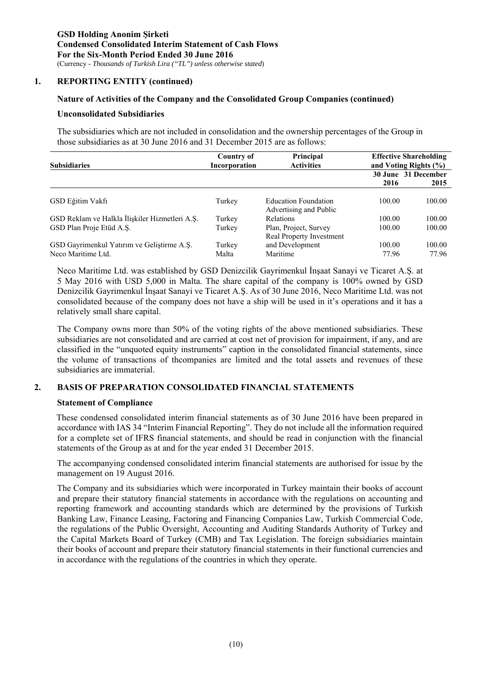#### **1. REPORTING ENTITY (continued)**

#### **Nature of Activities of the Company and the Consolidated Group Companies (continued)**

#### **Unconsolidated Subsidiaries**

The subsidiaries which are not included in consolidation and the ownership percentages of the Group in those subsidiaries as at 30 June 2016 and 31 December 2015 are as follows:

| <b>Subsidiaries</b>                                              | Country of<br>Incorporation | Principal<br><b>Activities</b>                        | <b>Effective Shareholding</b><br>and Voting Rights $(\% )$ |                             |  |
|------------------------------------------------------------------|-----------------------------|-------------------------------------------------------|------------------------------------------------------------|-----------------------------|--|
|                                                                  |                             |                                                       | 2016                                                       | 30 June 31 December<br>2015 |  |
| GSD Eğitim Vakfı                                                 | Turkey                      | <b>Education Foundation</b><br>Advertising and Public | 100.00                                                     | 100.00                      |  |
| GSD Reklam ve Halkla İlişkiler Hizmetleri A.Ş.                   | Turkey                      | <b>Relations</b>                                      | 100.00                                                     | 100.00                      |  |
| GSD Plan Proje Etüd A.Ş.                                         | Turkey                      | Plan, Project, Survey<br>Real Property Investment     | 100.00                                                     | 100.00                      |  |
| GSD Gayrimenkul Yatırım ve Geliştirme A.Ş.<br>Neco Maritime Ltd. | Turkey<br>Malta             | and Development<br>Maritime                           | 100.00<br>77.96                                            | 100.00<br>77.96             |  |

Neco Maritime Ltd. was established by GSD Denizcilik Gayrimenkul İnşaat Sanayi ve Ticaret A.Ş. at 5 May 2016 with USD 5,000 in Malta. The share capital of the company is 100% owned by GSD Denizcilik Gayrimenkul İnşaat Sanayi ve Ticaret A.Ş. As of 30 June 2016, Neco Maritime Ltd. was not consolidated because of the company does not have a ship will be used in it's operations and it has a relatively small share capital.

The Company owns more than 50% of the voting rights of the above mentioned subsidiaries. These subsidiaries are not consolidated and are carried at cost net of provision for impairment, if any, and are classified in the "unquoted equity instruments" caption in the consolidated financial statements, since the volume of transactions of thcompanies are limited and the total assets and revenues of these subsidiaries are immaterial.

### **2. BASIS OF PREPARATION CONSOLIDATED FINANCIAL STATEMENTS**

#### **Statement of Compliance**

 These condensed consolidated interim financial statements as of 30 June 2016 have been prepared in accordance with IAS 34 "Interim Financial Reporting". They do not include all the information required for a complete set of IFRS financial statements, and should be read in conjunction with the financial statements of the Group as at and for the year ended 31 December 2015.

The accompanying condensed consolidated interim financial statements are authorised for issue by the management on 19 August 2016.

The Company and its subsidiaries which were incorporated in Turkey maintain their books of account and prepare their statutory financial statements in accordance with the regulations on accounting and reporting framework and accounting standards which are determined by the provisions of Turkish Banking Law, Finance Leasing, Factoring and Financing Companies Law, Turkish Commercial Code, the regulations of the Public Oversight, Accounting and Auditing Standards Authority of Turkey and the Capital Markets Board of Turkey (CMB) and Tax Legislation. The foreign subsidiaries maintain their books of account and prepare their statutory financial statements in their functional currencies and in accordance with the regulations of the countries in which they operate.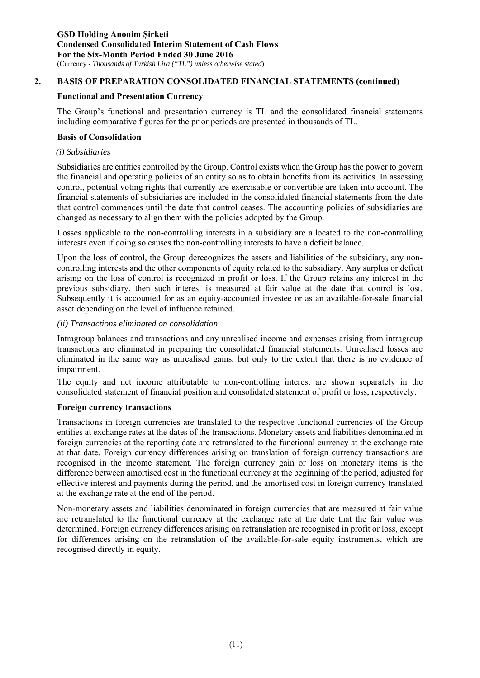# **2. BASIS OF PREPARATION CONSOLIDATED FINANCIAL STATEMENTS (continued)**

### **Functional and Presentation Currency**

The Group's functional and presentation currency is TL and the consolidated financial statements including comparative figures for the prior periods are presented in thousands of TL.

#### **Basis of Consolidation**

#### *(i) Subsidiaries*

Subsidiaries are entities controlled by the Group. Control exists when the Group has the power to govern the financial and operating policies of an entity so as to obtain benefits from its activities. In assessing control, potential voting rights that currently are exercisable or convertible are taken into account. The financial statements of subsidiaries are included in the consolidated financial statements from the date that control commences until the date that control ceases. The accounting policies of subsidiaries are changed as necessary to align them with the policies adopted by the Group.

Losses applicable to the non-controlling interests in a subsidiary are allocated to the non-controlling interests even if doing so causes the non-controlling interests to have a deficit balance.

Upon the loss of control, the Group derecognizes the assets and liabilities of the subsidiary, any noncontrolling interests and the other components of equity related to the subsidiary. Any surplus or deficit arising on the loss of control is recognized in profit or loss. If the Group retains any interest in the previous subsidiary, then such interest is measured at fair value at the date that control is lost. Subsequently it is accounted for as an equity-accounted investee or as an available-for-sale financial asset depending on the level of influence retained.

#### *(ii) Transactions eliminated on consolidation*

Intragroup balances and transactions and any unrealised income and expenses arising from intragroup transactions are eliminated in preparing the consolidated financial statements. Unrealised losses are eliminated in the same way as unrealised gains, but only to the extent that there is no evidence of impairment.

The equity and net income attributable to non-controlling interest are shown separately in the consolidated statement of financial position and consolidated statement of profit or loss, respectively.

### **Foreign currency transactions**

Transactions in foreign currencies are translated to the respective functional currencies of the Group entities at exchange rates at the dates of the transactions. Monetary assets and liabilities denominated in foreign currencies at the reporting date are retranslated to the functional currency at the exchange rate at that date. Foreign currency differences arising on translation of foreign currency transactions are recognised in the income statement. The foreign currency gain or loss on monetary items is the difference between amortised cost in the functional currency at the beginning of the period, adjusted for effective interest and payments during the period, and the amortised cost in foreign currency translated at the exchange rate at the end of the period.

Non-monetary assets and liabilities denominated in foreign currencies that are measured at fair value are retranslated to the functional currency at the exchange rate at the date that the fair value was determined. Foreign currency differences arising on retranslation are recognised in profit or loss, except for differences arising on the retranslation of the available-for-sale equity instruments, which are recognised directly in equity.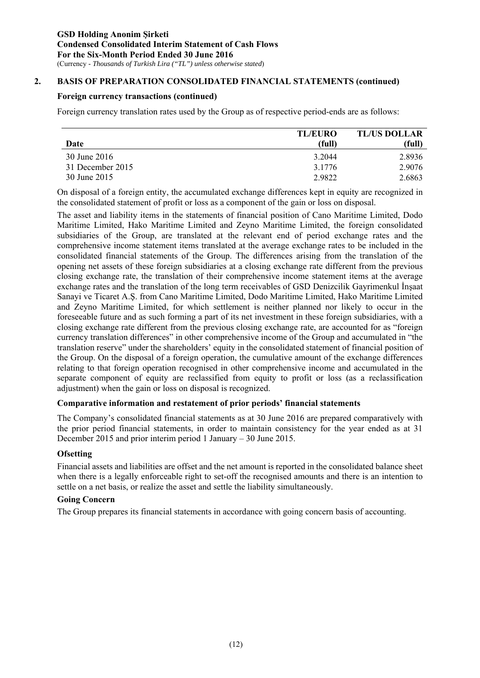# **2. BASIS OF PREPARATION CONSOLIDATED FINANCIAL STATEMENTS (continued)**

### **Foreign currency transactions (continued)**

Foreign currency translation rates used by the Group as of respective period-ends are as follows:

|                  | <b>TL/EURO</b> | <b>TL/US DOLLAR</b> |
|------------------|----------------|---------------------|
| Date             | (full)         | (full)              |
| 30 June 2016     | 3.2044         | 2.8936              |
| 31 December 2015 | 3.1776         | 2.9076              |
| 30 June 2015     | 2.9822         | 2.6863              |

On disposal of a foreign entity, the accumulated exchange differences kept in equity are recognized in the consolidated statement of profit or loss as a component of the gain or loss on disposal.

The asset and liability items in the statements of financial position of Cano Maritime Limited, Dodo Maritime Limited, Hako Maritime Limited and Zeyno Maritime Limited, the foreign consolidated subsidiaries of the Group, are translated at the relevant end of period exchange rates and the comprehensive income statement items translated at the average exchange rates to be included in the consolidated financial statements of the Group. The differences arising from the translation of the opening net assets of these foreign subsidiaries at a closing exchange rate different from the previous closing exchange rate, the translation of their comprehensive income statement items at the average exchange rates and the translation of the long term receivables of GSD Denizcilik Gayrimenkul İnşaat Sanayi ve Ticaret A.Ş. from Cano Maritime Limited, Dodo Maritime Limited, Hako Maritime Limited and Zeyno Maritime Limited, for which settlement is neither planned nor likely to occur in the foreseeable future and as such forming a part of its net investment in these foreign subsidiaries, with a closing exchange rate different from the previous closing exchange rate, are accounted for as "foreign currency translation differences" in other comprehensive income of the Group and accumulated in "the translation reserve" under the shareholders' equity in the consolidated statement of financial position of the Group. On the disposal of a foreign operation, the cumulative amount of the exchange differences relating to that foreign operation recognised in other comprehensive income and accumulated in the separate component of equity are reclassified from equity to profit or loss (as a reclassification adjustment) when the gain or loss on disposal is recognized.

### **Comparative information and restatement of prior periods' financial statements**

The Company's consolidated financial statements as at 30 June 2016 are prepared comparatively with the prior period financial statements, in order to maintain consistency for the year ended as at 31 December 2015 and prior interim period 1 January – 30 June 2015.

### **Ofsetting**

Financial assets and liabilities are offset and the net amount is reported in the consolidated balance sheet when there is a legally enforceable right to set-off the recognised amounts and there is an intention to settle on a net basis, or realize the asset and settle the liability simultaneously.

# **Going Concern**

The Group prepares its financial statements in accordance with going concern basis of accounting.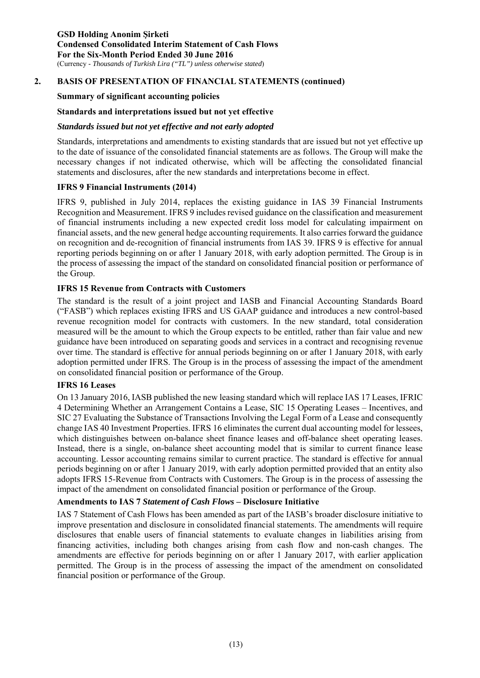### **2. BASIS OF PRESENTATION OF FINANCIAL STATEMENTS (continued)**

#### **Summary of significant accounting policies**

### **Standards and interpretations issued but not yet effective**

#### *Standards issued but not yet effective and not early adopted*

Standards, interpretations and amendments to existing standards that are issued but not yet effective up to the date of issuance of the consolidated financial statements are as follows. The Group will make the necessary changes if not indicated otherwise, which will be affecting the consolidated financial statements and disclosures, after the new standards and interpretations become in effect.

#### **IFRS 9 Financial Instruments (2014)**

IFRS 9, published in July 2014, replaces the existing guidance in IAS 39 Financial Instruments Recognition and Measurement. IFRS 9 includes revised guidance on the classification and measurement of financial instruments including a new expected credit loss model for calculating impairment on financial assets, and the new general hedge accounting requirements. It also carries forward the guidance on recognition and de-recognition of financial instruments from IAS 39. IFRS 9 is effective for annual reporting periods beginning on or after 1 January 2018, with early adoption permitted. The Group is in the process of assessing the impact of the standard on consolidated financial position or performance of the Group.

### **IFRS 15 Revenue from Contracts with Customers**

The standard is the result of a joint project and IASB and Financial Accounting Standards Board ("FASB") which replaces existing IFRS and US GAAP guidance and introduces a new control-based revenue recognition model for contracts with customers. In the new standard, total consideration measured will be the amount to which the Group expects to be entitled, rather than fair value and new guidance have been introduced on separating goods and services in a contract and recognising revenue over time. The standard is effective for annual periods beginning on or after 1 January 2018, with early adoption permitted under IFRS. The Group is in the process of assessing the impact of the amendment on consolidated financial position or performance of the Group.

#### **IFRS 16 Leases**

On 13 January 2016, IASB published the new leasing standard which will replace IAS 17 Leases, IFRIC 4 Determining Whether an Arrangement Contains a Lease, SIC 15 Operating Leases – Incentives, and SIC 27 Evaluating the Substance of Transactions Involving the Legal Form of a Lease and consequently change IAS 40 Investment Properties. IFRS 16 eliminates the current dual accounting model for lessees, which distinguishes between on-balance sheet finance leases and off-balance sheet operating leases. Instead, there is a single, on-balance sheet accounting model that is similar to current finance lease accounting. Lessor accounting remains similar to current practice. The standard is effective for annual periods beginning on or after 1 January 2019, with early adoption permitted provided that an entity also adopts IFRS 15-Revenue from Contracts with Customers. The Group is in the process of assessing the impact of the amendment on consolidated financial position or performance of the Group.

### **Amendments to IAS 7** *Statement of Cash Flows* **– Disclosure Initiative**

IAS 7 Statement of Cash Flows has been amended as part of the IASB's broader disclosure initiative to improve presentation and disclosure in consolidated financial statements. The amendments will require disclosures that enable users of financial statements to evaluate changes in liabilities arising from financing activities, including both changes arising from cash flow and non-cash changes. The amendments are effective for periods beginning on or after 1 January 2017, with earlier application permitted. The Group is in the process of assessing the impact of the amendment on consolidated financial position or performance of the Group.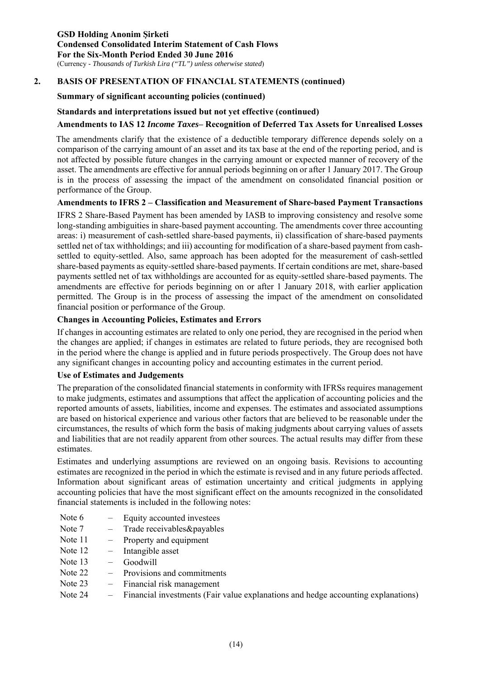# **2. BASIS OF PRESENTATION OF FINANCIAL STATEMENTS (continued)**

#### **Summary of significant accounting policies (continued)**

#### **Standards and interpretations issued but not yet effective (continued)**

#### **Amendments to IAS 12** *Income Taxes***– Recognition of Deferred Tax Assets for Unrealised Losses**

The amendments clarify that the existence of a deductible temporary difference depends solely on a comparison of the carrying amount of an asset and its tax base at the end of the reporting period, and is not affected by possible future changes in the carrying amount or expected manner of recovery of the asset. The amendments are effective for annual periods beginning on or after 1 January 2017. The Group is in the process of assessing the impact of the amendment on consolidated financial position or performance of the Group.

#### **Amendments to IFRS 2 – Classification and Measurement of Share-based Payment Transactions**

IFRS 2 Share-Based Payment has been amended by IASB to improving consistency and resolve some long-standing ambiguities in share-based payment accounting. The amendments cover three accounting areas: i) measurement of cash-settled share-based payments, ii) classification of share-based payments settled net of tax withholdings; and iii) accounting for modification of a share-based payment from cashsettled to equity-settled. Also, same approach has been adopted for the measurement of cash-settled share-based payments as equity-settled share-based payments. If certain conditions are met, share-based payments settled net of tax withholdings are accounted for as equity-settled share-based payments. The amendments are effective for periods beginning on or after 1 January 2018, with earlier application permitted. The Group is in the process of assessing the impact of the amendment on consolidated financial position or performance of the Group.

#### **Changes in Accounting Policies, Estimates and Errors**

If changes in accounting estimates are related to only one period, they are recognised in the period when the changes are applied; if changes in estimates are related to future periods, they are recognised both in the period where the change is applied and in future periods prospectively. The Group does not have any significant changes in accounting policy and accounting estimates in the current period.

#### **Use of Estimates and Judgements**

The preparation of the consolidated financial statements in conformity with IFRSs requires management to make judgments, estimates and assumptions that affect the application of accounting policies and the reported amounts of assets, liabilities, income and expenses. The estimates and associated assumptions are based on historical experience and various other factors that are believed to be reasonable under the circumstances, the results of which form the basis of making judgments about carrying values of assets and liabilities that are not readily apparent from other sources. The actual results may differ from these estimates.

Estimates and underlying assumptions are reviewed on an ongoing basis. Revisions to accounting estimates are recognized in the period in which the estimate is revised and in any future periods affected. Information about significant areas of estimation uncertainty and critical judgments in applying accounting policies that have the most significant effect on the amounts recognized in the consolidated financial statements is included in the following notes:

- Note 6 Equity accounted investees
- Note 7 Trade receivables&payables
- Note 11 Property and equipment
- Note 12 Intangible asset
- Note 13 Goodwill
- Note 22 Provisions and commitments
- Note 23 Financial risk management
- Note 24 Financial investments (Fair value explanations and hedge accounting explanations)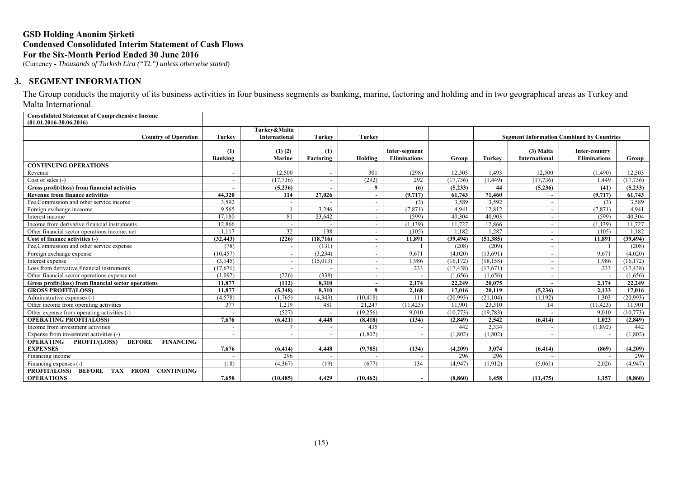(Currency - *Thousands of Turkish Lira ("TL") unless otherwise stated*)

### **3. SEGMENT INFORMATION**

The Group conducts the majority of its business activities in four business segments as banking, marine, factoring and holding and in two geographical areas as Turkey and Malta International.

**Consolidated Statement of Comprehensive Income (01.01.2016-30.06.2016)**

| (01.01.2010-00.00.2010)                                                |                          | Turkey&Malta          |                  |                          |                                      |           |               |                                                  |                                      |           |  |
|------------------------------------------------------------------------|--------------------------|-----------------------|------------------|--------------------------|--------------------------------------|-----------|---------------|--------------------------------------------------|--------------------------------------|-----------|--|
| <b>Country of Operation</b>                                            | <b>Turkey</b>            | International         | <b>Turkey</b>    | Turkey                   |                                      |           |               | <b>Segment Information Combined by Countries</b> |                                      |           |  |
|                                                                        | (1)<br>Banking           | $(1)$ $(2)$<br>Marine | (1)<br>Factoring | Holding                  | Inter-segment<br><b>Eliminations</b> | Group     | <b>Turkey</b> | $(3)$ Malta<br><b>International</b>              | Inter-country<br><b>Eliminations</b> | Group     |  |
| <b>CONTINUING OPERATIONS</b>                                           |                          |                       |                  |                          |                                      |           |               |                                                  |                                      |           |  |
| Revenue                                                                | $\overline{\phantom{a}}$ | 12.500                |                  | 301                      | (298)                                | 12.503    | 1.493         | 12.500                                           | (1,490)                              | 12.503    |  |
| Cost of sales $(-)$                                                    | $\overline{\phantom{a}}$ | (17, 736)             |                  | (292)                    | 292                                  | (17, 736) | (1,449)       | (17,736)                                         | 1,449                                | (17,736)  |  |
| Gross profit/(loss) from financial activities                          |                          | (5,236)               |                  | 9                        | (6)                                  | (5,233)   | 44            | (5,236)                                          | (41)                                 | (5,233)   |  |
| <b>Revenue from finance activities</b>                                 | 44.320                   | 114                   | 27,026           | $\sim$                   | (9,717)                              | 61,743    | 71.460        |                                                  | (9,717)                              | 61,743    |  |
| Fee, Commission and other service income                               | 3,592                    |                       |                  | $\overline{\phantom{a}}$ | (3)                                  | 3,589     | 3,592         |                                                  | (3)                                  | 3,589     |  |
| Foreign exchange inceome                                               | 9,565                    |                       | 3.246            | $\overline{\phantom{0}}$ | (7, 871)                             | 4.941     | 12,812        | $\overline{\phantom{a}}$                         | (7, 871)                             | 4,941     |  |
| Interest income                                                        | 17.180                   | 81                    | 23.642           | $\overline{\phantom{a}}$ | (599)                                | 40.304    | 40.903        |                                                  | (599)                                | 40.304    |  |
| Income from derivative financial instruments                           | 12,866                   |                       |                  | $\overline{\phantom{a}}$ | (1, 139)                             | 11,727    | 12,866        |                                                  | (1, 139)                             | 11,727    |  |
| Other financial sector operations income, net                          | 1.117                    | 32                    | 138              | $\overline{\phantom{a}}$ | (105)                                | 1.182     | 1.287         | $\overline{\phantom{a}}$                         | (105)                                | 1,182     |  |
| Cost of finance activities (-)                                         | (32, 443)                | (226)                 | (18, 716)        | $\sim$                   | 11,891                               | (39, 494) | (51, 385)     | $\overline{\phantom{a}}$                         | 11,891                               | (39, 494) |  |
| Fee,Commission and other service expense                               | (78)                     |                       | (131)            | $\overline{\phantom{0}}$ |                                      | (208)     | (209)         |                                                  |                                      | (208)     |  |
| Foreign exchange expense                                               | (10, 457)                |                       | (3,234)          | $\overline{\phantom{a}}$ | 9,671                                | (4,020)   | (13,691)      |                                                  | 9,671                                | (4,020)   |  |
| Interest expense                                                       | (3,145)                  |                       | (15,013)         | $\sim$                   | 1,986                                | (16, 172) | (18, 158)     |                                                  | 1,986                                | (16, 172) |  |
| Loss from derivative financial instruments                             | (17,671)                 |                       |                  | $\overline{\phantom{0}}$ | 233                                  | (17, 438) | (17,671)      |                                                  | 233                                  | (17, 438) |  |
| Other financial sector operations expense net                          | (1,092)                  | (226)                 | (338)            | $\overline{\phantom{a}}$ |                                      | (1,656)   | (1,656)       |                                                  |                                      | (1,656)   |  |
| Gross profit/(loss) from financial sector operations                   | 11.877                   | (112)                 | 8.310            | $\overline{\phantom{a}}$ | 2,174                                | 22,249    | 20.075        |                                                  | 2.174                                | 22,249    |  |
| <b>GROSS PROFIT/(LOSS)</b>                                             | 11.877                   | (5,348)               | 8,310            | $\mathbf{Q}$             | 2,168                                | 17.016    | 20,119        | (5,236)                                          | 2,133                                | 17.016    |  |
| Administrative expenses (-)                                            | (4,578)                  | (1,765)               | (4,343)          | (10, 418)                | 111                                  | (20, 993) | (21, 104)     | (1, 192)                                         | 1,303                                | (20,993)  |  |
| Other income from operating activities                                 | 377                      | 1,219                 | 481              | 21,247                   | (11, 423)                            | 11,901    | 23,310        | 14                                               | (11, 423)                            | 11,901    |  |
| Other expense from operating activities (-)                            |                          | (527)                 |                  | (19,256)                 | 9.010                                | (10, 773) | (19, 783)     |                                                  | 9.010                                | (10,773)  |  |
| <b>OPERATING PROFIT/(LOSS)</b>                                         | 7,676                    | (6, 421)              | 4,448            | (8, 418)                 | (134)                                | (2, 849)  | 2,542         | (6, 414)                                         | 1.023                                | (2,849)   |  |
| Income from investment activities                                      | $\overline{\phantom{a}}$ |                       |                  | 435                      |                                      | 442       | 2.334         |                                                  | (1.892)                              | 442       |  |
| Expense from investment activities (-)                                 |                          |                       |                  | (1,802)                  |                                      | (1,802)   | (1,802)       |                                                  |                                      | (1,802)   |  |
| <b>OPERATING</b><br><b>BEFORE</b><br><b>FINANCING</b><br>PROFIT/(LOSS) |                          |                       |                  |                          |                                      |           |               |                                                  |                                      |           |  |
| <b>EXPENSES</b>                                                        | 7,676                    | (6, 414)              | 4,448            | (9,785)                  | (134)                                | (4,209)   | 3,074         | (6, 414)                                         | (869)                                | (4,209)   |  |
| Financing income                                                       |                          | 296                   |                  |                          |                                      | 296       | 296           |                                                  |                                      | 296       |  |
| Financing expenses (-)                                                 | (18)                     | (4,367)               | (19)             | (677)                    | 134                                  | (4,947)   | (1, 912)      | (5,061)                                          | 2,026                                | (4,947)   |  |
| PROFIT/(LOSS)<br>BEFORE TAX FROM CONTINUING<br><b>OPERATIONS</b>       | 7,658                    | (10, 485)             | 4,429            | (10, 462)                |                                      | (8, 860)  | 1,458         | (11, 475)                                        | 1,157                                | (8, 860)  |  |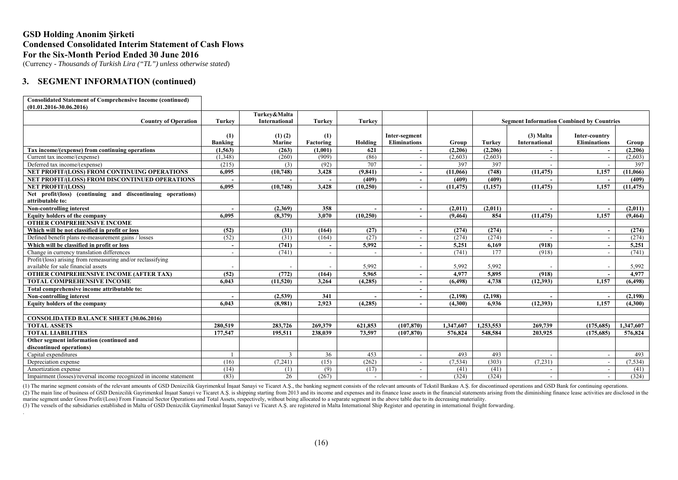(Currency - *Thousands of Turkish Lira ("TL") unless otherwise stated*)

# **3. SEGMENT INFORMATION (continued)**

| <b>Consolidated Statement of Comprehensive Income (continued)</b>               |                          |                      |               |                          |                          |           |           |                      |                                                  |              |
|---------------------------------------------------------------------------------|--------------------------|----------------------|---------------|--------------------------|--------------------------|-----------|-----------|----------------------|--------------------------------------------------|--------------|
| $(01.01.2016 - 30.06.2016)$                                                     |                          |                      |               |                          |                          |           |           |                      |                                                  |              |
|                                                                                 |                          | Turkey&Malta         |               |                          |                          |           |           |                      |                                                  |              |
| <b>Country of Operation</b>                                                     | <b>Turkey</b>            | <b>International</b> | <b>Turkey</b> | <b>Turkey</b>            |                          |           |           |                      | <b>Segment Information Combined by Countries</b> |              |
|                                                                                 |                          |                      |               |                          |                          |           |           |                      |                                                  |              |
|                                                                                 | (1)                      | $(1)$ $(2)$          | (1)           |                          | Inter-segment            |           |           | $(3)$ Malta          | Inter-country                                    |              |
|                                                                                 | <b>Banking</b>           | Marine               | Factoring     | Holding                  | <b>Eliminations</b>      | Group     | Turkey    | <b>International</b> | <b>Eliminations</b>                              | <b>Group</b> |
| Tax income/(expense) from continuing operations                                 | (1, 563)                 | (263)                | (1,001)       | 621                      |                          | (2,206)   | (2,206)   |                      |                                                  | (2,206)      |
| Current tax income/(expense)                                                    | (1,348)                  | (260)                | (909)         | (86)                     | $\overline{\phantom{a}}$ | (2,603)   | (2,603)   |                      |                                                  | (2,603)      |
| Deferred tax income/(expense)                                                   | (215)                    | (3)                  | (92)          | 707                      | $\overline{\phantom{a}}$ | 397       | 397       |                      |                                                  | 397          |
| NET PROFIT/(LOSS) FROM CONTINUING OPERATIONS                                    | 6,095                    | (10, 748)            | 3,428         | (9, 841)                 | $\overline{\phantom{a}}$ | (11,066)  | (748)     | (11, 475)            | 1,157                                            | (11,066)     |
| NET PROFIT/(LOSS) FROM DISCONTINUED OPERATIONS                                  |                          |                      |               | (409)                    | $\sim$                   | (409)     | (409)     |                      |                                                  | (409)        |
| <b>NET PROFIT/(LOSS)</b>                                                        | 6.095                    | (10,748)             | 3,428         | (10, 250)                | $\overline{\phantom{a}}$ | (11, 475) | (1,157)   | (11, 475)            | 1.157                                            | (11, 475)    |
| Net profit/(loss) (continuing and discontinuing operations)<br>attributable to: |                          |                      |               |                          |                          |           |           |                      |                                                  |              |
| Non-controlling interest                                                        |                          | (2,369)              | 358           |                          | $\sim$                   | (2,011)   | (2,011)   |                      | $\overline{\phantom{a}}$                         | (2,011)      |
| <b>Equity holders of the company</b>                                            | 6.095                    | (8,379)              | 3,070         | (10, 250)                |                          | (9, 464)  | 854       | (11, 475)            | 1.157                                            | (9, 464)     |
| <b>OTHER COMPREHENSIVE INCOME</b>                                               |                          |                      |               |                          |                          |           |           |                      |                                                  |              |
| Which will be not classified in profit or loss                                  | (52)                     | (31)                 | (164)         | (27)                     | $\sim$                   | (274)     | (274)     |                      |                                                  | (274)        |
| Defined benefit plans re-measurement gains / losses                             | (52)                     | (31)                 | (164)         | (27)                     | $\overline{\phantom{a}}$ | (274)     | (274)     |                      |                                                  | (274)        |
| Which will be classified in profit or loss                                      | $\overline{\phantom{a}}$ | (741)                |               | 5,992                    | $\overline{\phantom{a}}$ | 5.251     | 6,169     | (918)                |                                                  | 5,251        |
| Change in currency translation differences                                      |                          | (741)                |               |                          | $\overline{\phantom{a}}$ | (741)     | 177       | (918)                |                                                  | (741)        |
| Profit/(loss) arising from remeasuring and/or reclassifying                     |                          |                      |               |                          |                          |           |           |                      |                                                  |              |
| available for sale financial assets                                             |                          |                      |               | 5,992                    |                          | 5,992     | 5,992     |                      |                                                  | 5,992        |
| <b>OTHER COMPREHENSIVE INCOME (AFTER TAX)</b>                                   | (52)                     | (772)                | (164)         | 5.965                    | $\sim$                   | 4,977     | 5,895     | (918)                | $\overline{\phantom{a}}$                         | 4,977        |
| <b>TOTAL COMPREHENSIVE INCOME</b>                                               | 6.043                    | (11,520)             | 3,264         | (4,285)                  | $\overline{\phantom{a}}$ | (6, 498)  | 4,738     | (12, 393)            | 1,157                                            | (6, 498)     |
| Total comprehensive income attributable to:                                     |                          |                      |               |                          | $\sim$                   |           |           |                      |                                                  |              |
| Non-controlling interest                                                        |                          | (2,539)              | 341           |                          | $\overline{\phantom{a}}$ | (2, 198)  | (2, 198)  |                      |                                                  | (2, 198)     |
| <b>Equity holders of the company</b>                                            | 6.043                    | (8,981)              | 2,923         | (4,285)                  | $\overline{\phantom{a}}$ | (4,300)   | 6,936     | (12, 393)            | 1,157                                            | (4,300)      |
|                                                                                 |                          |                      |               |                          |                          |           |           |                      |                                                  |              |
| <b>CONSOLIDATED BALANCE SHEET (30.06.2016)</b>                                  |                          |                      |               |                          |                          |           |           |                      |                                                  |              |
| <b>TOTAL ASSETS</b>                                                             | 280,519                  | 283,726              | 269,379       | 621.853                  | (107, 870)               | 1.347,607 | 1,253,553 | 269,739              | (175.685)                                        | 1,347,607    |
| <b>TOTAL LIABILITIES</b>                                                        | 177,547                  | 195,511              | 238,039       | 73,597                   | (107, 870)               | 576,824   | 548,584   | 203,925              | (175, 685)                                       | 576,824      |
| Other segment information (continued and                                        |                          |                      |               |                          |                          |           |           |                      |                                                  |              |
| discontinued operations)                                                        |                          |                      |               |                          |                          |           |           |                      |                                                  |              |
| Capital expenditures                                                            |                          | 3                    | 36            | 453                      | $\overline{\phantom{a}}$ | 493       | 493       |                      | $\overline{\phantom{a}}$                         | 493          |
| Depreciation expense                                                            | (16)                     | (7,241)              | (15)          | (262)                    | $\overline{\phantom{a}}$ | (7, 534)  | (303)     | (7,231)              |                                                  | (7, 534)     |
| Amortization expense                                                            | (14)                     | (1)                  | (9)           | (17)                     | $\overline{\phantom{a}}$ | (41)      | (41)      |                      |                                                  | (41)         |
| Impairment (losses)/reversal income recognized in income statement              | (83)                     | 26                   | (267)         | $\overline{\phantom{a}}$ |                          | (324)     | (324)     |                      |                                                  | (324)        |

(1) The marine segment consists of the relevant amounts of GSD Denizcilik Gayrimenkul Insaat Sanayi ve Ticaret A.S., the banking segment consists of the relevant amounts of Tekstil Bankası A.S. for discontinued operations

(2) The main line of business of GSD Denizcilik Gayrimenkul Insaat Sanayi ve Ticaret A.S. is shipping starting from 2013 and its income and expenses and its finance lease assets in the financial statements arising from the marine segment under Gross Profit/(Loss) From Financial Sector Operations and Total Assets, respectively, without being allocated to a separate segment in the above table due to its decreasing materiality.

(3) The vessels of the subsidiaries established in Malta of GSD Denizcilik Gayrimenkul İnşaat Sanayi ve Ticaret A.Ş. are registered in Malta International Ship Register and operating in international freight forwarding.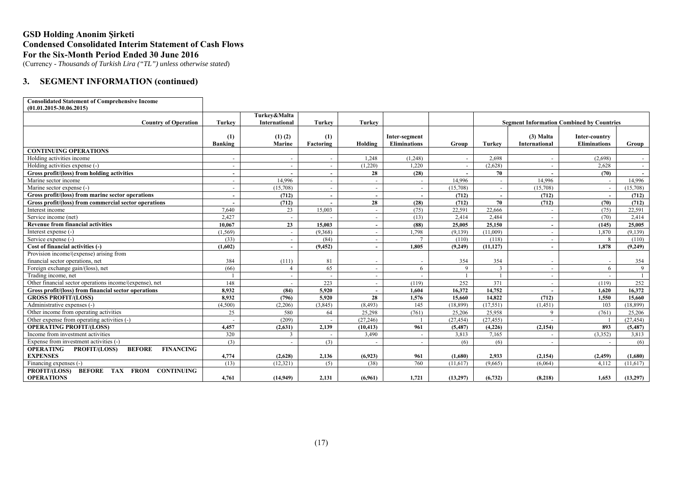(Currency - *Thousands of Turkish Lira ("TL") unless otherwise stated*)

# **3. SEGMENT INFORMATION (continued)**

| <b>Consolidated Statement of Comprehensive Income</b>                  |                          |                              |                  |                          |                                      |           |               |                          |                                                  |           |
|------------------------------------------------------------------------|--------------------------|------------------------------|------------------|--------------------------|--------------------------------------|-----------|---------------|--------------------------|--------------------------------------------------|-----------|
| $(01.01.2015 - 30.06.2015)$                                            |                          |                              |                  |                          |                                      |           |               |                          |                                                  |           |
|                                                                        |                          | Turkey&Malta                 |                  |                          |                                      |           |               |                          |                                                  |           |
| <b>Country of Operation</b>                                            | <b>Turkey</b>            | <b>International</b>         | <b>Turkey</b>    | Turkey                   |                                      |           |               |                          | <b>Segment Information Combined by Countries</b> |           |
|                                                                        |                          |                              |                  |                          |                                      |           |               | (3) Malta                |                                                  |           |
|                                                                        | (1)<br>Banking           | $(1)$ $(2)$<br><b>Marine</b> | (1)<br>Factoring | Holding                  | Inter-segment<br><b>Eliminations</b> | Group     | <b>Turkey</b> | International            | Inter-country<br><b>Eliminations</b>             | Group     |
| <b>CONTINUING OPERATIONS</b>                                           |                          |                              |                  |                          |                                      |           |               |                          |                                                  |           |
| Holding activities income                                              | $\overline{\phantom{a}}$ | $\overline{\phantom{a}}$     |                  | 1,248                    | (1,248)                              |           | 2.698         | $\overline{a}$           | (2.698)                                          | $\sim$    |
| Holding activities expense (-)                                         | $\sim$                   | $\overline{a}$               |                  | (1,220)                  | 1.220                                |           | (2.628)       | $\sim$                   | 2.628                                            | $\sim$    |
| Gross profit/(loss) from holding activities                            | $\sim$                   |                              |                  | 28                       | (28)                                 |           | 70            |                          | (70)                                             | $\sim$    |
| Marine sector income                                                   |                          | 14,996                       |                  | $\sim$                   |                                      | 14.996    |               | 14,996                   |                                                  | 14,996    |
| Marine sector expense (-)                                              |                          | (15,708)                     |                  | $\sim$                   |                                      | (15,708)  |               | (15,708)                 |                                                  | (15,708)  |
| Gross profit/(loss) from marine sector operations                      |                          | (712)                        |                  | $\sim$                   |                                      | (712)     |               | (712)                    |                                                  | (712)     |
| Gross profit/(loss) from commercial sector operations                  |                          | (712)                        |                  | 28                       | (28)                                 | (712)     | 70            | (712)                    | (70)                                             | (712)     |
| Interest income                                                        | 7,640                    | 23                           | 15,003           | $\sim$                   | (75)                                 | 22,591    | 22.666        | $\sim$                   | (75)                                             | 22,591    |
| Service income (net)                                                   | 2.427                    | $\sim$                       |                  | $\sim$                   | (13)                                 | 2.414     | 2.484         | $\sim$                   | (70)                                             | 2.414     |
| <b>Revenue from financial activities</b>                               | 10.067                   | 23                           | 15.003           | $\sim$                   | (88)                                 | 25.005    | 25.150        | $\sim$                   | (145)                                            | 25,005    |
| Interest expense (-)                                                   | (1, 569)                 | $\sim$                       | (9,368)          | $\sim$                   | 1,798                                | (9,139)   | (11,009)      | $\sim$                   | 1,870                                            | (9,139)   |
| Service expense (-)                                                    | (33)                     | $\sim$                       | (84)             | $\sim$                   |                                      | (110)     | (118)         | $\sim$                   | 8                                                | (110)     |
| Cost of financial activities (-)                                       | (1.602)                  |                              | (9.452)          | $\sim$                   | 1.805                                | (9.249)   | (11.127)      | $\sim$                   | 1.878                                            | (9,249)   |
| Provision income/(expense) arising from                                |                          |                              |                  |                          |                                      |           |               |                          |                                                  |           |
| financial sector operations, net                                       | 384                      | (111)                        | 81               |                          |                                      | 354       | 354           |                          |                                                  | 354       |
| Foreign exchange gain/(loss), net                                      | (66)                     | $\overline{4}$               | 65               | $\sim$                   | 6                                    | 9         | $\mathbf{3}$  | $\overline{\phantom{a}}$ | 6                                                | 9         |
| Trading income, net                                                    |                          |                              |                  | $\sim$                   |                                      |           |               | $\overline{\phantom{a}}$ |                                                  |           |
| Other financial sector operations income/(expense), net                | 148                      |                              | 223              | $\sim$                   | (119)                                | 252       | 371           | $\overline{\phantom{a}}$ | (119)                                            | 252       |
| Gross profit/(loss) from financial sector operations                   | 8,932                    | (84)                         | 5,920            | $\overline{\phantom{a}}$ | 1.604                                | 16,372    | 14,752        |                          | 1,620                                            | 16,372    |
| <b>GROSS PROFIT/(LOSS)</b>                                             | 8,932                    | (796)                        | 5,920            | 28                       | 1.576                                | 15.660    | 14,822        | (712)                    | 1.550                                            | 15.660    |
| Administrative expenses (-)                                            | (4,500)                  | (2,206)                      | (3,845)          | (8, 493)                 | 145                                  | (18,899)  | (17,551)      | (1,451)                  | 103                                              | (18.899)  |
| Other income from operating activities                                 | 25                       | 580                          | 64               | 25,298                   | (761)                                | 25,206    | 25,958        | $\mathbf{Q}$             | (761)                                            | 25,206    |
| Other expense from operating activities (-)                            | $\sim$                   | (209)                        |                  | (27, 246)                |                                      | (27, 454) | (27, 455)     | $\overline{a}$           |                                                  | (27, 454) |
| <b>OPERATING PROFIT/(LOSS)</b>                                         | 4,457                    | (2,631)                      | 2,139            | (10, 413)                | 961                                  | (5, 487)  | (4,226)       | (2, 154)                 | 893                                              | (5.487)   |
| Income from investment activities                                      | 320                      | 3                            |                  | 3,490                    | $\sim$                               | 3,813     | 7,165         | $\sim$                   | (3,352)                                          | 3,813     |
| Expense from investment activities (-)                                 | (3)                      | $\overline{\phantom{a}}$     | (3)              |                          | $\overline{\phantom{a}}$             | (6)       | (6)           | $\sim$                   | $\overline{\phantom{a}}$                         | (6)       |
| <b>OPERATING</b><br><b>BEFORE</b><br><b>FINANCING</b><br>PROFIT/(LOSS) |                          |                              |                  |                          |                                      |           |               |                          |                                                  |           |
| <b>EXPENSES</b>                                                        | 4,774                    | (2,628)                      | 2,136            | (6,923)                  | 961                                  | (1,680)   | 2,933         | (2, 154)                 | (2, 459)                                         | (1,680)   |
| Financing expenses (-)                                                 | (13)                     | (12, 321)                    | (5)              | (38)                     | 760                                  | (11,617)  | (9,665)       | (6,064)                  | 4,112                                            | (11,617)  |
| <b>BEFORE TAX</b><br>PROFIT/(LOSS)<br><b>FROM</b><br><b>CONTINUING</b> |                          |                              |                  |                          |                                      |           |               |                          |                                                  |           |
| <b>OPERATIONS</b>                                                      | 4,761                    | (14,949)                     | 2.131            | (6,961)                  | 1,721                                | (13,297)  | (6, 732)      | (8,218)                  | 1,653                                            | (13,297)  |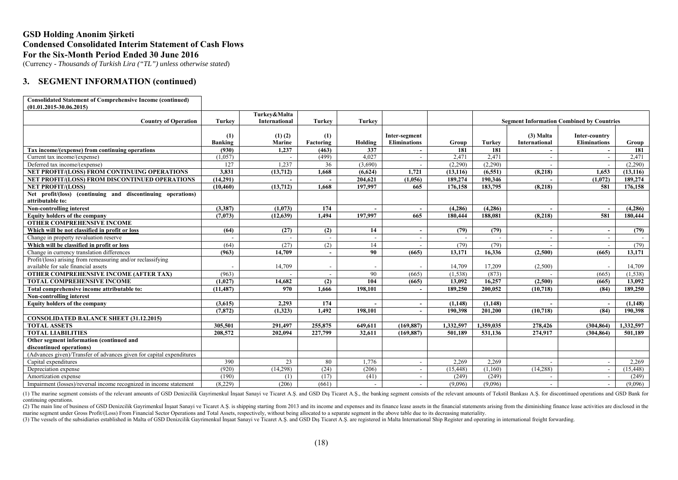(Currency - *Thousands of Turkish Lira ("TL") unless otherwise stated*)

### **3. SEGMENT INFORMATION (continued)**

| Turkey&Malta<br><b>Turkey</b><br><b>Country of Operation</b><br><b>International</b><br><b>Turkey</b><br>Turkey<br><b>Segment Information Combined by Countries</b><br>$(1)$ $(2)$<br>(1)<br>(1)<br>$(3)$ Malta<br>Inter-segment<br>Inter-country<br>Marine<br><b>Eliminations</b><br>International<br><b>Eliminations</b><br>Banking<br>Holding<br><b>Turkey</b><br>Factoring<br>Group<br>Group<br>1,237<br>337<br>181<br>181<br>(930)<br>Tax income/(expense) from continuing operations<br>(463)<br>181<br>$\overline{a}$<br>$\sim$<br>$\sim$<br>2,471<br>(1,057)<br>4.027<br>2,471<br>2,471<br>Current tax income/(expense)<br>(499)<br>$\overline{\phantom{a}}$<br>$\sim$<br>$\overline{\phantom{a}}$<br>127<br>1,237<br>(3,690)<br>(2,290)<br>(2,290)<br>Deferred tax income/(expense)<br>36<br>(2,290)<br>$\overline{\phantom{a}}$<br>$\overline{\phantom{a}}$<br><b>NET PROFIT/(LOSS) FROM CONTINUING OPERATIONS</b><br>3.831<br>(13, 712)<br>1.668<br>(6,624)<br>1.721<br>(13, 116)<br>(6.551)<br>1.653<br>(13, 116)<br>(8,218)<br>(14,291)<br>204.621<br>189,274<br>190,346<br>(1,072)<br>NET PROFIT/(LOSS) FROM DISCONTINUED OPERATIONS<br>(1,056)<br>189,274<br><b>NET PROFIT/(LOSS)</b><br>(10, 460)<br>(13,712)<br>1.668<br>197,997<br>665<br>176.158<br>183,795<br>581<br>176,158<br>(8,218)<br>Net profit/(loss) (continuing and discontinuing operations)<br>attributable to:<br><b>Non-controlling interest</b><br>(3,387)<br>(1,073)<br>174<br>(4,286)<br>(4,286)<br>(4, 286)<br>$\overline{\phantom{a}}$<br>$\overline{a}$<br>197,997<br>665<br>188,081<br>581<br>180,444<br><b>Equity holders of the company</b><br>(7.073)<br>(12.639)<br>1.494<br>180,444<br>(8,218)<br><b>OTHER COMPREHENSIVE INCOME</b><br>Which will be not classified in profit or loss<br>14<br>(64)<br>(27)<br>(2)<br>(79)<br>(79)<br>(79)<br>$\overline{\phantom{a}}$<br>$\overline{\phantom{a}}$<br>$\overline{\phantom{0}}$<br>Change in property revaluation reserve<br>Which will be classified in profit or loss<br>(64)<br>(27)<br>(2)<br>14<br>(79)<br>(79)<br>(79)<br>$\overline{\phantom{a}}$<br>$\overline{\phantom{a}}$<br>Change in currency translation differences<br>90<br>(665)<br>(2,500)<br>(963)<br>14,709<br>13,171<br>16,336<br>(665)<br>13,171<br>$\overline{\phantom{0}}$<br>Profit/(loss) arising from remeasuring and/or reclassifying<br>available for sale financial assets<br>14,709<br>14,709<br>17,209<br>(2,500)<br>14,709<br>$\overline{\phantom{0}}$<br><b>OTHER COMPREHENSIVE INCOME (AFTER TAX)</b><br>(963)<br>90<br>(1, 538)<br>(873)<br>(1,538)<br>(665)<br>(665)<br>$\overline{\phantom{0}}$<br><b>TOTAL COMPREHENSIVE INCOME</b><br>14.682<br>104<br>13.092<br>13,092<br>(1.027)<br>(2)<br>(665)<br>16,257<br>(2,500)<br>(665)<br>(11, 487)<br>970<br>198,101<br>189,250<br>200,052<br>189,250<br>Total comprehensive income attributable to:<br>1,666<br>(10, 718)<br>(84)<br>$\overline{\phantom{a}}$<br>Non-controlling interest<br>(3,615)<br>2,293<br>174<br><b>Equity holders of the company</b><br>(1, 148)<br>(1,148)<br>(1,148)<br>$\overline{a}$<br>201.200<br>(7, 872)<br>(1,323)<br>1.492<br>198.101<br>190.398<br>(10, 718)<br>(84)<br>190.398<br>$\overline{\phantom{a}}$<br><b>CONSOLIDATED BALANCE SHEET (31.12.2015)</b> | <b>Consolidated Statement of Comprehensive Income (continued)</b> |         |         |         |         |            |           |           |         |            |           |
|---------------------------------------------------------------------------------------------------------------------------------------------------------------------------------------------------------------------------------------------------------------------------------------------------------------------------------------------------------------------------------------------------------------------------------------------------------------------------------------------------------------------------------------------------------------------------------------------------------------------------------------------------------------------------------------------------------------------------------------------------------------------------------------------------------------------------------------------------------------------------------------------------------------------------------------------------------------------------------------------------------------------------------------------------------------------------------------------------------------------------------------------------------------------------------------------------------------------------------------------------------------------------------------------------------------------------------------------------------------------------------------------------------------------------------------------------------------------------------------------------------------------------------------------------------------------------------------------------------------------------------------------------------------------------------------------------------------------------------------------------------------------------------------------------------------------------------------------------------------------------------------------------------------------------------------------------------------------------------------------------------------------------------------------------------------------------------------------------------------------------------------------------------------------------------------------------------------------------------------------------------------------------------------------------------------------------------------------------------------------------------------------------------------------------------------------------------------------------------------------------------------------------------------------------------------------------------------------------------------------------------------------------------------------------------------------------------------------------------------------------------------------------------------------------------------------------------------------------------------------------------------------------------------------------------------------------------------------------------------------------------------------------------------------------------------------------------------------------------------------------------------------------------------------------------------------------------------------------------------------------------------------------------|-------------------------------------------------------------------|---------|---------|---------|---------|------------|-----------|-----------|---------|------------|-----------|
|                                                                                                                                                                                                                                                                                                                                                                                                                                                                                                                                                                                                                                                                                                                                                                                                                                                                                                                                                                                                                                                                                                                                                                                                                                                                                                                                                                                                                                                                                                                                                                                                                                                                                                                                                                                                                                                                                                                                                                                                                                                                                                                                                                                                                                                                                                                                                                                                                                                                                                                                                                                                                                                                                                                                                                                                                                                                                                                                                                                                                                                                                                                                                                                                                                                                                 | $(01.01.2015 - 30.06.2015)$                                       |         |         |         |         |            |           |           |         |            |           |
|                                                                                                                                                                                                                                                                                                                                                                                                                                                                                                                                                                                                                                                                                                                                                                                                                                                                                                                                                                                                                                                                                                                                                                                                                                                                                                                                                                                                                                                                                                                                                                                                                                                                                                                                                                                                                                                                                                                                                                                                                                                                                                                                                                                                                                                                                                                                                                                                                                                                                                                                                                                                                                                                                                                                                                                                                                                                                                                                                                                                                                                                                                                                                                                                                                                                                 |                                                                   |         |         |         |         |            |           |           |         |            |           |
|                                                                                                                                                                                                                                                                                                                                                                                                                                                                                                                                                                                                                                                                                                                                                                                                                                                                                                                                                                                                                                                                                                                                                                                                                                                                                                                                                                                                                                                                                                                                                                                                                                                                                                                                                                                                                                                                                                                                                                                                                                                                                                                                                                                                                                                                                                                                                                                                                                                                                                                                                                                                                                                                                                                                                                                                                                                                                                                                                                                                                                                                                                                                                                                                                                                                                 |                                                                   |         |         |         |         |            |           |           |         |            |           |
|                                                                                                                                                                                                                                                                                                                                                                                                                                                                                                                                                                                                                                                                                                                                                                                                                                                                                                                                                                                                                                                                                                                                                                                                                                                                                                                                                                                                                                                                                                                                                                                                                                                                                                                                                                                                                                                                                                                                                                                                                                                                                                                                                                                                                                                                                                                                                                                                                                                                                                                                                                                                                                                                                                                                                                                                                                                                                                                                                                                                                                                                                                                                                                                                                                                                                 |                                                                   |         |         |         |         |            |           |           |         |            |           |
|                                                                                                                                                                                                                                                                                                                                                                                                                                                                                                                                                                                                                                                                                                                                                                                                                                                                                                                                                                                                                                                                                                                                                                                                                                                                                                                                                                                                                                                                                                                                                                                                                                                                                                                                                                                                                                                                                                                                                                                                                                                                                                                                                                                                                                                                                                                                                                                                                                                                                                                                                                                                                                                                                                                                                                                                                                                                                                                                                                                                                                                                                                                                                                                                                                                                                 |                                                                   |         |         |         |         |            |           |           |         |            |           |
|                                                                                                                                                                                                                                                                                                                                                                                                                                                                                                                                                                                                                                                                                                                                                                                                                                                                                                                                                                                                                                                                                                                                                                                                                                                                                                                                                                                                                                                                                                                                                                                                                                                                                                                                                                                                                                                                                                                                                                                                                                                                                                                                                                                                                                                                                                                                                                                                                                                                                                                                                                                                                                                                                                                                                                                                                                                                                                                                                                                                                                                                                                                                                                                                                                                                                 |                                                                   |         |         |         |         |            |           |           |         |            |           |
|                                                                                                                                                                                                                                                                                                                                                                                                                                                                                                                                                                                                                                                                                                                                                                                                                                                                                                                                                                                                                                                                                                                                                                                                                                                                                                                                                                                                                                                                                                                                                                                                                                                                                                                                                                                                                                                                                                                                                                                                                                                                                                                                                                                                                                                                                                                                                                                                                                                                                                                                                                                                                                                                                                                                                                                                                                                                                                                                                                                                                                                                                                                                                                                                                                                                                 |                                                                   |         |         |         |         |            |           |           |         |            |           |
|                                                                                                                                                                                                                                                                                                                                                                                                                                                                                                                                                                                                                                                                                                                                                                                                                                                                                                                                                                                                                                                                                                                                                                                                                                                                                                                                                                                                                                                                                                                                                                                                                                                                                                                                                                                                                                                                                                                                                                                                                                                                                                                                                                                                                                                                                                                                                                                                                                                                                                                                                                                                                                                                                                                                                                                                                                                                                                                                                                                                                                                                                                                                                                                                                                                                                 |                                                                   |         |         |         |         |            |           |           |         |            |           |
|                                                                                                                                                                                                                                                                                                                                                                                                                                                                                                                                                                                                                                                                                                                                                                                                                                                                                                                                                                                                                                                                                                                                                                                                                                                                                                                                                                                                                                                                                                                                                                                                                                                                                                                                                                                                                                                                                                                                                                                                                                                                                                                                                                                                                                                                                                                                                                                                                                                                                                                                                                                                                                                                                                                                                                                                                                                                                                                                                                                                                                                                                                                                                                                                                                                                                 |                                                                   |         |         |         |         |            |           |           |         |            |           |
|                                                                                                                                                                                                                                                                                                                                                                                                                                                                                                                                                                                                                                                                                                                                                                                                                                                                                                                                                                                                                                                                                                                                                                                                                                                                                                                                                                                                                                                                                                                                                                                                                                                                                                                                                                                                                                                                                                                                                                                                                                                                                                                                                                                                                                                                                                                                                                                                                                                                                                                                                                                                                                                                                                                                                                                                                                                                                                                                                                                                                                                                                                                                                                                                                                                                                 |                                                                   |         |         |         |         |            |           |           |         |            |           |
|                                                                                                                                                                                                                                                                                                                                                                                                                                                                                                                                                                                                                                                                                                                                                                                                                                                                                                                                                                                                                                                                                                                                                                                                                                                                                                                                                                                                                                                                                                                                                                                                                                                                                                                                                                                                                                                                                                                                                                                                                                                                                                                                                                                                                                                                                                                                                                                                                                                                                                                                                                                                                                                                                                                                                                                                                                                                                                                                                                                                                                                                                                                                                                                                                                                                                 |                                                                   |         |         |         |         |            |           |           |         |            |           |
|                                                                                                                                                                                                                                                                                                                                                                                                                                                                                                                                                                                                                                                                                                                                                                                                                                                                                                                                                                                                                                                                                                                                                                                                                                                                                                                                                                                                                                                                                                                                                                                                                                                                                                                                                                                                                                                                                                                                                                                                                                                                                                                                                                                                                                                                                                                                                                                                                                                                                                                                                                                                                                                                                                                                                                                                                                                                                                                                                                                                                                                                                                                                                                                                                                                                                 |                                                                   |         |         |         |         |            |           |           |         |            |           |
|                                                                                                                                                                                                                                                                                                                                                                                                                                                                                                                                                                                                                                                                                                                                                                                                                                                                                                                                                                                                                                                                                                                                                                                                                                                                                                                                                                                                                                                                                                                                                                                                                                                                                                                                                                                                                                                                                                                                                                                                                                                                                                                                                                                                                                                                                                                                                                                                                                                                                                                                                                                                                                                                                                                                                                                                                                                                                                                                                                                                                                                                                                                                                                                                                                                                                 |                                                                   |         |         |         |         |            |           |           |         |            |           |
|                                                                                                                                                                                                                                                                                                                                                                                                                                                                                                                                                                                                                                                                                                                                                                                                                                                                                                                                                                                                                                                                                                                                                                                                                                                                                                                                                                                                                                                                                                                                                                                                                                                                                                                                                                                                                                                                                                                                                                                                                                                                                                                                                                                                                                                                                                                                                                                                                                                                                                                                                                                                                                                                                                                                                                                                                                                                                                                                                                                                                                                                                                                                                                                                                                                                                 |                                                                   |         |         |         |         |            |           |           |         |            |           |
|                                                                                                                                                                                                                                                                                                                                                                                                                                                                                                                                                                                                                                                                                                                                                                                                                                                                                                                                                                                                                                                                                                                                                                                                                                                                                                                                                                                                                                                                                                                                                                                                                                                                                                                                                                                                                                                                                                                                                                                                                                                                                                                                                                                                                                                                                                                                                                                                                                                                                                                                                                                                                                                                                                                                                                                                                                                                                                                                                                                                                                                                                                                                                                                                                                                                                 |                                                                   |         |         |         |         |            |           |           |         |            |           |
|                                                                                                                                                                                                                                                                                                                                                                                                                                                                                                                                                                                                                                                                                                                                                                                                                                                                                                                                                                                                                                                                                                                                                                                                                                                                                                                                                                                                                                                                                                                                                                                                                                                                                                                                                                                                                                                                                                                                                                                                                                                                                                                                                                                                                                                                                                                                                                                                                                                                                                                                                                                                                                                                                                                                                                                                                                                                                                                                                                                                                                                                                                                                                                                                                                                                                 |                                                                   |         |         |         |         |            |           |           |         |            |           |
|                                                                                                                                                                                                                                                                                                                                                                                                                                                                                                                                                                                                                                                                                                                                                                                                                                                                                                                                                                                                                                                                                                                                                                                                                                                                                                                                                                                                                                                                                                                                                                                                                                                                                                                                                                                                                                                                                                                                                                                                                                                                                                                                                                                                                                                                                                                                                                                                                                                                                                                                                                                                                                                                                                                                                                                                                                                                                                                                                                                                                                                                                                                                                                                                                                                                                 |                                                                   |         |         |         |         |            |           |           |         |            |           |
|                                                                                                                                                                                                                                                                                                                                                                                                                                                                                                                                                                                                                                                                                                                                                                                                                                                                                                                                                                                                                                                                                                                                                                                                                                                                                                                                                                                                                                                                                                                                                                                                                                                                                                                                                                                                                                                                                                                                                                                                                                                                                                                                                                                                                                                                                                                                                                                                                                                                                                                                                                                                                                                                                                                                                                                                                                                                                                                                                                                                                                                                                                                                                                                                                                                                                 |                                                                   |         |         |         |         |            |           |           |         |            |           |
|                                                                                                                                                                                                                                                                                                                                                                                                                                                                                                                                                                                                                                                                                                                                                                                                                                                                                                                                                                                                                                                                                                                                                                                                                                                                                                                                                                                                                                                                                                                                                                                                                                                                                                                                                                                                                                                                                                                                                                                                                                                                                                                                                                                                                                                                                                                                                                                                                                                                                                                                                                                                                                                                                                                                                                                                                                                                                                                                                                                                                                                                                                                                                                                                                                                                                 |                                                                   |         |         |         |         |            |           |           |         |            |           |
|                                                                                                                                                                                                                                                                                                                                                                                                                                                                                                                                                                                                                                                                                                                                                                                                                                                                                                                                                                                                                                                                                                                                                                                                                                                                                                                                                                                                                                                                                                                                                                                                                                                                                                                                                                                                                                                                                                                                                                                                                                                                                                                                                                                                                                                                                                                                                                                                                                                                                                                                                                                                                                                                                                                                                                                                                                                                                                                                                                                                                                                                                                                                                                                                                                                                                 |                                                                   |         |         |         |         |            |           |           |         |            |           |
|                                                                                                                                                                                                                                                                                                                                                                                                                                                                                                                                                                                                                                                                                                                                                                                                                                                                                                                                                                                                                                                                                                                                                                                                                                                                                                                                                                                                                                                                                                                                                                                                                                                                                                                                                                                                                                                                                                                                                                                                                                                                                                                                                                                                                                                                                                                                                                                                                                                                                                                                                                                                                                                                                                                                                                                                                                                                                                                                                                                                                                                                                                                                                                                                                                                                                 |                                                                   |         |         |         |         |            |           |           |         |            |           |
|                                                                                                                                                                                                                                                                                                                                                                                                                                                                                                                                                                                                                                                                                                                                                                                                                                                                                                                                                                                                                                                                                                                                                                                                                                                                                                                                                                                                                                                                                                                                                                                                                                                                                                                                                                                                                                                                                                                                                                                                                                                                                                                                                                                                                                                                                                                                                                                                                                                                                                                                                                                                                                                                                                                                                                                                                                                                                                                                                                                                                                                                                                                                                                                                                                                                                 |                                                                   |         |         |         |         |            |           |           |         |            |           |
|                                                                                                                                                                                                                                                                                                                                                                                                                                                                                                                                                                                                                                                                                                                                                                                                                                                                                                                                                                                                                                                                                                                                                                                                                                                                                                                                                                                                                                                                                                                                                                                                                                                                                                                                                                                                                                                                                                                                                                                                                                                                                                                                                                                                                                                                                                                                                                                                                                                                                                                                                                                                                                                                                                                                                                                                                                                                                                                                                                                                                                                                                                                                                                                                                                                                                 |                                                                   |         |         |         |         |            |           |           |         |            |           |
|                                                                                                                                                                                                                                                                                                                                                                                                                                                                                                                                                                                                                                                                                                                                                                                                                                                                                                                                                                                                                                                                                                                                                                                                                                                                                                                                                                                                                                                                                                                                                                                                                                                                                                                                                                                                                                                                                                                                                                                                                                                                                                                                                                                                                                                                                                                                                                                                                                                                                                                                                                                                                                                                                                                                                                                                                                                                                                                                                                                                                                                                                                                                                                                                                                                                                 |                                                                   |         |         |         |         |            |           |           |         |            |           |
|                                                                                                                                                                                                                                                                                                                                                                                                                                                                                                                                                                                                                                                                                                                                                                                                                                                                                                                                                                                                                                                                                                                                                                                                                                                                                                                                                                                                                                                                                                                                                                                                                                                                                                                                                                                                                                                                                                                                                                                                                                                                                                                                                                                                                                                                                                                                                                                                                                                                                                                                                                                                                                                                                                                                                                                                                                                                                                                                                                                                                                                                                                                                                                                                                                                                                 |                                                                   |         |         |         |         |            |           |           |         |            |           |
|                                                                                                                                                                                                                                                                                                                                                                                                                                                                                                                                                                                                                                                                                                                                                                                                                                                                                                                                                                                                                                                                                                                                                                                                                                                                                                                                                                                                                                                                                                                                                                                                                                                                                                                                                                                                                                                                                                                                                                                                                                                                                                                                                                                                                                                                                                                                                                                                                                                                                                                                                                                                                                                                                                                                                                                                                                                                                                                                                                                                                                                                                                                                                                                                                                                                                 |                                                                   |         |         |         |         |            |           |           |         |            |           |
|                                                                                                                                                                                                                                                                                                                                                                                                                                                                                                                                                                                                                                                                                                                                                                                                                                                                                                                                                                                                                                                                                                                                                                                                                                                                                                                                                                                                                                                                                                                                                                                                                                                                                                                                                                                                                                                                                                                                                                                                                                                                                                                                                                                                                                                                                                                                                                                                                                                                                                                                                                                                                                                                                                                                                                                                                                                                                                                                                                                                                                                                                                                                                                                                                                                                                 |                                                                   |         |         |         |         |            |           |           |         |            |           |
|                                                                                                                                                                                                                                                                                                                                                                                                                                                                                                                                                                                                                                                                                                                                                                                                                                                                                                                                                                                                                                                                                                                                                                                                                                                                                                                                                                                                                                                                                                                                                                                                                                                                                                                                                                                                                                                                                                                                                                                                                                                                                                                                                                                                                                                                                                                                                                                                                                                                                                                                                                                                                                                                                                                                                                                                                                                                                                                                                                                                                                                                                                                                                                                                                                                                                 |                                                                   |         |         |         |         |            |           |           |         |            |           |
|                                                                                                                                                                                                                                                                                                                                                                                                                                                                                                                                                                                                                                                                                                                                                                                                                                                                                                                                                                                                                                                                                                                                                                                                                                                                                                                                                                                                                                                                                                                                                                                                                                                                                                                                                                                                                                                                                                                                                                                                                                                                                                                                                                                                                                                                                                                                                                                                                                                                                                                                                                                                                                                                                                                                                                                                                                                                                                                                                                                                                                                                                                                                                                                                                                                                                 |                                                                   |         |         |         |         |            |           |           |         |            |           |
|                                                                                                                                                                                                                                                                                                                                                                                                                                                                                                                                                                                                                                                                                                                                                                                                                                                                                                                                                                                                                                                                                                                                                                                                                                                                                                                                                                                                                                                                                                                                                                                                                                                                                                                                                                                                                                                                                                                                                                                                                                                                                                                                                                                                                                                                                                                                                                                                                                                                                                                                                                                                                                                                                                                                                                                                                                                                                                                                                                                                                                                                                                                                                                                                                                                                                 |                                                                   |         |         |         |         |            |           |           |         |            |           |
|                                                                                                                                                                                                                                                                                                                                                                                                                                                                                                                                                                                                                                                                                                                                                                                                                                                                                                                                                                                                                                                                                                                                                                                                                                                                                                                                                                                                                                                                                                                                                                                                                                                                                                                                                                                                                                                                                                                                                                                                                                                                                                                                                                                                                                                                                                                                                                                                                                                                                                                                                                                                                                                                                                                                                                                                                                                                                                                                                                                                                                                                                                                                                                                                                                                                                 | <b>TOTAL ASSETS</b>                                               | 305.501 | 291.497 | 255,875 | 649,611 | (169, 887) | 1,332,597 | 1.359.035 | 278,426 | (304, 864) | 1,332,597 |
| <b>TOTAL LIABILITIES</b><br>208,572<br>227,799<br>32,611<br>274,917<br>202.094<br>(169, 887)<br>501,189<br>531,136<br>(304, 864)<br>501.189                                                                                                                                                                                                                                                                                                                                                                                                                                                                                                                                                                                                                                                                                                                                                                                                                                                                                                                                                                                                                                                                                                                                                                                                                                                                                                                                                                                                                                                                                                                                                                                                                                                                                                                                                                                                                                                                                                                                                                                                                                                                                                                                                                                                                                                                                                                                                                                                                                                                                                                                                                                                                                                                                                                                                                                                                                                                                                                                                                                                                                                                                                                                     |                                                                   |         |         |         |         |            |           |           |         |            |           |
| Other segment information (continued and                                                                                                                                                                                                                                                                                                                                                                                                                                                                                                                                                                                                                                                                                                                                                                                                                                                                                                                                                                                                                                                                                                                                                                                                                                                                                                                                                                                                                                                                                                                                                                                                                                                                                                                                                                                                                                                                                                                                                                                                                                                                                                                                                                                                                                                                                                                                                                                                                                                                                                                                                                                                                                                                                                                                                                                                                                                                                                                                                                                                                                                                                                                                                                                                                                        |                                                                   |         |         |         |         |            |           |           |         |            |           |
| discontinued operations)                                                                                                                                                                                                                                                                                                                                                                                                                                                                                                                                                                                                                                                                                                                                                                                                                                                                                                                                                                                                                                                                                                                                                                                                                                                                                                                                                                                                                                                                                                                                                                                                                                                                                                                                                                                                                                                                                                                                                                                                                                                                                                                                                                                                                                                                                                                                                                                                                                                                                                                                                                                                                                                                                                                                                                                                                                                                                                                                                                                                                                                                                                                                                                                                                                                        |                                                                   |         |         |         |         |            |           |           |         |            |           |
| (Advances given)/Transfer of advances given for capital expenditures                                                                                                                                                                                                                                                                                                                                                                                                                                                                                                                                                                                                                                                                                                                                                                                                                                                                                                                                                                                                                                                                                                                                                                                                                                                                                                                                                                                                                                                                                                                                                                                                                                                                                                                                                                                                                                                                                                                                                                                                                                                                                                                                                                                                                                                                                                                                                                                                                                                                                                                                                                                                                                                                                                                                                                                                                                                                                                                                                                                                                                                                                                                                                                                                            |                                                                   |         |         |         |         |            |           |           |         |            |           |
| 390<br>23<br>1,776<br>Capital expenditures<br>80<br>2.269<br>2,269<br>2,269<br>$\overline{\phantom{a}}$                                                                                                                                                                                                                                                                                                                                                                                                                                                                                                                                                                                                                                                                                                                                                                                                                                                                                                                                                                                                                                                                                                                                                                                                                                                                                                                                                                                                                                                                                                                                                                                                                                                                                                                                                                                                                                                                                                                                                                                                                                                                                                                                                                                                                                                                                                                                                                                                                                                                                                                                                                                                                                                                                                                                                                                                                                                                                                                                                                                                                                                                                                                                                                         |                                                                   |         |         |         |         |            |           |           |         |            |           |
| (920)<br>(14,298)<br>(24)<br>(206)<br>(15, 448)<br>(14, 288)<br>(15, 448)<br>(1,160)<br>Depreciation expense<br>$\overline{\phantom{a}}$                                                                                                                                                                                                                                                                                                                                                                                                                                                                                                                                                                                                                                                                                                                                                                                                                                                                                                                                                                                                                                                                                                                                                                                                                                                                                                                                                                                                                                                                                                                                                                                                                                                                                                                                                                                                                                                                                                                                                                                                                                                                                                                                                                                                                                                                                                                                                                                                                                                                                                                                                                                                                                                                                                                                                                                                                                                                                                                                                                                                                                                                                                                                        |                                                                   |         |         |         |         |            |           |           |         |            |           |
| (190)<br>(17)<br>(41)<br>(249)<br>Amortization expense<br>(1)<br>(249)<br>(249)                                                                                                                                                                                                                                                                                                                                                                                                                                                                                                                                                                                                                                                                                                                                                                                                                                                                                                                                                                                                                                                                                                                                                                                                                                                                                                                                                                                                                                                                                                                                                                                                                                                                                                                                                                                                                                                                                                                                                                                                                                                                                                                                                                                                                                                                                                                                                                                                                                                                                                                                                                                                                                                                                                                                                                                                                                                                                                                                                                                                                                                                                                                                                                                                 |                                                                   |         |         |         |         |            |           |           |         |            |           |
| (8,229)<br>(206)<br>(661)<br>(9,096)<br>(9,096)<br>(9,096)<br>Impairment (losses)/reversal income recognized in income statement<br>$\overline{\phantom{a}}$<br>$\overline{\phantom{a}}$                                                                                                                                                                                                                                                                                                                                                                                                                                                                                                                                                                                                                                                                                                                                                                                                                                                                                                                                                                                                                                                                                                                                                                                                                                                                                                                                                                                                                                                                                                                                                                                                                                                                                                                                                                                                                                                                                                                                                                                                                                                                                                                                                                                                                                                                                                                                                                                                                                                                                                                                                                                                                                                                                                                                                                                                                                                                                                                                                                                                                                                                                        |                                                                   |         |         |         |         |            |           |           |         |            |           |

(1) The marine segment consists of the relevant amounts of GSD Denizcilik Gavrimenkul Insaat Sanayi ve Ticaret A.S. and GSD Ds Ticaret A.S. the banking segment consists of the relevant amounts of Tekstil Bankası A.S. for d continuing operations.

(2) The main line of business of GSD Denizcilik Gayrimenkul Insaat Sanayi ve Ticaret A.S. is shipping starting from 2013 and its income and expenses and its finance lease assets in the financial statements arising from the marine segment under Gross Profit/(Loss) From Financial Sector Operations and Total Assets, respectively, without being allocated to a separate segment in the above table due to its decreasing materiality.<br>(3) The vessels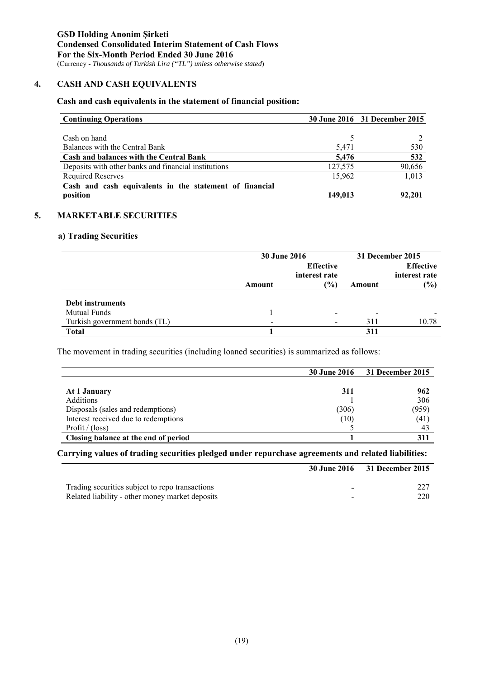# **4. CASH AND CASH EQUIVALENTS**

# **Cash and cash equivalents in the statement of financial position:**

| <b>Continuing Operations</b>                            |         | 30 June 2016 31 December 2015 |
|---------------------------------------------------------|---------|-------------------------------|
|                                                         |         |                               |
| Cash on hand                                            |         |                               |
| Balances with the Central Bank                          | 5,471   | 530                           |
| <b>Cash and balances with the Central Bank</b>          | 5,476   | 532                           |
| Deposits with other banks and financial institutions    | 127,575 | 90,656                        |
| <b>Required Reserves</b>                                | 15.962  | 1,013                         |
| Cash and cash equivalents in the statement of financial |         |                               |
| position                                                | 149,013 | 92,201                        |

### **5. MARKETABLE SECURITIES**

# **a) Trading Securities**

|                               | <b>30 June 2016</b>      | 31 December 2015 |                          |                |
|-------------------------------|--------------------------|------------------|--------------------------|----------------|
|                               |                          |                  | <b>Effective</b>         |                |
|                               |                          | interest rate    |                          | interest rate  |
|                               | Amount                   | $\frac{1}{2}$    | Amount                   | $\frac{10}{2}$ |
|                               |                          |                  |                          |                |
| Debt instruments              |                          |                  |                          |                |
| <b>Mutual Funds</b>           |                          |                  | $\overline{\phantom{0}}$ |                |
| Turkish government bonds (TL) | $\overline{\phantom{0}}$ | $\blacksquare$   | 311                      | 10.78          |
| <b>Total</b>                  |                          |                  | 311                      |                |

The movement in trading securities (including loaned securities) is summarized as follows:

|                                      | <b>30 June 2016</b> | 31 December 2015 |
|--------------------------------------|---------------------|------------------|
|                                      |                     |                  |
| At 1 January                         | 311                 | 962              |
| <b>Additions</b>                     |                     | 306              |
| Disposals (sales and redemptions)    | (306)               | (959)            |
| Interest received due to redemptions | (10)                | (41)             |
| Profit / $(\text{loss})$             |                     | 43               |
| Closing balance at the end of period |                     | 311              |

**Carrying values of trading securities pledged under repurchase agreements and related liabilities:** 

|                                                 | 30 June 2016 31 December 2015 |
|-------------------------------------------------|-------------------------------|
|                                                 |                               |
| Trading securities subject to repo transactions |                               |
| Related liability - other money market deposits | 220                           |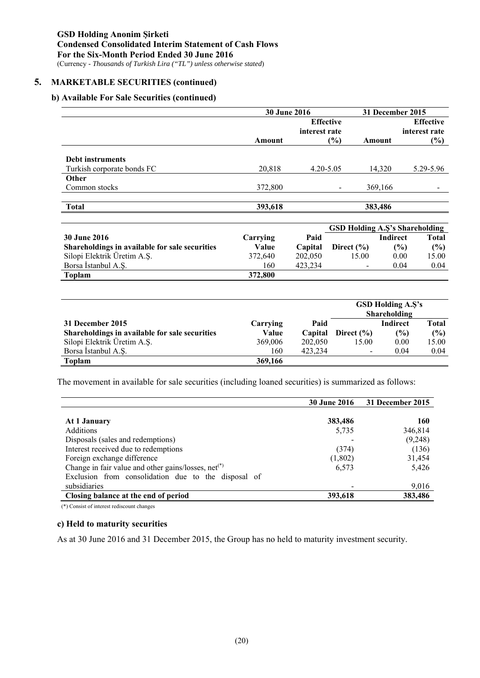### **5. MARKETABLE SECURITIES (continued)**

#### **b) Available For Sale Securities (continued)**

|         | 31 December 2015 |                     |                  |
|---------|------------------|---------------------|------------------|
|         | <b>Effective</b> |                     | <b>Effective</b> |
|         | interest rate    |                     | interest rate    |
| Amount  | (%)              | Amount              | (%)              |
|         |                  |                     |                  |
|         |                  |                     |                  |
| 20,818  | $4.20 - 5.05$    | 14.320              | 5.29-5.96        |
|         |                  |                     |                  |
| 372,800 |                  | 369,166             |                  |
|         |                  |                     |                  |
| 393,618 |                  | 383,486             |                  |
|         |                  | <b>30 June 2016</b> |                  |

|                                                |          |         | <b>GSD Holding A.S's Shareholding</b> |               |       |  |
|------------------------------------------------|----------|---------|---------------------------------------|---------------|-------|--|
| 30 June 2016                                   | Carrving | Paid    |                                       | Indirect      | Total |  |
| Shareholdings in available for sale securities | Value    | Capital | Direct $(\% )$                        | $\frac{9}{6}$ | (%)   |  |
| Silopi Elektrik Üretim A.Ş.                    | 372,640  | 202,050 | 15.00                                 | 0.00          | 15.00 |  |
| Borsa Istanbul A.S.                            | 160      | 423.234 | -                                     | 0.04          | 0.04  |  |
| <b>Toplam</b>                                  | 372,800  |         |                                       |               |       |  |

|                                                |          |         | <b>GSD Holding A.S's</b><br>Shareholding |          |       |
|------------------------------------------------|----------|---------|------------------------------------------|----------|-------|
| 31 December 2015                               | Carrying | Paid    |                                          | Indirect | Total |
| Shareholdings in available for sale securities | Value    | Capital | Direct $(\% )$                           | (%)      | (%)   |
| Silopi Elektrik Üretim A.Ş.                    | 369,006  | 202,050 | 15.00                                    | 0.00     | 15.00 |
| Borsa İstanbul A.S.                            | 160      | 423,234 | $\overline{\phantom{a}}$                 | 0.04     | 0.04  |
| <b>Toplam</b>                                  | 369,166  |         |                                          |          |       |

The movement in available for sale securities (including loaned securities) is summarized as follows:

|                                                                 | <b>30 June 2016</b> | 31 December 2015 |
|-----------------------------------------------------------------|---------------------|------------------|
|                                                                 |                     |                  |
| At 1 January                                                    | 383,486             | <b>160</b>       |
| <b>Additions</b>                                                | 5,735               | 346,814          |
| Disposals (sales and redemptions)                               |                     | (9,248)          |
| Interest received due to redemptions                            | (374)               | (136)            |
| Foreign exchange difference                                     | (1,802)             | 31,454           |
| Change in fair value and other gains/losses, net <sup>(*)</sup> | 6,573               | 5,426            |
| Exclusion from consolidation due to the disposal of             |                     |                  |
| subsidiaries                                                    |                     | 9,016            |
| Closing balance at the end of period                            | 393,618             | 383,486          |

(\*) Consist of interest rediscount changes

#### **c) Held to maturity securities**

As at 30 June 2016 and 31 December 2015, the Group has no held to maturity investment security.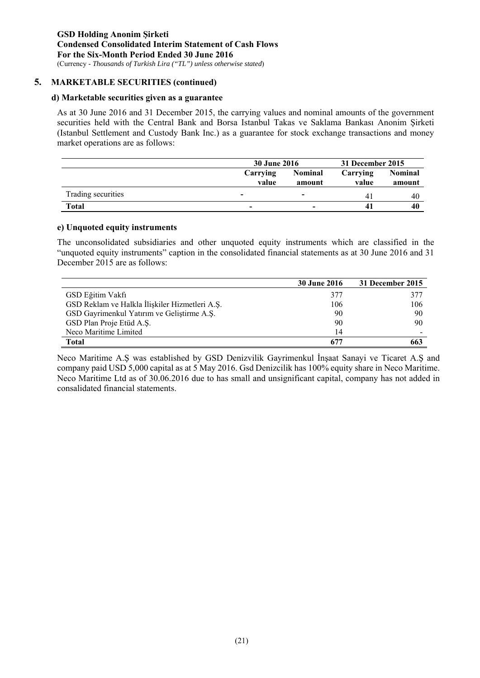### **5. MARKETABLE SECURITIES (continued)**

#### **d) Marketable securities given as a guarantee**

As at 30 June 2016 and 31 December 2015, the carrying values and nominal amounts of the government securities held with the Central Bank and Borsa Istanbul Takas ve Saklama Bankası Anonim Şirketi (Istanbul Settlement and Custody Bank Inc.) as a guarantee for stock exchange transactions and money market operations are as follows:

|                    | <b>30 June 2016</b>      |                          | 31 December 2015  |                          |  |
|--------------------|--------------------------|--------------------------|-------------------|--------------------------|--|
|                    | Carrying<br>value        | <b>Nominal</b><br>amount | Carrying<br>value | <b>Nominal</b><br>amount |  |
| Trading securities | $\overline{\phantom{a}}$ | $\overline{\phantom{0}}$ | 41                | -40                      |  |
| Total              | -                        |                          |                   | 40                       |  |

#### **e) Unquoted equity instruments**

The unconsolidated subsidiaries and other unquoted equity instruments which are classified in the "unquoted equity instruments" caption in the consolidated financial statements as at 30 June 2016 and 31 December 2015 are as follows:

|                                                | <b>30 June 2016</b> | 31 December 2015 |
|------------------------------------------------|---------------------|------------------|
| GSD Eğitim Vakfı                               | 377                 | 377              |
| GSD Reklam ve Halkla İlişkiler Hizmetleri A.Ş. | 106                 | 106              |
| GSD Gayrimenkul Yatırım ve Geliştirme A.Ş.     | 90                  | 90               |
| GSD Plan Proje Etüd A.Ş.                       | 90                  | 90               |
| Neco Maritime Limited                          | 14                  |                  |
| Total                                          |                     | 663              |

Neco Maritime A.Ş was established by GSD Denizvilik Gayrimenkul İnşaat Sanayi ve Ticaret A.Ş and company paid USD 5,000 capital as at 5 May 2016. Gsd Denizcilik has 100% equity share in Neco Maritime. Neco Maritime Ltd as of 30.06.2016 due to has small and unsignificant capital, company has not added in consalidated financial statements.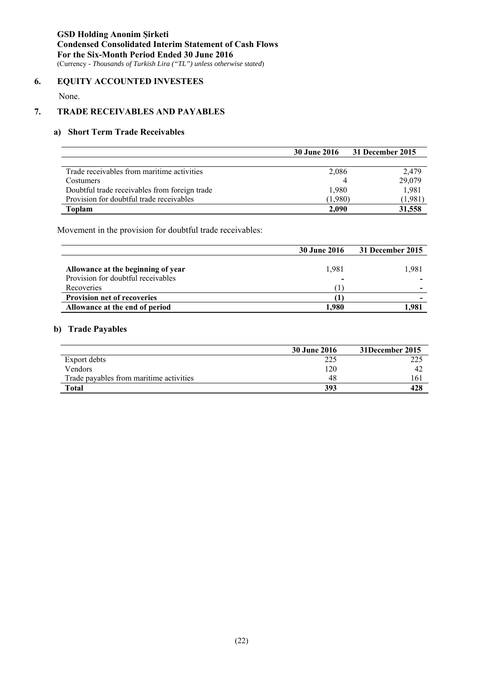### **6. EQUITY ACCOUNTED INVESTEES**

None.

# **7. TRADE RECEIVABLES AND PAYABLES**

# **a) Short Term Trade Receivables**

|                                               | <b>30 June 2016</b> | 31 December 2015 |
|-----------------------------------------------|---------------------|------------------|
|                                               |                     |                  |
| Trade receivables from maritime activities    | 2,086               | 2.479            |
| Costumers                                     |                     | 29,079           |
| Doubtful trade receivables from foreign trade | 1,980               | 1,981            |
| Provision for doubtful trade receivables      | (1,980)             | (1,981)          |
| Toplam                                        | 2.090               | 31,558           |

Movement in the provision for doubtful trade receivables:

|                                                                          | <b>30 June 2016</b> | 31 December 2015 |
|--------------------------------------------------------------------------|---------------------|------------------|
| Allowance at the beginning of year<br>Provision for doubtful receivables | 1,981<br>-          | 1.981            |
| Recoveries                                                               |                     |                  |
| <b>Provision net of recoveries</b>                                       |                     |                  |
| Allowance at the end of period                                           | .980                | .981             |

#### **b) Trade Payables**

|                                         | <b>30 June 2016</b> | 31December 2015 |
|-----------------------------------------|---------------------|-----------------|
| Export debts                            | 225                 | 225             |
| Vendors                                 | 120                 | 42              |
| Trade payables from maritime activities | 48                  | 161             |
| Total                                   | 393                 | 428             |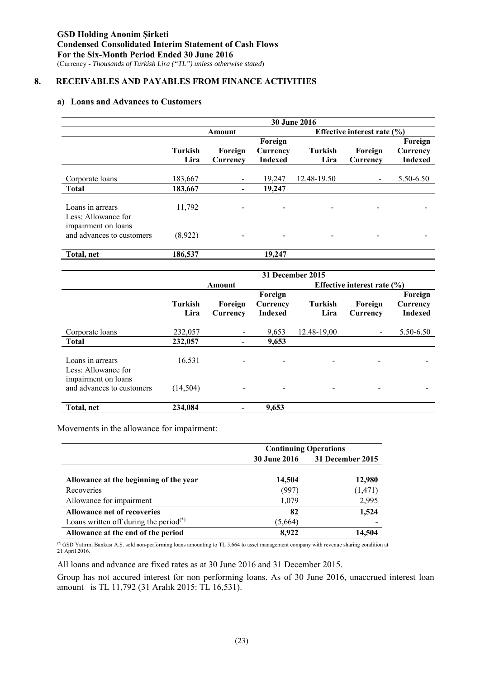# **8. RECEIVABLES AND PAYABLES FROM FINANCE ACTIVITIES**

#### **a) Loans and Advances to Customers**

|                                                  | 30 June 2016           |                          |                                       |                        |                               |                                       |
|--------------------------------------------------|------------------------|--------------------------|---------------------------------------|------------------------|-------------------------------|---------------------------------------|
|                                                  |                        | Amount                   |                                       |                        | Effective interest rate $(\%$ |                                       |
|                                                  | <b>Turkish</b><br>Lira | Foreign<br>Currency      | Foreign<br>Currency<br><b>Indexed</b> | <b>Turkish</b><br>Lira | Foreign<br>Currency           | Foreign<br>Currency<br><b>Indexed</b> |
| Corporate loans                                  | 183,667                |                          | 19,247                                | 12.48-19.50            |                               | 5.50-6.50                             |
| <b>Total</b>                                     | 183,667                | $\overline{\phantom{a}}$ | 19,247                                |                        |                               |                                       |
| Loans in arrears<br>Less: Allowance for          | 11,792                 |                          |                                       |                        |                               |                                       |
| impairment on loans<br>and advances to customers | (8,922)                |                          |                                       |                        |                               |                                       |
| Total, net                                       | 186,537                |                          | 19,247                                |                        |                               |                                       |

|                                                  | 31 December 2015       |                              |                                       |                        |                                 |                                       |
|--------------------------------------------------|------------------------|------------------------------|---------------------------------------|------------------------|---------------------------------|---------------------------------------|
|                                                  |                        | Amount                       |                                       |                        | Effective interest rate $(\% )$ |                                       |
|                                                  | <b>Turkish</b><br>Lira | Foreign<br>Currency          | Foreign<br>Currency<br><b>Indexed</b> | <b>Turkish</b><br>Lira | Foreign<br>Currency             | Foreign<br>Currency<br><b>Indexed</b> |
| Corporate loans                                  | 232,057                |                              | 9,653                                 | 12.48-19,00            |                                 | 5.50-6.50                             |
| <b>Total</b>                                     | 232,057                | -                            | 9,653                                 |                        |                                 |                                       |
| Loans in arrears<br>Less: Allowance for          | 16,531                 | $\qquad \qquad \blacksquare$ | $\overline{\phantom{a}}$              |                        | $\overline{\phantom{0}}$        |                                       |
| impairment on loans<br>and advances to customers | (14, 504)              |                              |                                       |                        |                                 |                                       |
| Total, net                                       | 234,084                |                              | 9,653                                 |                        |                                 |                                       |

Movements in the allowance for impairment:

|                                           | <b>Continuing Operations</b> |                  |  |
|-------------------------------------------|------------------------------|------------------|--|
|                                           | <b>30 June 2016</b>          | 31 December 2015 |  |
|                                           |                              |                  |  |
| Allowance at the beginning of the year    | 14,504                       | 12,980           |  |
| Recoveries                                | (997)                        | (1, 471)         |  |
| Allowance for impairment                  | 1,079                        | 2,995            |  |
| <b>Allowance net of recoveries</b>        | 82                           | 1,524            |  |
| Loans written off during the period $(*)$ | (5,664)                      |                  |  |
| Allowance at the end of the period        | 8,922                        | 14.504           |  |

(\*) GSD Yatırım Bankası A.Ş. sold non-performing loans amounting to TL 5,664 to asset management company with revenue sharing condition at 21 April 2016.

All loans and advance are fixed rates as at 30 June 2016 and 31 December 2015.

Group has not accured interest for non performing loans. As of 30 June 2016, unaccrued interest loan amount is TL 11,792 (31 Aralık 2015: TL 16,531).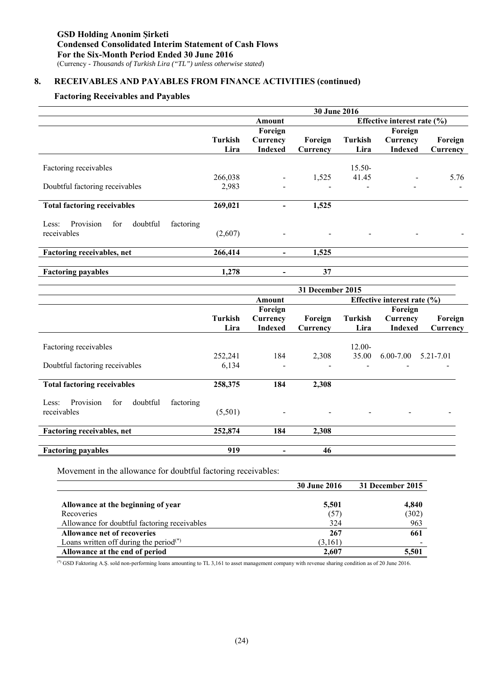# **8. RECEIVABLES AND PAYABLES FROM FINANCE ACTIVITIES (continued)**

# **Factoring Receivables and Payables**

|                                                    | 30 June 2016 |                          |          |                                 |                          |                          |  |
|----------------------------------------------------|--------------|--------------------------|----------|---------------------------------|--------------------------|--------------------------|--|
|                                                    |              | Amount                   |          | Effective interest rate $(\% )$ |                          |                          |  |
|                                                    |              | Foreign                  |          |                                 | Foreign                  |                          |  |
|                                                    | Turkish      | Currency                 | Foreign  | Turkish                         | Currency                 | Foreign                  |  |
|                                                    | Lira         | <b>Indexed</b>           | Currency | Lira                            | <b>Indexed</b>           | Currency                 |  |
| Factoring receivables                              |              |                          |          | 15.50-                          |                          |                          |  |
|                                                    | 266,038      |                          | 1,525    | 41.45                           |                          | 5.76                     |  |
| Doubtful factoring receivables                     | 2,983        |                          |          |                                 | $\overline{\phantom{a}}$ | $\overline{\phantom{a}}$ |  |
|                                                    |              |                          |          |                                 |                          |                          |  |
| <b>Total factoring receivables</b>                 | 269,021      |                          | 1,525    |                                 |                          |                          |  |
| Provision<br>for<br>doubtful<br>factoring<br>Less: |              |                          |          |                                 |                          |                          |  |
| receivables                                        | (2,607)      | $\overline{\phantom{a}}$ |          |                                 |                          |                          |  |
| Factoring receivables, net                         | 266,414      | $\blacksquare$           | 1,525    |                                 |                          |                          |  |
| <b>Factoring payables</b>                          | 1,278        |                          | 37       |                                 |                          |                          |  |
|                                                    |              |                          |          |                                 |                          |                          |  |

|                                                    | 31 December 2015 |                |          |                |                                 |           |
|----------------------------------------------------|------------------|----------------|----------|----------------|---------------------------------|-----------|
|                                                    |                  | Amount         |          |                | Effective interest rate $(\% )$ |           |
|                                                    |                  | Foreign        |          |                | Foreign                         |           |
|                                                    | <b>Turkish</b>   | Currency       | Foreign  | <b>Turkish</b> | Currency                        | Foreign   |
|                                                    | Lira             | <b>Indexed</b> | Currency | Lira           | <b>Indexed</b>                  | Currency  |
|                                                    |                  |                |          |                |                                 |           |
| Factoring receivables                              |                  |                |          | $12.00 -$      |                                 |           |
|                                                    | 252,241          | 184            | 2,308    | 35.00          | $6.00 - 7.00$                   | 5.21-7.01 |
| Doubtful factoring receivables                     | 6,134            |                |          |                |                                 |           |
|                                                    |                  |                |          |                |                                 |           |
| <b>Total factoring receivables</b>                 | 258,375          | 184            | 2,308    |                |                                 |           |
| Provision<br>doubtful<br>factoring<br>Less:<br>for |                  |                |          |                |                                 |           |
| receivables                                        | (5,501)          |                |          |                |                                 |           |
| <b>Factoring receivables, net</b>                  | 252,874          | 184            | 2,308    |                |                                 |           |
|                                                    |                  |                |          |                |                                 |           |
| <b>Factoring payables</b>                          | 919              |                | 46       |                |                                 |           |

Movement in the allowance for doubtful factoring receivables:

|                                                    | <b>30 June 2016</b> | 31 December 2015 |
|----------------------------------------------------|---------------------|------------------|
|                                                    |                     |                  |
| Allowance at the beginning of year                 | 5,501               | 4.840            |
| Recoveries                                         | (57)                | (302)            |
| Allowance for doubtful factoring receivables       | 324                 | 963              |
| <b>Allowance net of recoveries</b>                 | 267                 | 661              |
| Loans written off during the period <sup>(*)</sup> | (3,161)             |                  |
| Allowance at the end of period                     | 2,607               | 5,501            |

(\*) GSD Faktoring A.Ş. sold non-performing loans amounting to TL 3,161 to asset management company with revenue sharing condition as of 20 June 2016.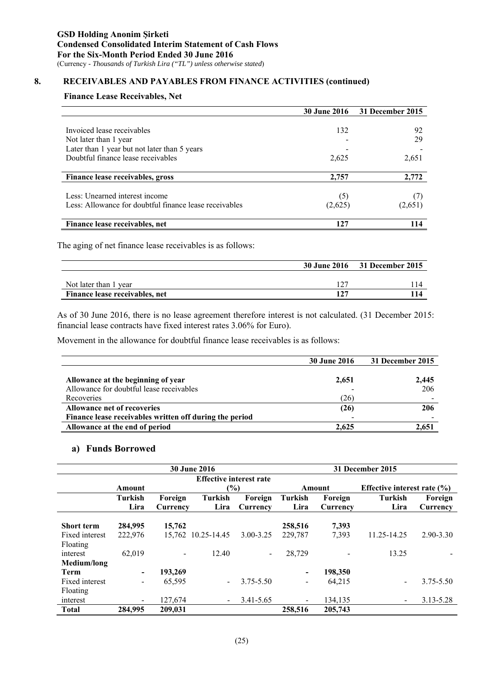# **8. RECEIVABLES AND PAYABLES FROM FINANCE ACTIVITIES (continued)**

#### **Finance Lease Receivables, Net**

|                                                        | <b>30 June 2016</b> | 31 December 2015 |
|--------------------------------------------------------|---------------------|------------------|
|                                                        |                     |                  |
| Invoiced lease receivables                             | 132                 | 92               |
| Not later than 1 year                                  |                     | 29               |
| Later than 1 year but not later than 5 years           |                     |                  |
| Doubtful finance lease receivables                     | 2,625               | 2,651            |
|                                                        |                     |                  |
| Finance lease receivables, gross                       | 2,757               | 2,772            |
|                                                        |                     |                  |
| Less: Unearned interest income                         | (5)                 |                  |
| Less: Allowance for doubtful finance lease receivables | (2,625)             | (2,651)          |
| Finance lease receivables, net                         | 127                 |                  |

The aging of net finance lease receivables is as follows:

|                                |     | 30 June 2016 31 December 2015 |  |
|--------------------------------|-----|-------------------------------|--|
|                                |     |                               |  |
| Not later than 1 year          |     |                               |  |
| Finance lease receivables, net | 127 |                               |  |

As of 30 June 2016, there is no lease agreement therefore interest is not calculated. (31 December 2015: financial lease contracts have fixed interest rates 3.06% for Euro).

Movement in the allowance for doubtful finance lease receivables is as follows:

|                                                         | <b>30 June 2016</b> | 31 December 2015 |
|---------------------------------------------------------|---------------------|------------------|
| Allowance at the beginning of year                      | 2,651               | 2,445            |
| Allowance for doubtful lease receivables                |                     | 206              |
| Recoveries                                              | (26)                |                  |
| <b>Allowance net of recoveries</b>                      | (26)                | 206              |
| Finance lease receivables written off during the period |                     |                  |
| Allowance at the end of period                          | 2.625               | 2.651            |

# **a) Funds Borrowed**

|                   | <b>30 June 2016</b>      |          |                                |               |                          | 31 December 2015 |                                 |           |  |
|-------------------|--------------------------|----------|--------------------------------|---------------|--------------------------|------------------|---------------------------------|-----------|--|
|                   |                          |          | <b>Effective interest rate</b> |               |                          |                  |                                 |           |  |
|                   | Amount                   |          | $\frac{6}{6}$                  |               |                          | Amount           | Effective interest rate $(\% )$ |           |  |
|                   | <b>Turkish</b>           | Foreign  | <b>Turkish</b>                 | Foreign       | <b>Turkish</b>           | Foreign          | <b>Turkish</b>                  | Foreign   |  |
|                   | Lira                     | Currency | Lira                           | Currency      | Lira                     | Currency         | Lira                            | Currency  |  |
| <b>Short term</b> | 284,995                  | 15,762   |                                |               | 258,516                  | 7,393            |                                 |           |  |
| Fixed interest    | 222,976                  | 15.762   | 10.25-14.45                    | $3.00 - 3.25$ | 229,787                  | 7,393            | 11.25-14.25                     | 2.90-3.30 |  |
| Floating          |                          |          |                                |               |                          |                  |                                 |           |  |
| interest          | 62,019                   |          | 12.40                          |               | 28,729                   |                  | 13.25                           |           |  |
| Medium/long       |                          |          |                                |               |                          |                  |                                 |           |  |
| <b>Term</b>       | $\overline{\phantom{0}}$ | 193,269  |                                |               | $\overline{\phantom{a}}$ | 198,350          |                                 |           |  |
| Fixed interest    | -                        | 65,595   |                                | $3.75 - 5.50$ | $\overline{\phantom{a}}$ | 64,215           | ۰                               | 3.75-5.50 |  |
| Floating          |                          |          |                                |               |                          |                  |                                 |           |  |
| interest          | $\overline{\phantom{a}}$ | 127,674  | $\blacksquare$                 | 3.41-5.65     |                          | 134,135          |                                 | 3.13-5.28 |  |
| <b>Total</b>      | 284,995                  | 209,031  |                                |               | 258,516                  | 205,743          |                                 |           |  |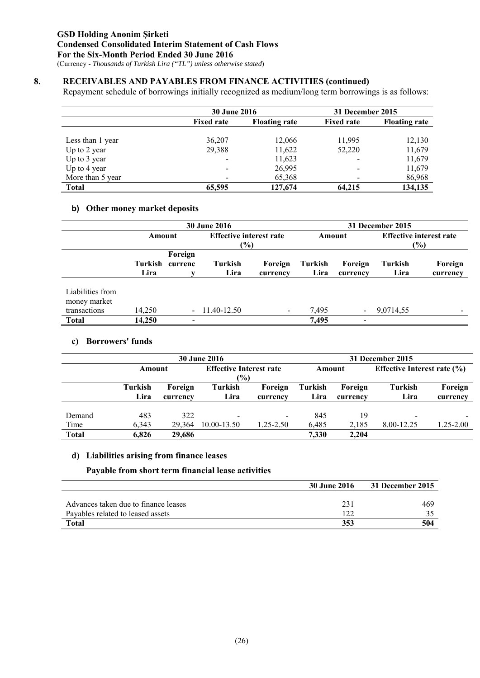# **8. RECEIVABLES AND PAYABLES FROM FINANCE ACTIVITIES (continued)**

Repayment schedule of borrowings initially recognized as medium/long term borrowings is as follows:

|                  | <b>30 June 2016</b>                       |         | 31 December 2015         |                      |  |
|------------------|-------------------------------------------|---------|--------------------------|----------------------|--|
|                  | <b>Fixed rate</b><br><b>Floating rate</b> |         | <b>Fixed rate</b>        | <b>Floating rate</b> |  |
| Less than 1 year | 36,207                                    | 12,066  | 11,995                   | 12,130               |  |
| Up to 2 year     | 29,388                                    | 11,622  | 52,220                   | 11,679               |  |
| Up to 3 year     |                                           | 11,623  | $\overline{\phantom{0}}$ | 11,679               |  |
| Up to 4 year     |                                           | 26,995  | $\overline{\phantom{a}}$ | 11,679               |  |
| More than 5 year |                                           | 65,368  | $\overline{\phantom{0}}$ | 86,968               |  |
| <b>Total</b>     | 65,595                                    | 127,674 | 64,215                   | 134,135              |  |

# **b) Other money market deposits**

|                                                  |                 |                          | <b>30 June 2016</b>    |                                |                 |                          | 31 December 2015       |                                |
|--------------------------------------------------|-----------------|--------------------------|------------------------|--------------------------------|-----------------|--------------------------|------------------------|--------------------------------|
|                                                  | Amount          |                          |                        | <b>Effective interest rate</b> |                 | Amount                   |                        | <b>Effective interest rate</b> |
|                                                  |                 | $(\%)$                   |                        |                                |                 |                          | $(\%)$                 |                                |
|                                                  | Turkish<br>Lira | Foreign<br>currenc       | <b>Turkish</b><br>Lira | Foreign<br>currency            | Turkish<br>Lira | Foreign<br>currency      | <b>Turkish</b><br>Lira | Foreign<br>currency            |
| Liabilities from<br>money market<br>transactions | 14,250          |                          | $-11.40-12.50$         | $\blacksquare$                 | 7,495           | $\overline{\phantom{a}}$ | 9,0714,55              |                                |
| <b>Total</b>                                     | 14.250          | $\overline{\phantom{a}}$ |                        |                                | 7,495           | $\overline{\phantom{a}}$ |                        |                                |

#### **c) Borrowers' funds**

|              |               |          | <b>30 June 2016</b>            |               |         | 31 December 2015 |                                 |           |
|--------------|---------------|----------|--------------------------------|---------------|---------|------------------|---------------------------------|-----------|
|              | Amount        |          | <b>Effective Interest rate</b> |               | Amount  |                  | Effective Interest rate $(\% )$ |           |
|              | $\frac{6}{2}$ |          |                                |               |         |                  |                                 |           |
|              | Turkish       | Foreign  | Turkish                        | Foreign       | Turkish | Foreign          | Turkish                         | Foreign   |
|              | Lira          | currency | Lira                           | currency      | Lira    | currency         | Lira                            | currency  |
|              |               |          |                                |               |         |                  |                                 |           |
| Demand       | 483           | 322      | $\overline{\phantom{0}}$       |               | 845     | 19               | $\overline{\phantom{a}}$        |           |
| Time         | 6.343         | 29.364   | 10.00-13.50                    | $1.25 - 2.50$ | 6.485   | 2,185            | 8.00-12.25                      | 1.25-2.00 |
| <b>Total</b> | 6.826         | 29,686   |                                |               | 7.330   | 2,204            |                                 |           |

#### **d) Liabilities arising from finance leases**

#### **Payable from short term financial lease activities**

|                                      | 30 June 2016 | 31 December 2015 |
|--------------------------------------|--------------|------------------|
|                                      |              |                  |
| Advances taken due to finance leases | 231          | 469              |
| Pavables related to leased assets    | 122          |                  |
| <b>Total</b>                         | 353          | 504              |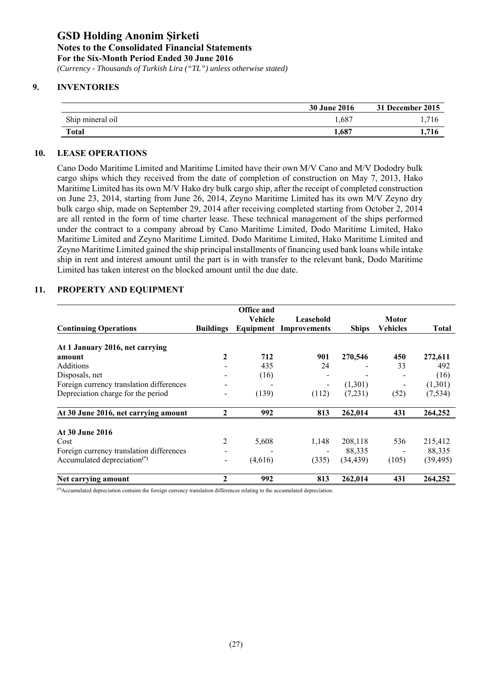*(Currency - Thousands of Turkish Lira ("TL") unless otherwise stated)*

# **9. INVENTORIES**

|                  | <b>30 June 2016</b> | 31 December 2015 |
|------------------|---------------------|------------------|
| Ship mineral oil | 1,687               | 716              |
| <b>Total</b>     | 687                 | .716             |

# **10. LEASE OPERATIONS**

Cano Dodo Maritime Limited and Maritime Limited have their own M/V Cano and M/V Dododry bulk cargo ships which they received from the date of completion of construction on May 7, 2013, Hako Maritime Limited has its own M/V Hako dry bulk cargo ship, after the receipt of completed construction on June 23, 2014, starting from June 26, 2014, Zeyno Maritime Limited has its own M/V Zeyno dry bulk cargo ship, made on September 29, 2014 after receiving completed starting from October 2, 2014 are all rented in the form of time charter lease. These technical management of the ships performed under the contract to a company abroad by Cano Maritime Limited, Dodo Maritime Limited, Hako Maritime Limited and Zeyno Maritime Limited. Dodo Maritime Limited, Hako Maritime Limited and Zeyno Maritime Limited gained the ship principal installments of financing used bank loans while intake ship in rent and interest amount until the part is in with transfer to the relevant bank, Dodo Maritime Limited has taken interest on the blocked amount until the due date.

|                                          |                  | <b>Office and</b><br><b>Vehicle</b> | Leasehold           |              | Motor                    |              |
|------------------------------------------|------------------|-------------------------------------|---------------------|--------------|--------------------------|--------------|
| <b>Continuing Operations</b>             | <b>Buildings</b> | Equipment                           | <b>Improvements</b> | <b>Ships</b> | <b>Vehicles</b>          | <b>Total</b> |
| At 1 January 2016, net carrying          |                  |                                     |                     |              |                          |              |
| amount                                   | 2                | 712                                 | 901                 | 270,546      | 450                      | 272,611      |
| Additions                                |                  | 435                                 | 24                  |              | 33                       | 492          |
| Disposals, net                           |                  | (16)                                |                     |              |                          | (16)         |
| Foreign currency translation differences |                  |                                     | -                   | (1,301)      | $\overline{\phantom{a}}$ | (1,301)      |
| Depreciation charge for the period       |                  | (139)                               | (112)               | (7,231)      | (52)                     | (7, 534)     |
| At 30 June 2016, net carrying amount     | $\mathbf{2}$     | 992                                 | 813                 | 262,014      | 431                      | 264,252      |
| At 30 June 2016                          |                  |                                     |                     |              |                          |              |
| Cost                                     | 2                | 5,608                               | 1,148               | 208,118      | 536                      | 215,412      |
| Foreign currency translation differences |                  |                                     |                     | 88,335       |                          | 88,335       |
| Accumulated depreciation <sup>(*)</sup>  | -                | (4,616)                             | (335)               | (34, 439)    | (105)                    | (39, 495)    |
| Net carrying amount                      | 2                | 992                                 | 813                 | 262,014      | 431                      | 264,252      |

# **11. PROPERTY AND EQUIPMENT**

**(\*)**Accumulated depreciation contains the foreign currency translation differences relating to the accumulated depreciation.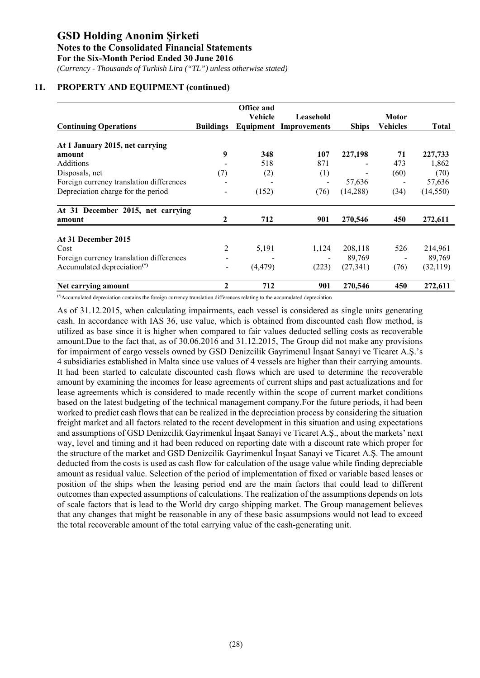*(Currency - Thousands of Turkish Lira ("TL") unless otherwise stated)*

# **11. PROPERTY AND EQUIPMENT (continued)**

|                                                                                     |                  | <b>Office and</b> |                               |              |                 |              |
|-------------------------------------------------------------------------------------|------------------|-------------------|-------------------------------|--------------|-----------------|--------------|
|                                                                                     |                  | Vehicle           | Leasehold                     |              | Motor           |              |
| <b>Continuing Operations</b>                                                        | <b>Buildings</b> |                   | <b>Equipment Improvements</b> | <b>Ships</b> | <b>Vehicles</b> | <b>Total</b> |
| At 1 January 2015, net carrying                                                     |                  |                   |                               |              |                 |              |
| amount                                                                              | 9                | 348               | 107                           | 227,198      | 71              | 227,733      |
| Additions                                                                           |                  | 518               | 871                           |              | 473             | 1,862        |
| Disposals, net                                                                      | (7)              | (2)               | (1)                           |              | (60)            | (70)         |
| Foreign currency translation differences                                            |                  |                   |                               | 57,636       |                 | 57,636       |
| Depreciation charge for the period                                                  |                  | (152)             | (76)                          | (14,288)     | (34)            | (14, 550)    |
| At 31 December 2015, net carrying                                                   |                  |                   |                               |              |                 |              |
| amount                                                                              |                  | 712               | 901                           | 270,546      | 450             | 272,611      |
| At 31 December 2015                                                                 |                  |                   |                               |              |                 |              |
| Cost                                                                                | 2                | 5,191             | 1,124                         | 208,118      | 526             | 214,961      |
|                                                                                     |                  |                   |                               | 89,769       |                 | 89,769       |
| Foreign currency translation differences<br>Accumulated depreciation <sup>(*)</sup> |                  | (4, 479)          | (223)                         | (27, 341)    | (76)            | (32, 119)    |
|                                                                                     |                  |                   |                               |              |                 |              |
| Net carrying amount                                                                 | $\mathbf{2}$     | 712               | 901                           | 270,546      | 450             | 272,611      |

**(\*)**Accumulated depreciation contains the foreign currency translation differences relating to the accumulated depreciation.

As of 31.12.2015, when calculating impairments, each vessel is considered as single units generating cash. In accordance with IAS 36, use value, which is obtained from discounted cash flow method, is utilized as base since it is higher when compared to fair values deducted selling costs as recoverable amount.Due to the fact that, as of 30.06.2016 and 31.12.2015, The Group did not make any provisions for impairment of cargo vessels owned by GSD Denizcilik Gayrimenul İnşaat Sanayi ve Ticaret A.Ş.'s 4 subsidiaries established in Malta since use values of 4 vessels are higher than their carrying amounts. It had been started to calculate discounted cash flows which are used to determine the recoverable amount by examining the incomes for lease agreements of current ships and past actualizations and for lease agreements which is considered to made recently within the scope of current market conditions based on the latest budgeting of the technical management company.For the future periods, it had been worked to predict cash flows that can be realized in the depreciation process by considering the situation freight market and all factors related to the recent development in this situation and using expectations and assumptions of GSD Denizcilik Gayrimenkul İnşaat Sanayi ve Ticaret A.Ş., about the markets' next way, level and timing and it had been reduced on reporting date with a discount rate which proper for the structure of the market and GSD Denizcilik Gayrimenkul İnşaat Sanayi ve Ticaret A.Ş. The amount deducted from the costs is used as cash flow for calculation of the usage value while finding depreciable amount as residual value. Selection of the period of implementation of fixed or variable based leases or position of the ships when the leasing period end are the main factors that could lead to different outcomes than expected assumptions of calculations. The realization of the assumptions depends on lots of scale factors that is lead to the World dry cargo shipping market. The Group management believes that any changes that might be reasonable in any of these basic assumpsions would not lead to exceed the total recoverable amount of the total carrying value of the cash-generating unit.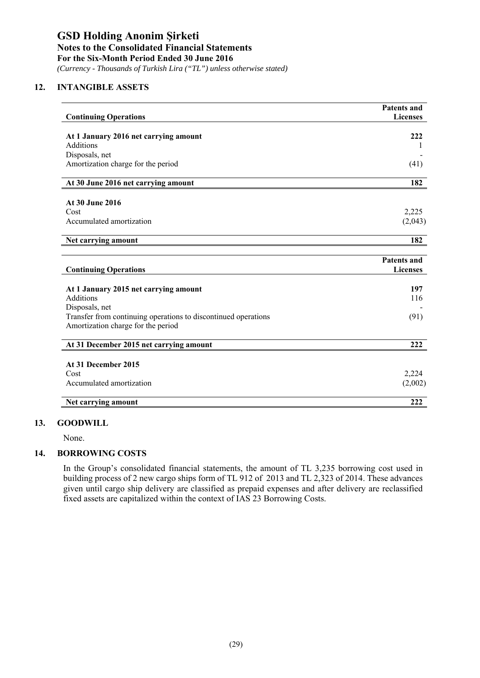*(Currency - Thousands of Turkish Lira ("TL") unless otherwise stated)*

# **12. INTANGIBLE ASSETS**

| <b>Continuing Operations</b>                                                                         | <b>Patents and</b><br><b>Licenses</b> |
|------------------------------------------------------------------------------------------------------|---------------------------------------|
|                                                                                                      |                                       |
| At 1 January 2016 net carrying amount                                                                | 222                                   |
| <b>Additions</b>                                                                                     | 1                                     |
| Disposals, net                                                                                       |                                       |
| Amortization charge for the period                                                                   | (41)                                  |
| At 30 June 2016 net carrying amount                                                                  | 182                                   |
|                                                                                                      |                                       |
| At 30 June 2016                                                                                      |                                       |
| Cost                                                                                                 | 2,225                                 |
| Accumulated amortization                                                                             | (2,043)                               |
| Net carrying amount                                                                                  | 182                                   |
|                                                                                                      |                                       |
|                                                                                                      |                                       |
|                                                                                                      | <b>Patents and</b>                    |
| <b>Continuing Operations</b>                                                                         | <b>Licenses</b>                       |
|                                                                                                      |                                       |
| At 1 January 2015 net carrying amount                                                                | 197                                   |
| <b>Additions</b>                                                                                     | 116                                   |
| Disposals, net                                                                                       |                                       |
| Transfer from continuing operations to discontinued operations<br>Amortization charge for the period | (91)                                  |
|                                                                                                      |                                       |
| At 31 December 2015 net carrying amount                                                              | 222                                   |
|                                                                                                      |                                       |
| At 31 December 2015                                                                                  |                                       |
| Cost                                                                                                 | 2,224                                 |
| Accumulated amortization                                                                             | (2,002)                               |

### **13. GOODWILL**

None.

# **14. BORROWING COSTS**

In the Group's consolidated financial statements, the amount of TL 3,235 borrowing cost used in building process of 2 new cargo ships form of TL 912 of 2013 and TL 2,323 of 2014. These advances given until cargo ship delivery are classified as prepaid expenses and after delivery are reclassified fixed assets are capitalized within the context of IAS 23 Borrowing Costs.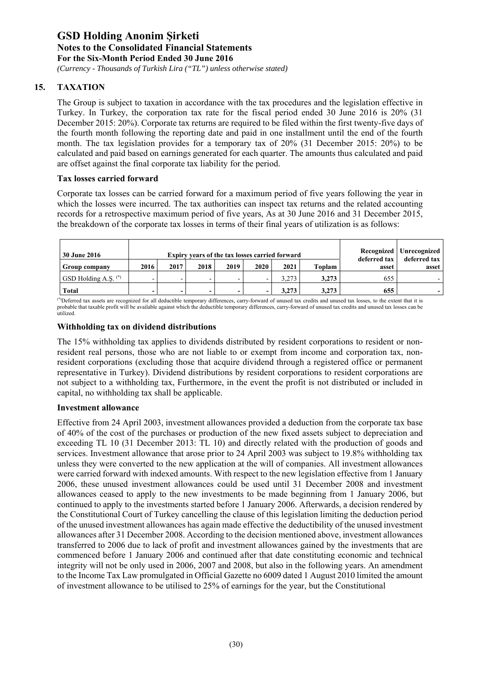*(Currency - Thousands of Turkish Lira ("TL") unless otherwise stated)*

# **15. TAXATION**

The Group is subject to taxation in accordance with the tax procedures and the legislation effective in Turkey. In Turkey, the corporation tax rate for the fiscal period ended 30 June 2016 is 20% (31 December 2015: 20%). Corporate tax returns are required to be filed within the first twenty-five days of the fourth month following the reporting date and paid in one installment until the end of the fourth month. The tax legislation provides for a temporary tax of 20% (31 December 2015: 20%) to be calculated and paid based on earnings generated for each quarter. The amounts thus calculated and paid are offset against the final corporate tax liability for the period.

# **Tax losses carried forward**

Corporate tax losses can be carried forward for a maximum period of five years following the year in which the losses were incurred. The tax authorities can inspect tax returns and the related accounting records for a retrospective maximum period of five years, As at 30 June 2016 and 31 December 2015, the breakdown of the corporate tax losses in terms of their final years of utilization is as follows:

| <b>30 June 2016</b>             |                          |      | Expiry years of the tax losses carried forward |      | Recognized   Unrecognized  <br>deferred tax |       |        |                       |       |
|---------------------------------|--------------------------|------|------------------------------------------------|------|---------------------------------------------|-------|--------|-----------------------|-------|
| <b>Group company</b>            | 2016                     | 2017 | 2018                                           | 2019 | 2020                                        | 2021  | Toplam | deferred tax<br>asset | asset |
| GSD Holding A.S. <sup>(*)</sup> | -                        |      | -                                              |      | -                                           | 3.273 | 3.273  | 655                   |       |
| <b>Total</b>                    | $\overline{\phantom{a}}$ | -    | $\overline{\phantom{0}}$                       | -    | $\qquad \qquad$                             | 3.273 | 3,273  | 655                   |       |

(\*)Deferred tax assets are recognized for all deductible temporary differences, carry-forward of unused tax credits and unused tax losses, to the extent that it is probable that taxable profit will be available against which the deductible temporary differences, carry-forward of unused tax credits and unused tax losses can be utilized.

# **Withholding tax on dividend distributions**

The 15% withholding tax applies to dividends distributed by resident corporations to resident or nonresident real persons, those who are not liable to or exempt from income and corporation tax, nonresident corporations (excluding those that acquire dividend through a registered office or permanent representative in Turkey). Dividend distributions by resident corporations to resident corporations are not subject to a withholding tax, Furthermore, in the event the profit is not distributed or included in capital, no withholding tax shall be applicable.

### **Investment allowance**

Effective from 24 April 2003, investment allowances provided a deduction from the corporate tax base of 40% of the cost of the purchases or production of the new fixed assets subject to depreciation and exceeding TL 10 (31 December 2013: TL 10) and directly related with the production of goods and services. Investment allowance that arose prior to 24 April 2003 was subject to 19.8% withholding tax unless they were converted to the new application at the will of companies. All investment allowances were carried forward with indexed amounts. With respect to the new legislation effective from 1 January 2006, these unused investment allowances could be used until 31 December 2008 and investment allowances ceased to apply to the new investments to be made beginning from 1 January 2006, but continued to apply to the investments started before 1 January 2006. Afterwards, a decision rendered by the Constitutional Court of Turkey cancelling the clause of this legislation limiting the deduction period of the unused investment allowances has again made effective the deductibility of the unused investment allowances after 31 December 2008. According to the decision mentioned above, investment allowances transferred to 2006 due to lack of profit and investment allowances gained by the investments that are commenced before 1 January 2006 and continued after that date constituting economic and technical integrity will not be only used in 2006, 2007 and 2008, but also in the following years. An amendment to the Income Tax Law promulgated in Official Gazette no 6009 dated 1 August 2010 limited the amount of investment allowance to be utilised to 25% of earnings for the year, but the Constitutional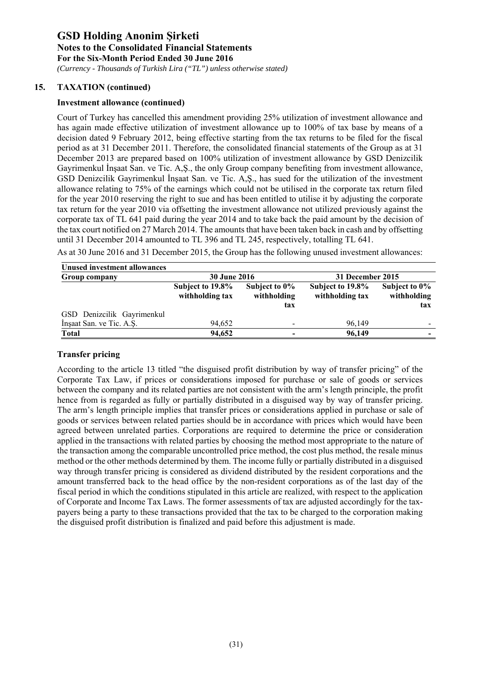*(Currency - Thousands of Turkish Lira ("TL") unless otherwise stated)*

# **15. TAXATION (continued)**

# **Investment allowance (continued)**

Court of Turkey has cancelled this amendment providing 25% utilization of investment allowance and has again made effective utilization of investment allowance up to 100% of tax base by means of a decision dated 9 February 2012, being effective starting from the tax returns to be filed for the fiscal period as at 31 December 2011. Therefore, the consolidated financial statements of the Group as at 31 December 2013 are prepared based on 100% utilization of investment allowance by GSD Denizcilik Gayrimenkul İnşaat San. ve Tic. A,Ş., the only Group company benefiting from investment allowance, GSD Denizcilik Gayrimenkul İnşaat San. ve Tic. A,Ş., has sued for the utilization of the investment allowance relating to 75% of the earnings which could not be utilised in the corporate tax return filed for the year 2010 reserving the right to sue and has been entitled to utilise it by adjusting the corporate tax return for the year 2010 via offsetting the investment allowance not utilized previously against the corporate tax of TL 641 paid during the year 2014 and to take back the paid amount by the decision of the tax court notified on 27 March 2014. The amounts that have been taken back in cash and by offsetting until 31 December 2014 amounted to TL 396 and TL 245, respectively, totalling TL 641.

As at 30 June 2016 and 31 December 2015, the Group has the following unused investment allowances:

| Unused investment allowances |                                     |                                        |                                     |                                     |  |
|------------------------------|-------------------------------------|----------------------------------------|-------------------------------------|-------------------------------------|--|
| Group company                | <b>30 June 2016</b>                 |                                        | 31 December 2015                    |                                     |  |
|                              | Subject to 19.8%<br>withholding tax | Subject to $0\%$<br>withholding<br>tax | Subject to 19.8%<br>withholding tax | Subject to 0%<br>withholding<br>tax |  |
| GSD Denizcilik Gayrimenkul   |                                     |                                        |                                     |                                     |  |
| Insaat San. ve Tic. A.S.     | 94.652                              |                                        | 96.149                              |                                     |  |
| Total                        | 94,652                              |                                        | 96,149                              |                                     |  |

# **Transfer pricing**

According to the article 13 titled "the disguised profit distribution by way of transfer pricing" of the Corporate Tax Law, if prices or considerations imposed for purchase or sale of goods or services between the company and its related parties are not consistent with the arm's length principle, the profit hence from is regarded as fully or partially distributed in a disguised way by way of transfer pricing. The arm's length principle implies that transfer prices or considerations applied in purchase or sale of goods or services between related parties should be in accordance with prices which would have been agreed between unrelated parties. Corporations are required to determine the price or consideration applied in the transactions with related parties by choosing the method most appropriate to the nature of the transaction among the comparable uncontrolled price method, the cost plus method, the resale minus method or the other methods determined by them. The income fully or partially distributed in a disguised way through transfer pricing is considered as dividend distributed by the resident corporations and the amount transferred back to the head office by the non-resident corporations as of the last day of the fiscal period in which the conditions stipulated in this article are realized, with respect to the application of Corporate and Income Tax Laws. The former assessments of tax are adjusted accordingly for the taxpayers being a party to these transactions provided that the tax to be charged to the corporation making the disguised profit distribution is finalized and paid before this adjustment is made.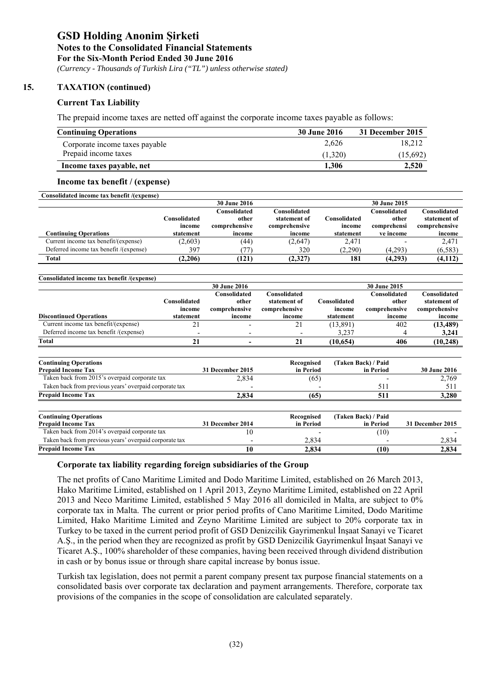*(Currency - Thousands of Turkish Lira ("TL") unless otherwise stated)*

# **15. TAXATION (continued)**

# **Current Tax Liability**

The prepaid income taxes are netted off against the corporate income taxes payable as follows:

| <b>Continuing Operations</b>   | <b>30 June 2016</b> | 31 December 2015 |
|--------------------------------|---------------------|------------------|
| Corporate income taxes payable | 2.626               | 18.212           |
| Prepaid income taxes           | (1.320)             | (15,692)         |
| Income taxes payable, net      | 1.306               | 2.520            |

#### **Income tax benefit / (expense)**

| Consolidated income tax benefit /(expense) |                        |                                        |                                               |                        |                                      |                                               |
|--------------------------------------------|------------------------|----------------------------------------|-----------------------------------------------|------------------------|--------------------------------------|-----------------------------------------------|
|                                            |                        | <b>30 June 2016</b>                    |                                               |                        | 30 June 2015                         |                                               |
|                                            | Consolidated<br>income | Consolidated<br>other<br>comprehensive | Consolidated<br>statement of<br>comprehensive | Consolidated<br>income | Consolidated<br>other<br>comprehensi | Consolidated<br>statement of<br>comprehensive |
| <b>Continuing Operations</b>               | statement              | income                                 | income                                        | statement              | ve income                            | income                                        |
| Current income tax benefit/(expense)       | (2,603)                | (44)                                   | (2,647)                                       | 2,471                  |                                      | 2,471                                         |
| Deferred income tax benefit /(expense)     | 397                    | 77                                     | 320                                           | (2,290)                | (4,293)                              | (6,583)                                       |
| Total                                      | (2.206)                | (121)                                  | (2,327)                                       | 181                    | (4.293)                              | (4,112)                                       |

| Consolidated income tax benefit /(expense)         |                                     |                                  |                                         |                                     |                                         |                                         |
|----------------------------------------------------|-------------------------------------|----------------------------------|-----------------------------------------|-------------------------------------|-----------------------------------------|-----------------------------------------|
|                                                    |                                     | <b>30 June 2016</b>              |                                         |                                     | 30 June 2015                            |                                         |
|                                                    |                                     | Consolidated                     | Consolidated                            |                                     | Consolidated                            | Consolidated                            |
| <b>Discontinued Operations</b>                     | Consolidated<br>income<br>statement | other<br>comprehensive<br>income | statement of<br>comprehensive<br>income | Consolidated<br>income<br>statement | other<br>comprehensive<br>income        | statement of<br>comprehensive<br>income |
| Current income tax benefit/(expense)               | 21                                  |                                  | 21                                      | (13,891)                            | 402                                     | (13, 489)                               |
| Deferred income tax benefit /(expense)             | $\overline{\phantom{a}}$            | $\overline{\phantom{0}}$         |                                         | 3.237                               |                                         | 3,241                                   |
| <b>Total</b>                                       | 21                                  |                                  | 21                                      | (10.654)                            | 406                                     | (10, 248)                               |
|                                                    |                                     |                                  |                                         |                                     |                                         |                                         |
| <b>Continuing Operations</b><br>Duanaid Income Tax |                                     | $21$ December $2015$             | Recognised<br>ta Dagaal                 |                                     | (Taken Back) / Paid<br><b>Sa Davidd</b> | $20$ Line $2016$                        |

| <b>Prepaid Income Tax</b>                              | 31 December 2015 | in Period  | in Period           | <b>30 June 2016</b> |
|--------------------------------------------------------|------------------|------------|---------------------|---------------------|
| Taken back from 2015's overpaid corporate tax          | 2,834            | (65)       |                     | 2,769               |
| Taken back from previous years' overpaid corporate tax |                  |            | 511                 | 511                 |
| <b>Prepaid Income Tax</b>                              | 2.834            | (65)       | 511                 | 3,280               |
|                                                        |                  |            |                     |                     |
|                                                        |                  |            |                     |                     |
| <b>Continuing Operations</b>                           |                  | Recognised | (Taken Back) / Paid |                     |
| <b>Prepaid Income Tax</b>                              | 31 December 2014 | in Period  | in Period           | 31 December 2015    |
| Taken back from 2014's overpaid corporate tax          | 10               |            | (10)                |                     |
| Taken back from previous years' overpaid corporate tax |                  | 2.834      |                     | 2,834               |

### **Corporate tax liability regarding foreign subsidiaries of the Group**

The net profits of Cano Maritime Limited and Dodo Maritime Limited, established on 26 March 2013, Hako Maritime Limited, established on 1 April 2013, Zeyno Maritime Limited, established on 22 April 2013 and Neco Maritime Limited, established 5 May 2016 all domiciled in Malta, are subject to 0% corporate tax in Malta. The current or prior period profits of Cano Maritime Limited, Dodo Maritime Limited, Hako Maritime Limited and Zeyno Maritime Limited are subject to 20% corporate tax in Turkey to be taxed in the current period profit of GSD Denizcilik Gayrimenkul İnşaat Sanayi ve Ticaret A.Ş., in the period when they are recognized as profit by GSD Denizcilik Gayrimenkul İnşaat Sanayi ve Ticaret A.Ş., 100% shareholder of these companies, having been received through dividend distribution in cash or by bonus issue or through share capital increase by bonus issue.

Turkish tax legislation, does not permit a parent company present tax purpose financial statements on a consolidated basis over corporate tax declaration and payment arrangements. Therefore, corporate tax provisions of the companies in the scope of consolidation are calculated separately.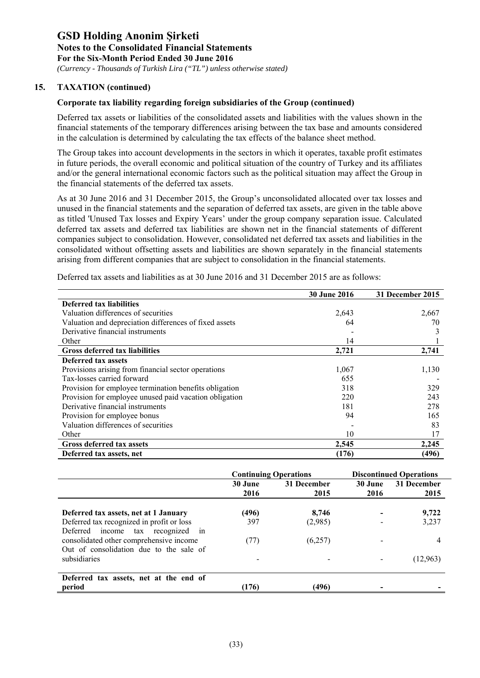*(Currency - Thousands of Turkish Lira ("TL") unless otherwise stated)*

# **15. TAXATION (continued)**

# **Corporate tax liability regarding foreign subsidiaries of the Group (continued)**

Deferred tax assets or liabilities of the consolidated assets and liabilities with the values shown in the financial statements of the temporary differences arising between the tax base and amounts considered in the calculation is determined by calculating the tax effects of the balance sheet method.

The Group takes into account developments in the sectors in which it operates, taxable profit estimates in future periods, the overall economic and political situation of the country of Turkey and its affiliates and/or the general international economic factors such as the political situation may affect the Group in the financial statements of the deferred tax assets.

As at 30 June 2016 and 31 December 2015, the Group's unconsolidated allocated over tax losses and unused in the financial statements and the separation of deferred tax assets, are given in the table above as titled 'Unused Tax losses and Expiry Years' under the group company separation issue. Calculated deferred tax assets and deferred tax liabilities are shown net in the financial statements of different companies subject to consolidation. However, consolidated net deferred tax assets and liabilities in the consolidated without offsetting assets and liabilities are shown separately in the financial statements arising from different companies that are subject to consolidation in the financial statements.

|                                                        | 30 June 2016 | 31 December 2015 |
|--------------------------------------------------------|--------------|------------------|
| <b>Deferred tax liabilities</b>                        |              |                  |
| Valuation differences of securities                    | 2,643        | 2,667            |
| Valuation and depreciation differences of fixed assets | 64           | 70               |
| Derivative financial instruments                       |              |                  |
| Other                                                  | 14           |                  |
| Gross deferred tax liabilities                         | 2,721        | 2,741            |
| Deferred tax assets                                    |              |                  |
| Provisions arising from financial sector operations    | 1,067        | 1,130            |
| Tax-losses carried forward                             | 655          |                  |
| Provision for employee termination benefits obligation | 318          | 329              |
| Provision for employee unused paid vacation obligation | 220          | 243              |
| Derivative financial instruments                       | 181          | 278              |
| Provision for employee bonus                           | 94           | 165              |
| Valuation differences of securities                    |              | 83               |
| Other                                                  | 10           | 17               |
| <b>Gross deferred tax assets</b>                       | 2,545        | 2,245            |
| Deferred tax assets, net                               | (176)        | (496)            |

Deferred tax assets and liabilities as at 30 June 2016 and 31 December 2015 are as follows:

|                                                                                                                         | <b>Continuing Operations</b> |                     | <b>Discontinued Operations</b> |                     |
|-------------------------------------------------------------------------------------------------------------------------|------------------------------|---------------------|--------------------------------|---------------------|
|                                                                                                                         | 30 June<br>2016              | 31 December<br>2015 | 30 June<br>2016                | 31 December<br>2015 |
| Deferred tax assets, net at 1 January                                                                                   | (496)                        | 8.746               |                                | 9,722               |
| Deferred tax recognized in profit or loss                                                                               | 397                          | (2,985)             |                                | 3,237               |
| Deferred income tax recognized in<br>consolidated other comprehensive income<br>Out of consolidation due to the sale of | (77)                         | (6,257)             |                                | 4                   |
| subsidiaries                                                                                                            |                              |                     |                                | (12, 963)           |
| Deferred tax assets, net at the end of<br>period                                                                        | (176)                        | (496)               |                                |                     |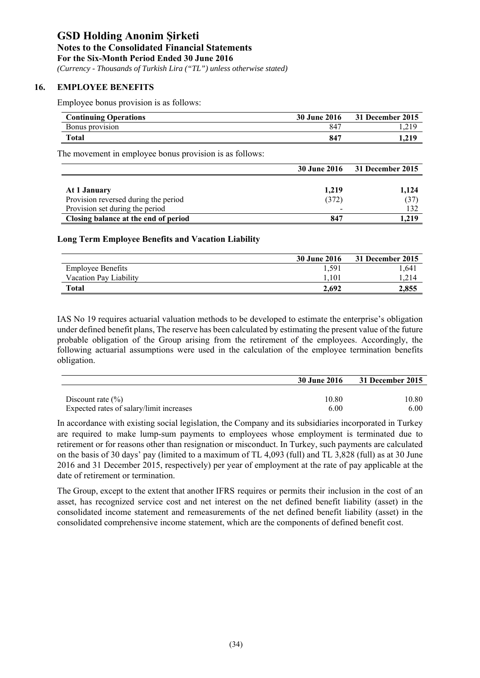*(Currency - Thousands of Turkish Lira ("TL") unless otherwise stated)*

# **16. EMPLOYEE BENEFITS**

Employee bonus provision is as follows:

| <b>Continuing Operations</b> | <b>30 June 2016</b> | 31 December 2015   |
|------------------------------|---------------------|--------------------|
| Bonus provision              | -847                | . ∎ س <i>ک</i> ه ا |
| Total                        | -847                | 1.219              |

The movement in employee bonus provision is as follows:

|                                      | <b>30 June 2016</b> | 31 December 2015 |
|--------------------------------------|---------------------|------------------|
|                                      |                     |                  |
| At 1 January                         | 1,219               | 1,124            |
| Provision reversed during the period | (372)               | (37)             |
| Provision set during the period      |                     | 132              |
| Closing balance at the end of period | 847                 | 1,219            |

### **Long Term Employee Benefits and Vacation Liability**

|                          | <b>30 June 2016</b> | 31 December 2015 |
|--------------------------|---------------------|------------------|
| <b>Employee Benefits</b> | 1.591               | 1.641            |
| Vacation Pay Liability   | 1.101               |                  |
| Total                    | 2.692               | 2,855            |

IAS No 19 requires actuarial valuation methods to be developed to estimate the enterprise's obligation under defined benefit plans, The reserve has been calculated by estimating the present value of the future probable obligation of the Group arising from the retirement of the employees. Accordingly, the following actuarial assumptions were used in the calculation of the employee termination benefits obligation.

|                                          | 30 June 2016 | 31 December 2015 |
|------------------------------------------|--------------|------------------|
|                                          |              |                  |
| Discount rate $(\% )$                    | 10.80        | 10.80            |
| Expected rates of salary/limit increases | 6.00         | 6.00             |

In accordance with existing social legislation, the Company and its subsidiaries incorporated in Turkey are required to make lump-sum payments to employees whose employment is terminated due to retirement or for reasons other than resignation or misconduct. In Turkey, such payments are calculated on the basis of 30 days' pay (limited to a maximum of TL 4,093 (full) and TL 3,828 (full) as at 30 June 2016 and 31 December 2015, respectively) per year of employment at the rate of pay applicable at the date of retirement or termination.

The Group, except to the extent that another IFRS requires or permits their inclusion in the cost of an asset, has recognized service cost and net interest on the net defined benefit liability (asset) in the consolidated income statement and remeasurements of the net defined benefit liability (asset) in the consolidated comprehensive income statement, which are the components of defined benefit cost.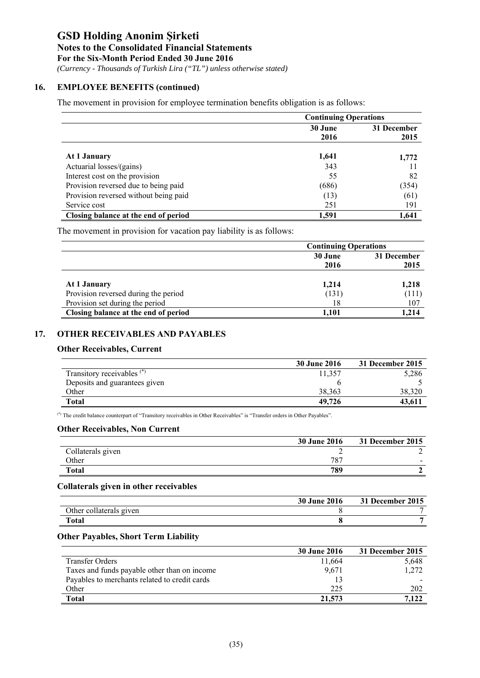### **Notes to the Consolidated Financial Statements**

**For the Six-Month Period Ended 30 June 2016** 

 *(Currency - Thousands of Turkish Lira ("TL") unless otherwise stated)*

# **16. EMPLOYEE BENEFITS (continued)**

The movement in provision for employee termination benefits obligation is as follows:

|                                       | <b>Continuing Operations</b> |             |  |
|---------------------------------------|------------------------------|-------------|--|
|                                       | 30 June                      | 31 December |  |
|                                       | 2016                         | 2015        |  |
| At 1 January                          | 1,641                        | 1,772       |  |
| Actuarial losses/(gains)              | 343                          | 11          |  |
| Interest cost on the provision        | 55                           | 82          |  |
| Provision reversed due to being paid  | (686)                        | (354)       |  |
| Provision reversed without being paid | (13)                         | (61)        |  |
| Service cost                          | 251                          | 191         |  |
| Closing balance at the end of period  | 1,591                        | 1.641       |  |

The movement in provision for vacation pay liability is as follows:

|                                      | <b>Continuing Operations</b> |                     |  |
|--------------------------------------|------------------------------|---------------------|--|
|                                      | 30 June<br>2016              | 31 December<br>2015 |  |
| At 1 January                         | 1,214                        | 1,218               |  |
| Provision reversed during the period | (131)                        | (111)               |  |
| Provision set during the period      | 18                           | 107                 |  |
| Closing balance at the end of period | 1,101                        | 1.214               |  |

# **17. OTHER RECEIVABLES AND PAYABLES**

# **Other Receivables, Current**

| 30 June 2016 | 31 December 2015 |
|--------------|------------------|
| 11.357       | 5,286            |
|              |                  |
| 38.363       | 38,320           |
| 49,726       | 43,611           |
|              |                  |

(\*) The credit balance counterpart of "Transitory receivables in Other Receivables" is "Transfer orders in Other Payables".

# **Other Receivables, Non Current**

|                   | <b>30 June 2016</b> | 31 December 2015 |
|-------------------|---------------------|------------------|
| Collaterals given |                     |                  |
| Other             | 787                 |                  |
| <b>Total</b>      | 789                 |                  |

### **Collaterals given in other receivables**

|                         | <b>30 June 2016</b> | 31 December 2015 |
|-------------------------|---------------------|------------------|
| Other collaterals given |                     |                  |
| <b>Total</b>            |                     |                  |

### **Other Payables, Short Term Liability**

|                                               | <b>30 June 2016</b> | 31 December 2015 |
|-----------------------------------------------|---------------------|------------------|
| <b>Transfer Orders</b>                        | 11,664              | 5,648            |
| Taxes and funds payable other than on income  | 9,671               | 1.272            |
| Payables to merchants related to credit cards |                     |                  |
| Other                                         | 225                 | 202              |
| <b>Total</b>                                  | 21,573              | 7,122            |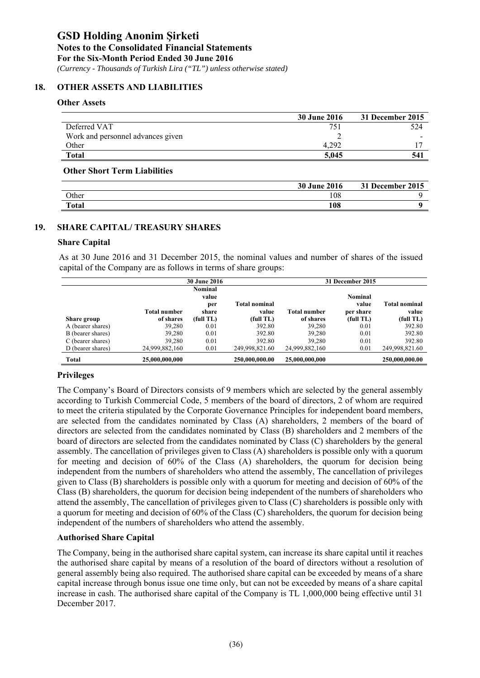*(Currency - Thousands of Turkish Lira ("TL") unless otherwise stated)*

# **18. OTHER ASSETS AND LIABILITIES**

### **Other Assets**

|                                   | <b>30 June 2016</b> | 31 December 2015 |
|-----------------------------------|---------------------|------------------|
| Deferred VAT                      | 751                 | 524              |
| Work and personnel advances given |                     |                  |
| Other                             | 4.292               |                  |
| <b>Total</b>                      | 5.045               | 541              |
|                                   |                     |                  |

#### **Other Short Term Liabilities**

|              | <b>30 June 2016</b> | 31 December 2015 |
|--------------|---------------------|------------------|
| Other        | 108                 |                  |
| <b>Total</b> | 108                 |                  |

# **19. SHARE CAPITAL/ TREASURY SHARES**

#### **Share Capital**

As at 30 June 2016 and 31 December 2015, the nominal values and number of shares of the issued capital of the Company are as follows in terms of share groups:

|                   |                     | <b>30 June 2016</b> |                      |                | 31 December 2015 |                      |
|-------------------|---------------------|---------------------|----------------------|----------------|------------------|----------------------|
|                   |                     | Nominal             |                      |                |                  |                      |
|                   |                     | value               |                      |                | <b>Nominal</b>   |                      |
|                   |                     | per                 | <b>Total nominal</b> |                | value            | <b>Total nominal</b> |
|                   | <b>Total number</b> | share               | value                | Total number   | per share        | value                |
| Share group       | of shares           | (full TL)           | (full TL)            | of shares      | (full TL)        | (full TL)            |
| A (bearer shares) | 39.280              | 0.01                | 392.80               | 39,280         | 0.01             | 392.80               |
| B (bearer shares) | 39,280              | 0.01                | 392.80               | 39,280         | 0.01             | 392.80               |
| C (bearer shares) | 39,280              | 0.01                | 392.80               | 39.280         | 0.01             | 392.80               |
| D (bearer shares) | 24,999,882,160      | 0.01                | 249,998,821.60       | 24,999,882,160 | 0.01             | 249,998,821.60       |
| <b>Total</b>      | 25,000,000,000      |                     | 250,000,000.00       | 25,000,000,000 |                  | 250,000,000.00       |

### **Privileges**

The Company's Board of Directors consists of 9 members which are selected by the general assembly according to Turkish Commercial Code, 5 members of the board of directors, 2 of whom are required to meet the criteria stipulated by the Corporate Governance Principles for independent board members, are selected from the candidates nominated by Class (A) shareholders, 2 members of the board of directors are selected from the candidates nominated by Class (B) shareholders and 2 members of the board of directors are selected from the candidates nominated by Class (C) shareholders by the general assembly. The cancellation of privileges given to Class (A) shareholders is possible only with a quorum for meeting and decision of 60% of the Class (A) shareholders, the quorum for decision being independent from the numbers of shareholders who attend the assembly, The cancellation of privileges given to Class (B) shareholders is possible only with a quorum for meeting and decision of 60% of the Class (B) shareholders, the quorum for decision being independent of the numbers of shareholders who attend the assembly, The cancellation of privileges given to Class (C) shareholders is possible only with a quorum for meeting and decision of 60% of the Class (C) shareholders, the quorum for decision being independent of the numbers of shareholders who attend the assembly.

### **Authorised Share Capital**

The Company, being in the authorised share capital system, can increase its share capital until it reaches the authorised share capital by means of a resolution of the board of directors without a resolution of general assembly being also required. The authorised share capital can be exceeded by means of a share capital increase through bonus issue one time only, but can not be exceeded by means of a share capital increase in cash. The authorised share capital of the Company is TL 1,000,000 being effective until 31 December 2017.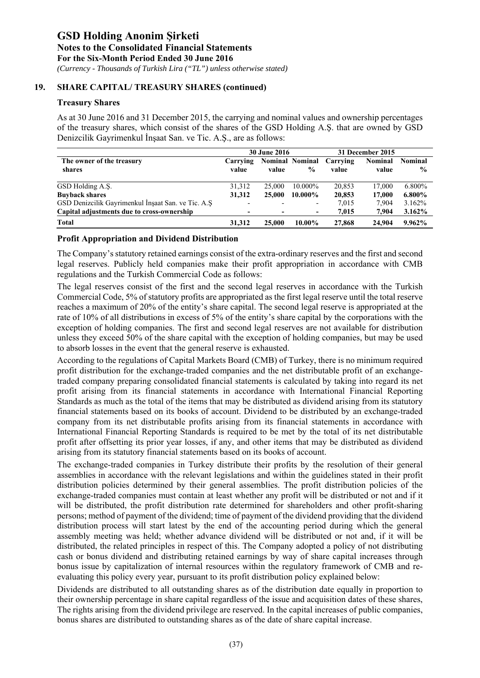*(Currency - Thousands of Turkish Lira ("TL") unless otherwise stated)*

### **19. SHARE CAPITAL/ TREASURY SHARES (continued)**

# **Treasury Shares**

As at 30 June 2016 and 31 December 2015, the carrying and nominal values and ownership percentages of the treasury shares, which consist of the shares of the GSD Holding A.Ş. that are owned by GSD Denizcilik Gayrimenkul İnşaat San. ve Tic. A.Ş., are as follows:

|                                                    |                   | <b>30 June 2016</b> |                                         |                   | 31 December 2015        |                                 |
|----------------------------------------------------|-------------------|---------------------|-----------------------------------------|-------------------|-------------------------|---------------------------------|
| The owner of the treasury<br>shares                | Carrying<br>value | value               | <b>Nominal Nominal</b><br>$\frac{0}{0}$ | Carrying<br>value | <b>Nominal</b><br>value | <b>Nominal</b><br>$\frac{6}{9}$ |
| GSD Holding A.S.                                   | 31,312            | 25,000              | 10.000%                                 | 20,853            | 17,000                  | 6.800%                          |
| <b>Buyback shares</b>                              | 31,312            | 25,000              | 10.000%                                 | 20,853            | 17.000                  | $6.800\%$                       |
| GSD Denizcilik Gayrimenkul İnşaat San. ve Tic. A.Ş |                   |                     | -                                       | 7,015             | 7.904                   | 3.162%                          |
| Capital adjustments due to cross-ownership         | $\blacksquare$    |                     | ۰.                                      | 7.015             | 7.904                   | $3.162\%$                       |
| <b>Total</b>                                       | 31,312            | 25,000              | 10.00%                                  | 27,868            | 24,904                  | 9.962%                          |

### **Profit Appropriation and Dividend Distribution**

The Company's statutory retained earnings consist of the extra-ordinary reserves and the first and second legal reserves. Publicly held companies make their profit appropriation in accordance with CMB regulations and the Turkish Commercial Code as follows:

The legal reserves consist of the first and the second legal reserves in accordance with the Turkish Commercial Code, 5% of statutory profits are appropriated as the first legal reserve until the total reserve reaches a maximum of 20% of the entity's share capital. The second legal reserve is appropriated at the rate of 10% of all distributions in excess of 5% of the entity's share capital by the corporations with the exception of holding companies. The first and second legal reserves are not available for distribution unless they exceed 50% of the share capital with the exception of holding companies, but may be used to absorb losses in the event that the general reserve is exhausted.

According to the regulations of Capital Markets Board (CMB) of Turkey, there is no minimum required profit distribution for the exchange-traded companies and the net distributable profit of an exchangetraded company preparing consolidated financial statements is calculated by taking into regard its net profit arising from its financial statements in accordance with International Financial Reporting Standards as much as the total of the items that may be distributed as dividend arising from its statutory financial statements based on its books of account. Dividend to be distributed by an exchange-traded company from its net distributable profits arising from its financial statements in accordance with International Financial Reporting Standards is required to be met by the total of its net distributable profit after offsetting its prior year losses, if any, and other items that may be distributed as dividend arising from its statutory financial statements based on its books of account.

The exchange-traded companies in Turkey distribute their profits by the resolution of their general assemblies in accordance with the relevant legislations and within the guidelines stated in their profit distribution policies determined by their general assemblies. The profit distribution policies of the exchange-traded companies must contain at least whether any profit will be distributed or not and if it will be distributed, the profit distribution rate determined for shareholders and other profit-sharing persons; method of payment of the dividend; time of payment of the dividend providing that the dividend distribution process will start latest by the end of the accounting period during which the general assembly meeting was held; whether advance dividend will be distributed or not and, if it will be distributed, the related principles in respect of this. The Company adopted a policy of not distributing cash or bonus dividend and distributing retained earnings by way of share capital increases through bonus issue by capitalization of internal resources within the regulatory framework of CMB and reevaluating this policy every year, pursuant to its profit distribution policy explained below:

Dividends are distributed to all outstanding shares as of the distribution date equally in proportion to their ownership percentage in share capital regardless of the issue and acquisition dates of these shares, The rights arising from the dividend privilege are reserved. In the capital increases of public companies, bonus shares are distributed to outstanding shares as of the date of share capital increase.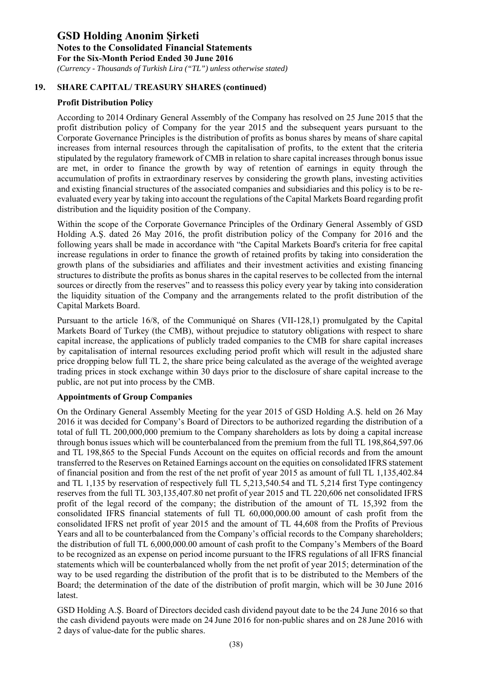*(Currency - Thousands of Turkish Lira ("TL") unless otherwise stated)*

# **19. SHARE CAPITAL/ TREASURY SHARES (continued)**

# **Profit Distribution Policy**

According to 2014 Ordinary General Assembly of the Company has resolved on 25 June 2015 that the profit distribution policy of Company for the year 2015 and the subsequent years pursuant to the Corporate Governance Principles is the distribution of profits as bonus shares by means of share capital increases from internal resources through the capitalisation of profits, to the extent that the criteria stipulated by the regulatory framework of CMB in relation to share capital increases through bonus issue are met, in order to finance the growth by way of retention of earnings in equity through the accumulation of profits in extraordinary reserves by considering the growth plans, investing activities and existing financial structures of the associated companies and subsidiaries and this policy is to be reevaluated every year by taking into account the regulations of the Capital Markets Board regarding profit distribution and the liquidity position of the Company.

Within the scope of the Corporate Governance Principles of the Ordinary General Assembly of GSD Holding A.Ş. dated 26 May 2016, the profit distribution policy of the Company for 2016 and the following years shall be made in accordance with "the Capital Markets Board's criteria for free capital increase regulations in order to finance the growth of retained profits by taking into consideration the growth plans of the subsidiaries and affiliates and their investment activities and existing financing structures to distribute the profits as bonus shares in the capital reserves to be collected from the internal sources or directly from the reserves" and to reassess this policy every year by taking into consideration the liquidity situation of the Company and the arrangements related to the profit distribution of the Capital Markets Board.

Pursuant to the article 16/8, of the Communiqué on Shares (VII-128,1) promulgated by the Capital Markets Board of Turkey (the CMB), without prejudice to statutory obligations with respect to share capital increase, the applications of publicly traded companies to the CMB for share capital increases by capitalisation of internal resources excluding period profit which will result in the adjusted share price dropping below full TL 2, the share price being calculated as the average of the weighted average trading prices in stock exchange within 30 days prior to the disclosure of share capital increase to the public, are not put into process by the CMB.

# **Appointments of Group Companies**

On the Ordinary General Assembly Meeting for the year 2015 of GSD Holding A.Ş. held on 26 May 2016 it was decided for Company's Board of Directors to be authorized regarding the distribution of a total of full TL 200,000,000 premium to the Company shareholders as lots by doing a capital increase through bonus issues which will be counterbalanced from the premium from the full TL 198,864,597.06 and TL 198,865 to the Special Funds Account on the equites on official records and from the amount transferred to the Reserves on Retained Earnings account on the equities on consolidated IFRS statement of financial position and from the rest of the net profit of year 2015 as amount of full TL 1,135,402.84 and TL 1,135 by reservation of respectively full TL 5,213,540.54 and TL 5,214 first Type contingency reserves from the full TL 303,135,407.80 net profit of year 2015 and TL 220,606 net consolidated IFRS profit of the legal record of the company; the distribution of the amount of TL 15,392 from the consolidated IFRS financial statements of full TL 60,000,000.00 amount of cash profit from the consolidated IFRS net profit of year 2015 and the amount of TL 44,608 from the Profits of Previous Years and all to be counterbalanced from the Company's official records to the Company shareholders; the distribution of full TL 6,000,000.00 amount of cash profit to the Company's Members of the Board to be recognized as an expense on period income pursuant to the IFRS regulations of all IFRS financial statements which will be counterbalanced wholly from the net profit of year 2015; determination of the way to be used regarding the distribution of the profit that is to be distributed to the Members of the Board; the determination of the date of the distribution of profit margin, which will be 30 June 2016 latest.

GSD Holding A.Ş. Board of Directors decided cash dividend payout date to be the 24 June 2016 so that the cash dividend payouts were made on 24 June 2016 for non-public shares and on 28 June 2016 with 2 days of value-date for the public shares.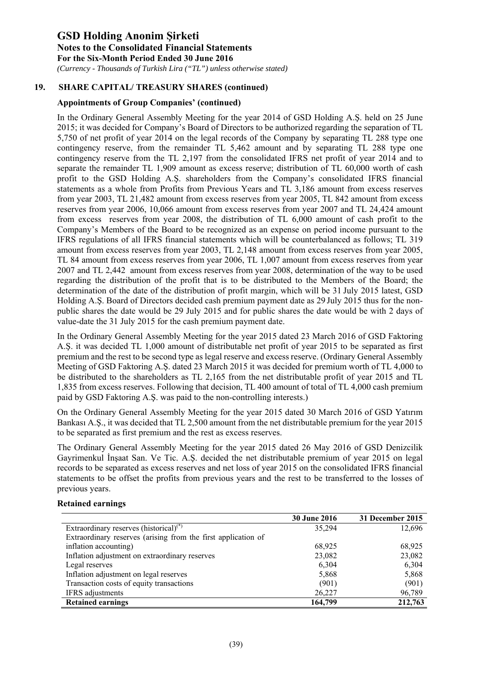*(Currency - Thousands of Turkish Lira ("TL") unless otherwise stated)*

# **19. SHARE CAPITAL/ TREASURY SHARES (continued)**

# **Appointments of Group Companies' (continued)**

In the Ordinary General Assembly Meeting for the year 2014 of GSD Holding A.Ş. held on 25 June 2015; it was decided for Company's Board of Directors to be authorized regarding the separation of TL 5,750 of net profit of year 2014 on the legal records of the Company by separating TL 288 type one contingency reserve, from the remainder TL 5,462 amount and by separating TL 288 type one contingency reserve from the TL 2,197 from the consolidated IFRS net profit of year 2014 and to separate the remainder TL 1,909 amount as excess reserve; distribution of TL 60,000 worth of cash profit to the GSD Holding A.Ş. shareholders from the Company's consolidated IFRS financial statements as a whole from Profits from Previous Years and TL 3,186 amount from excess reserves from year 2003, TL 21,482 amount from excess reserves from year 2005, TL 842 amount from excess reserves from year 2006, 10,066 amount from excess reserves from year 2007 and TL 24,424 amount from excess reserves from year 2008, the distribution of TL 6,000 amount of cash profit to the Company's Members of the Board to be recognized as an expense on period income pursuant to the IFRS regulations of all IFRS financial statements which will be counterbalanced as follows; TL 319 amount from excess reserves from year 2003, TL 2,148 amount from excess reserves from year 2005, TL 84 amount from excess reserves from year 2006, TL 1,007 amount from excess reserves from year 2007 and TL 2,442 amount from excess reserves from year 2008, determination of the way to be used regarding the distribution of the profit that is to be distributed to the Members of the Board; the determination of the date of the distribution of profit margin, which will be 31 July 2015 latest, GSD Holding A.Ş. Board of Directors decided cash premium payment date as 29 July 2015 thus for the nonpublic shares the date would be 29 July 2015 and for public shares the date would be with 2 days of value-date the 31 July 2015 for the cash premium payment date.

In the Ordinary General Assembly Meeting for the year 2015 dated 23 March 2016 of GSD Faktoring A.Ş. it was decided TL 1,000 amount of distributable net profit of year 2015 to be separated as first premium and the rest to be second type as legal reserve and excess reserve. (Ordinary General Assembly Meeting of GSD Faktoring A.Ş. dated 23 March 2015 it was decided for premium worth of TL 4,000 to be distributed to the shareholders as TL 2,165 from the net distributable profit of year 2015 and TL 1,835 from excess reserves. Following that decision, TL 400 amount of total of TL 4,000 cash premium paid by GSD Faktoring A.Ş. was paid to the non-controlling interests.)

On the Ordinary General Assembly Meeting for the year 2015 dated 30 March 2016 of GSD Yatırım Bankası A.Ş., it was decided that TL 2,500 amount from the net distributable premium for the year 2015 to be separated as first premium and the rest as excess reserves.

The Ordinary General Assembly Meeting for the year 2015 dated 26 May 2016 of GSD Denizcilik Gayrimenkul İnşaat San. Ve Tic. A.Ş. decided the net distributable premium of year 2015 on legal records to be separated as excess reserves and net loss of year 2015 on the consolidated IFRS financial statements to be offset the profits from previous years and the rest to be transferred to the losses of previous years.

### **Retained earnings**

|                                                               | <b>30 June 2016</b> | 31 December 2015 |
|---------------------------------------------------------------|---------------------|------------------|
| Extraordinary reserves (historical) $(*)$                     | 35,294              | 12,696           |
| Extraordinary reserves (arising from the first application of |                     |                  |
| inflation accounting)                                         | 68.925              | 68.925           |
| Inflation adjustment on extraordinary reserves                | 23,082              | 23,082           |
| Legal reserves                                                | 6,304               | 6,304            |
| Inflation adjustment on legal reserves                        | 5,868               | 5,868            |
| Transaction costs of equity transactions                      | (901)               | (901)            |
| IFRS adjustments                                              | 26,227              | 96,789           |
| <b>Retained earnings</b>                                      | 164,799             | 212,763          |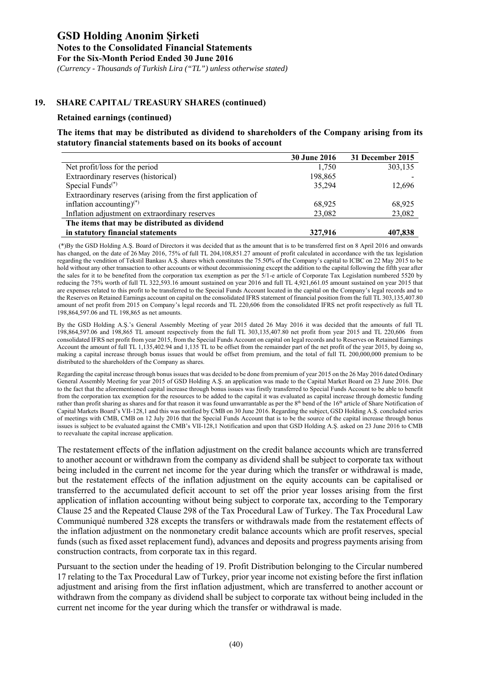*(Currency - Thousands of Turkish Lira ("TL") unless otherwise stated)*

# **19. SHARE CAPITAL/ TREASURY SHARES (continued)**

#### **Retained earnings (continued)**

### **The items that may be distributed as dividend to shareholders of the Company arising from its statutory financial statements based on its books of account**

|                                                               | <b>30 June 2016</b> | 31 December 2015 |
|---------------------------------------------------------------|---------------------|------------------|
| Net profit/loss for the period                                | 1.750               | 303,135          |
| Extraordinary reserves (historical)                           | 198,865             |                  |
| Special Funds $(*)$                                           | 35,294              | 12,696           |
| Extraordinary reserves (arising from the first application of |                     |                  |
| inflation accounting) <sup>(*)</sup>                          | 68,925              | 68,925           |
| Inflation adjustment on extraordinary reserves                | 23,082              | 23,082           |
| The items that may be distributed as dividend                 |                     |                  |
| in statutory financial statements                             | 327,916             | 407,838          |

 (\*)By the GSD Holding A.Ş. Board of Directors it was decided that as the amount that is to be transferred first on 8 April 2016 and onwards has changed, on the date of 26 May 2016, 75% of full TL 204,108,851.27 amount of profit calculated in accordance with the tax legislation regarding the vendition of Tekstil Bankası A.Ş. shares which constitutes the 75.50% of the Company's capital to ICBC on 22 May 2015 to be hold without any other transaction to other accounts or without decommissioning except the addition to the capital following the fifth year after the sales for it to be benefited from the corporation tax exemption as per the 5/1-e article of Corporate Tax Legislation numbered 5520 by reducing the 75% worth of full TL 322,593.16 amount sustained on year 2016 and full TL 4,921,661.05 amount sustained on year 2015 that are expenses related to this profit to be transferred to the Special Funds Account located in the capital on the Company's legal records and to the Reserves on Retained Earnings account on capital on the consolidated IFRS statement of financial position from the full TL 303,135,407.80 amount of net profit from 2015 on Company's legal records and TL 220,606 from the consolidated IFRS net profit respectively as full TL 198,864,597.06 and TL 198,865 as net amounts.

By the GSD Holding A.Ş.'s General Assembly Meeting of year 2015 dated 26 May 2016 it was decided that the amounts of full TL 198,864,597.06 and 198,865 TL amount respectively from the full TL 303,135,407.80 net profit from year 2015 and TL 220,606 from consolidated IFRS net profit from year 2015, from the Special Funds Account on capital on legal records and to Reserves on Retained Earnings Account the amount of full TL 1,135,402.94 and 1,135 TL to be offset from the remainder part of the net profit of the year 2015, by doing so, making a capital increase through bonus issues that would be offset from premium, and the total of full TL 200,000,000 premium to be distributed to the shareholders of the Company as shares.

Regarding the capital increase through bonus issues that was decided to be done from premium of year 2015 on the 26 May 2016 dated Ordinary General Assembly Meeting for year 2015 of GSD Holding A.Ş. an application was made to the Capital Market Board on 23 June 2016. Due to the fact that the aforementioned capital increase through bonus issues was firstly transferred to Special Funds Account to be able to benefit from the corporation tax exemption for the resources to be added to the capital it was evaluated as capital increase through domestic funding rather than profit sharing as shares and for that reason it was found unwarrantable as per the 8<sup>th</sup> bend of the 16<sup>th</sup> article of Share Notification of Capital Markets Board's VII-128,1 and this was notified by CMB on 30 June 2016. Regarding the subject, GSD Holding A.Ş. concluded series of meetings with CMB, CMB on 12 July 2016 that the Special Funds Account that is to be the source of the capital increase through bonus issues is subject to be evaluated against the CMB's VII-128,1 Notification and upon that GSD Holding A.Ş. asked on 23 June 2016 to CMB to reevaluate the capital increase application.

The restatement effects of the inflation adjustment on the credit balance accounts which are transferred to another account or withdrawn from the company as dividend shall be subject to corporate tax without being included in the current net income for the year during which the transfer or withdrawal is made, but the restatement effects of the inflation adjustment on the equity accounts can be capitalised or transferred to the accumulated deficit account to set off the prior year losses arising from the first application of inflation accounting without being subject to corporate tax, according to the Temporary Clause 25 and the Repeated Clause 298 of the Tax Procedural Law of Turkey. The Tax Procedural Law Communiqué numbered 328 excepts the transfers or withdrawals made from the restatement effects of the inflation adjustment on the nonmonetary credit balance accounts which are profit reserves, special funds (such as fixed asset replacement fund), advances and deposits and progress payments arising from construction contracts, from corporate tax in this regard.

Pursuant to the section under the heading of 19. Profit Distribution belonging to the Circular numbered 17 relating to the Tax Procedural Law of Turkey, prior year income not existing before the first inflation adjustment and arising from the first inflation adjustment, which are transferred to another account or withdrawn from the company as dividend shall be subject to corporate tax without being included in the current net income for the year during which the transfer or withdrawal is made.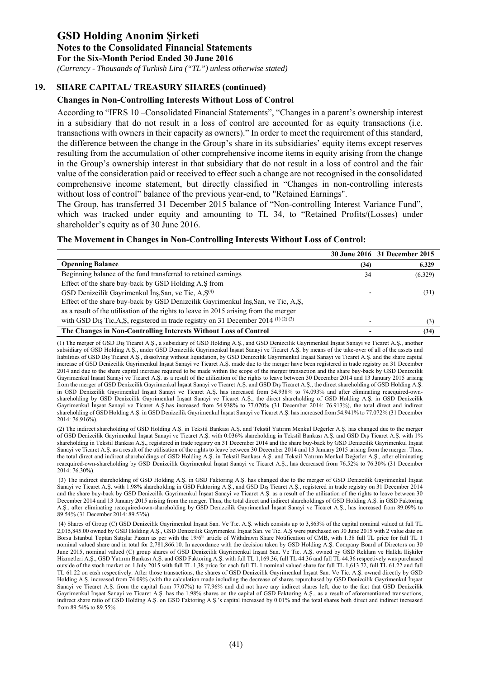*(Currency - Thousands of Turkish Lira ("TL") unless otherwise stated)*

# **19. SHARE CAPITAL/ TREASURY SHARES (continued)**

### **Changes in Non-Controlling Interests Without Loss of Control**

According to "IFRS 10 –Consolidated Financial Statements", "Changes in a parent's ownership interest in a subsidiary that do not result in a loss of control are accounted for as equity transactions (i.e. transactions with owners in their capacity as owners)." In order to meet the requirement of this standard, the difference between the change in the Group's share in its subsidiaries' equity items except reserves resulting from the accumulation of other comprehensive income items in equity arising from the change in the Group's ownership interest in that subsidiary that do not result in a loss of control and the fair value of the consideration paid or received to effect such a change are not recognised in the consolidated comprehensive income statement, but directly classified in "Changes in non-controlling interests without loss of control" balance of the previous year-end, to "Retained Earnings".

The Group, has transferred 31 December 2015 balance of "Non-controlling Interest Variance Fund", which was tracked under equity and amounting to TL 34, to "Retained Profits/(Losses) under shareholder's equity as of 30 June 2016.

#### **The Movement in Changes in Non-Controlling Interests Without Loss of Control:**

|                                                                                                            |      | 30 June 2016 31 December 2015 |
|------------------------------------------------------------------------------------------------------------|------|-------------------------------|
| <b>Openning Balance</b>                                                                                    | (34) | 6.329                         |
| Beginning balance of the fund transferred to retained earnings                                             | 34   | (6.329)                       |
| Effect of the share buy-back by GSD Holding A.S from                                                       |      |                               |
| GSD Denizcilik Gayrimenkul İnş, San, ve Tic, A, S <sup>(4)</sup>                                           |      | (31)                          |
| Effect of the share buy-back by GSD Denizcilik Gayrimenkul Ins, San, ve Tic, A, S,                         |      |                               |
| as a result of the utilisation of the rights to leave in 2015 arising from the merger                      |      |                               |
| with GSD D <sub>1</sub> s Tic, A, S, registered in trade registry on 31 December 2014 <sup>(1)(2)(3)</sup> |      | (3)                           |
| The Changes in Non-Controlling Interests Without Loss of Control                                           |      | (34)                          |

(1) The merger of GSD Dış Ticaret A.Ş., a subsidiary of GSD Holding A.Ş., and GSD Denizcilik Gayrimenkul İnşaat Sanayi ve Ticaret A.Ş., another subsidiary of GSD Holding A.Ş., under GSD Denizcilik Gayrimenkul İnşaat Sanayi ve Ticaret A.Ş. by means of the take-over of all of the assets and liabilities of GSD Dış Ticaret A.Ş., dissolving without liquidation, by GSD Denizcilik Gayrimenkul İnşaat Sanayi ve Ticaret A.Ş. and the share capital increase of GSD Denizcilik Gayrimenkul İnşaat Sanayi ve Ticaret A.Ş. made due to the merger have been registered in trade registry on 31 December 2014 and due to the share capital increase required to be made within the scope of the merger transaction and the share buy-back by GSD Denizcilik Gayrimenkul İnşaat Sanayi ve Ticaret A.Ş. as a result of the utilization of the rights to leave between 30 December 2014 and 13 January 2015 arising from the merger of GSD Denizcilik Gayrimenkul İnşaat Sanayi ve Ticaret A.Ş. and GSD Dış Ticaret A.Ş., the direct shareholding of GSD Holding A.Ş. in GSD Denizcilik Gayrimenkul İnşaat Sanayi ve Ticaret A.Ş. has increased from 54.938% to 74.093% and after eliminating reacquired-ownshareholding by GSD Denizcilik Gayrimenkul İnşaat Sanayi ve Ticaret A.Ş., the direct shareholding of GSD Holding A.Ş. in GSD Denizcilik Gayrimenkul İnşaat Sanayi ve Ticaret A.Ş.has increased from 54.938% to 77.070% (31 December 2014: 76.913%), the total direct and indirect shareholding of GSD Holding A.Ş. in GSD Denizcilik Gayrimenkul İnşaat Sanayi ve Ticaret A.Ş. has increased from 54.941% to 77.072% (31 December 2014: 76.916%).

(2) The indirect shareholding of GSD Holding A.Ş. in Tekstil Bankası A.Ş. and Tekstil Yatırım Menkul Değerler A.Ş. has changed due to the merger of GSD Denizcilik Gayrimenkul İnşaat Sanayi ve Ticaret A.Ş. with 0.036% shareholding in Tekstil Bankası A.Ş. and GSD Dış Ticaret A.Ş. with 1% shareholding in Tekstil Bankası A.Ş., registered in trade registry on 31 December 2014 and the share buy-back by GSD Denizcilik Gayrimenkul İnşaat Sanayi ve Ticaret A.Ş. as a result of the utilisation of the rights to leave between 30 December 2014 and 13 January 2015 arising from the merger. Thus, the total direct and indirect shareholdings of GSD Holding A.Ş. in Tekstil Bankası A.Ş. and Tekstil Yatırım Menkul Değerler A.Ş., after eliminating reacquired-own-shareholding by GSD Denizcilik Gayrimenkul İnşaat Sanayi ve Ticaret A.Ş., has decreased from 76.52% to 76.30% (31 December 2014: 76.30%).

 (3) The indirect shareholding of GSD Holding A.Ş. in GSD Faktoring A.Ş. has changed due to the merger of GSD Denizcilik Gayrimenkul İnşaat Sanayi ve Ticaret A.Ş. with 1.98% shareholding in GSD Faktoring A.Ş., and GSD Dış Ticaret A.Ş., registered in trade registry on 31 December 2014 and the share buy-back by GSD Denizcilik Gayrimenkul İnşaat Sanayi ve Ticaret A.Ş. as a result of the utilisation of the rights to leave between 30 December 2014 and 13 January 2015 arising from the merger. Thus, the total direct and indirect shareholdings of GSD Holding A.Ş. in GSD Faktoring A.Ş., after eliminating reacquired-own-shareholding by GSD Denizcilik Gayrimenkul İnşaat Sanayi ve Ticaret A.Ş., has increased from 89.09% to 89.54% (31 December 2014: 89.53%).

 (4) Shares of Group (C) GSD Denizcilik Gayrimenkul İnşaat San. Ve Tic. A.Ş. which consists up to 3,863% of the capital nominal valued at full TL 2,015,845.00 owned by GSD Holding A.Ş., GSD Denizcilik Gayrimenkul İnşaat San. ve Tic. A.Ş were purchased on 30 June 2015 with 2 value date on Borsa İstanbul Toptan Satışlar Pazarı as per with the 19/6<sup>th</sup> article of Withdrawn Share Notification of CMB, with 1.38 full TL price for full TL 1 nominal valued share and in total for 2,781,866.10. In accordance with the decision taken by GSD Holding A.S. Company Board of Directors on 30 June 2015, nominal valued (C) group shares of GSD Denizcilik Gayrimenkul İnşaat San. Ve Tic. A.Ş. owned by GSD Reklam ve Halkla İlişkiler Hizmetleri A.Ş., GSD Yatırım Bankası A.Ş. and GSD Faktoring A.Ş. with full TL 1,169.36, full TL 44.36 and full TL 44.36 respectively was purchased outside of the stoch market on 1 July 2015 with full TL 1,38 price for each full TL 1 nominal valued share for full TL 1,613.72, full TL 61.22 and full TL 61.22 on cash respectively. After those transactions, the shares of GSD Denizcilik Gayrimenkul İnşaat San. Ve Tic. A.Ş. owned directly by GSD Holding A.Ş. increased from 74.09% (with the calculation made including the decrease of shares repurchased by GSD Denizcilik Gayrimenkul İnşaat Sanayi ve Ticaret A.Ş. from the capital from 77.07%) to 77.96% and did not have any indirect shares left, due to the fact that GSD Denizcilik Gayrimenkul İnşaat Sanayi ve Ticaret A.Ş. has the 1.98% shares on the capital of GSD Faktoring A.Ş., as a result of aforementioned transactions, indirect share ratio of GSD Holding A.Ş. on GSD Faktoring A.Ş.'s capital increased by 0.01% and the total shares both direct and indirect increased from 89.54% to 89.55%.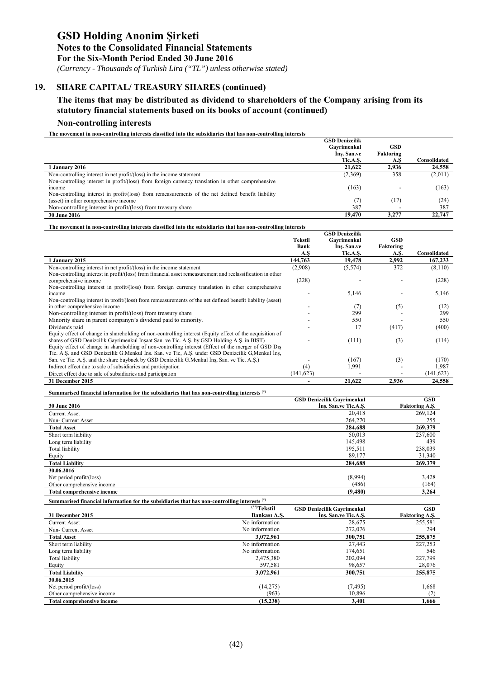# **Notes to the Consolidated Financial Statements**

**For the Six-Month Period Ended 30 June 2016** 

 *(Currency - Thousands of Turkish Lira ("TL") unless otherwise stated)*

# **19. SHARE CAPITAL/ TREASURY SHARES (continued)**

# **The items that may be distributed as dividend to shareholders of the Company arising from its statutory financial statements based on its books of account (continued)**

# **Non-controlling interests**

**The movement in non-controlling interests classified into the subsidiaries that has non-controlling interests** 

|                                                                                                    | <b>GSD Denizcilik</b> |            |              |
|----------------------------------------------------------------------------------------------------|-----------------------|------------|--------------|
|                                                                                                    | Gavrimenkul           | <b>GSD</b> |              |
|                                                                                                    | Ins. San.ve           | Faktoring  |              |
|                                                                                                    | Tic.A.S.              | A.S        | Consolidated |
| l Januarv 2016                                                                                     | 21,622                | 2.936      | 24,558       |
| Non-controlling interest in net $profit/(\text{loss})$ in the income statement                     | (2,369)               | 358        | (2,011)      |
| Non-controlling interest in profit/(loss) from foreign currency translation in other comprehensive |                       |            |              |
| income                                                                                             | (163)                 |            | (163)        |
| Non-controlling interest in profit/(loss) from remeasurements of the net defined benefit liability |                       |            |              |
| (asset) in other comprehensive income                                                              | (7)                   | (17)       | (24)         |
| Non-controlling interest in profit/(loss) from treasury share                                      | 387                   |            | 387          |
| <b>30 June 2016</b>                                                                                | 19.470                | 3.277      | 22,747       |

**The movement in non-controlling interests classified into the subsidiaries that has non-controlling interests** 

|                                                                                                            |                | <b>GSD Denizcilik</b> |            |              |
|------------------------------------------------------------------------------------------------------------|----------------|-----------------------|------------|--------------|
|                                                                                                            | <b>Tekstil</b> | Gavrimenkul           | <b>GSD</b> |              |
|                                                                                                            | Bank           | Ins. San.ve           | Faktoring  |              |
|                                                                                                            | A.S            | Tic.A.S.              | A.S.       | Consolidated |
| 1 January 2015                                                                                             | 144,763        | 19,478                | 2,992      | 167,233      |
| Non-controlling interest in net profit/(loss) in the income statement                                      | (2,908)        | (5,574)               | 372        | (8,110)      |
| Non-controlling interest in profit/(loss) from financial asset remeasurement and reclassification in other |                |                       |            |              |
| comprehensive income                                                                                       | (228)          |                       |            | (228)        |
| Non-controlling interest in profit/(loss) from foreign currency translation in other comprehensive         |                |                       |            |              |
| income                                                                                                     |                | 5,146                 |            | 5,146        |
| Non-controlling interest in profit/(loss) from remeasurements of the net defined benefit liability (asset) |                |                       |            |              |
| in other comprehensive income                                                                              |                | (7)                   | (5)        | (12)         |
| Non-controlling interest in profit/(loss) from treasury share                                              |                | 299                   |            | 299          |
| Minority share in parent companyn's dividend paid to minority.                                             |                | 550                   |            | 550          |
| Dividends paid                                                                                             |                | 17                    | (417)      | (400)        |
| Equity effect of change in shareholding of non-controlling interest (Equity effect of the acquisition of   |                |                       |            |              |
| shares of GSD Denizcilik Gayrimenkul Insaat San. ve Tic. A.S. by GSD Holding A.S. in BIST)                 |                | (111)                 | (3)        | (114)        |
| Equity effect of change in shareholding of non-controlling interest (Effect of the merger of GSD Dis       |                |                       |            |              |
| Tic. A.S. and GSD Denizcilik G.Menkul Ins. San. ve Tic, A.S. under GSD Denizcilik G, Menkul Ins.           |                |                       |            |              |
| San. ve Tic. A.Ş. and the share buyback by GSD Denizcilik G.Menkul Ins, San. ve Tic. A.Ş.)                 |                | (167)                 | (3)        | (170)        |
| Indirect effect due to sale of subsidiaries and participation                                              | (4)            | 1,991                 |            | 1,987        |
| Direct effect due to sale of subsidiaries and participation                                                | (141, 623)     |                       |            | (141, 623)   |
| 31 December 2015                                                                                           |                | 21,622                | 2,936      | 24,558       |

#### **Summarised financial information for the subsidiaries that has non-controlling interests (\*)**

|                                   | <b>GSD Denizcilik Gavrimenkul</b> | <b>GSD</b>            |
|-----------------------------------|-----------------------------------|-----------------------|
| <b>30 June 2016</b>               | Ins. San.ve Tic.A.S.              | <b>Faktoring A.S.</b> |
| <b>Current Asset</b>              | 20,418                            | 269,124               |
| Nun- Current Asset                | 264,270                           | 255                   |
| <b>Total Asset</b>                | 284,688                           | 269,379               |
| Short term liability              | 50,013                            | 237,600               |
| Long term liability               | 145,498                           | 439                   |
| Total liability                   | 195,511                           | 238,039               |
| Equity                            | 89,177                            | 31,340                |
| <b>Total Liability</b>            | 284,688                           | 269,379               |
| 30.06.2016                        |                                   |                       |
| Net period profit/(loss)          | (8,994)                           | 3,428                 |
| Other comprehensive income        | (486)                             | (164)                 |
| <b>Total comprehensive income</b> | (9,480)                           | 3,264                 |

| Summarised financial information for the subsidiaries that has non-controlling interests (*) |                         |                                   |                       |  |  |  |
|----------------------------------------------------------------------------------------------|-------------------------|-----------------------------------|-----------------------|--|--|--|
|                                                                                              | <sup>(**)</sup> Tekstil | <b>GSD Denizcilik Gayrimenkul</b> | <b>GSD</b>            |  |  |  |
| 31 December 2015                                                                             | Bankası A.S.            | Ins. San.ve Tic.A.S.              | <b>Faktoring A.S.</b> |  |  |  |
| <b>Current Asset</b>                                                                         | No information          | 28,675                            | 255,581               |  |  |  |
| Nun- Current Asset                                                                           | No information          | 272,076                           | 294                   |  |  |  |
| <b>Total Asset</b>                                                                           | 3.072.961               | 300.751                           | 255,875               |  |  |  |
| Short term liability                                                                         | No information          | 27.443                            | 227,253               |  |  |  |
| Long term liability                                                                          | No information          | 174,651                           | 546                   |  |  |  |
| Total liability                                                                              | 2,475,380               | 202,094                           | 227,799               |  |  |  |
| Equity                                                                                       | 597,581                 | 98,657                            | 28,076                |  |  |  |
| <b>Total Liability</b>                                                                       | 3,072,961               | 300,751                           | 255,875               |  |  |  |
| 30.06.2015                                                                                   |                         |                                   |                       |  |  |  |
| Net period profit/(loss)                                                                     | (14,275)                | (7, 495)                          | 1,668                 |  |  |  |
| Other comprehensive income                                                                   | (963)                   | 10,896                            | (2)                   |  |  |  |
| <b>Total comprehensive income</b>                                                            | (15, 238)               | 3.401                             | 1,666                 |  |  |  |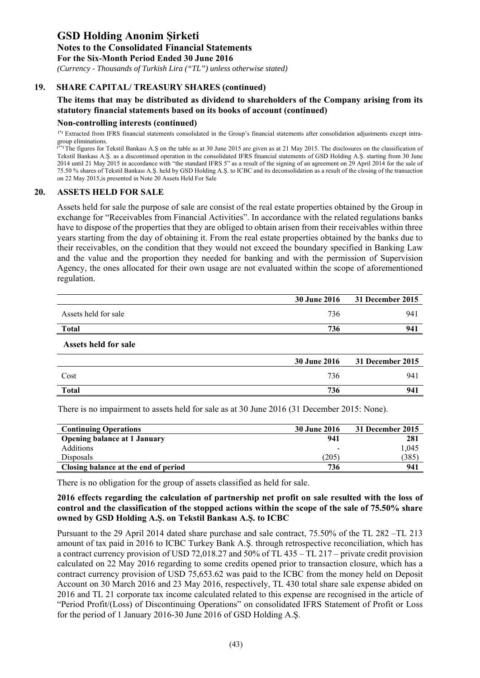**Notes to the Consolidated Financial Statements** 

**For the Six-Month Period Ended 30 June 2016** 

 *(Currency - Thousands of Turkish Lira ("TL") unless otherwise stated)*

# **19. SHARE CAPITAL/ TREASURY SHARES (continued)**

# **The items that may be distributed as dividend to shareholders of the Company arising from its statutory financial statements based on its books of account (continued)**

#### **Non-controlling interests (continued)**

**(\*)** Extracted from IFRS financial statements consolidated in the Group's financial statements after consolidation adjustments except intragroup eliminations.

**(\*\*)** The figures for Tekstil Bankası A.Ş on the table as at 30 June 2015 are given as at 21 May 2015. The disclosures on the classification of Tekstil Bankası A.Ş. as a discontinued operation in the consolidated IFRS financial statements of GSD Holding A.Ş. starting from 30 June 2014 until 21 May 2015 in accordance with "the standard IFRS 5" as a result of the signing of an agreement on 29 April 2014 for the sale of 75.50 % shares of Tekstil Bankası A.Ş. held by GSD Holding A.Ş. to ICBC and its deconsolidation as a result of the closing of the transaction on 22 May 2015,is presented in Note 20 Assets Held For Sale

### **20. ASSETS HELD FOR SALE**

Assets held for sale the purpose of sale are consist of the real estate properties obtained by the Group in exchange for "Receivables from Financial Activities". In accordance with the related regulations banks have to dispose of the properties that they are obliged to obtain arisen from their receivables within three years starting from the day of obtaining it. From the real estate properties obtained by the banks due to their receivables, on the condition that they would not exceed the boundary specified in Banking Law and the value and the proportion they needed for banking and with the permission of Supervision Agency, the ones allocated for their own usage are not evaluated within the scope of aforementioned regulation.

|                      | <b>30 June 2016</b> | 31 December 2015 |
|----------------------|---------------------|------------------|
| Assets held for sale | 736                 | 941              |
| <b>Total</b>         | 736                 | 941              |
| Assets held for sale |                     |                  |
|                      | <b>30 June 2016</b> | 31 December 2015 |

|              | <b>OU QUILLE ANTU</b> | $51$ December 2015 |
|--------------|-----------------------|--------------------|
| Cost         | 721<br>' 50           | 941                |
| <b>Total</b> | 736                   | 941                |
|              |                       |                    |

There is no impairment to assets held for sale as at 30 June 2016 (31 December 2015: None).

| <b>Continuing Operations</b>         | 30 June 2016             | 31 December 2015 |
|--------------------------------------|--------------------------|------------------|
| <b>Opening balance at 1 January</b>  | 941                      | 281              |
| Additions                            | $\overline{\phantom{0}}$ | 1.045            |
| Disposals                            | $205^\circ$              | 385              |
| Closing balance at the end of period | 736                      | 941              |

There is no obligation for the group of assets classified as held for sale.

### **2016 effects regarding the calculation of partnership net profit on sale resulted with the loss of control and the classification of the stopped actions within the scope of the sale of 75.50% share owned by GSD Holding A.Ş. on Tekstil Bankası A.Ş. to ICBC**

Pursuant to the 29 April 2014 dated share purchase and sale contract, 75.50% of the TL 282 –TL 213 amount of tax paid in 2016 to ICBC Turkey Bank A.Ş. through retrospective reconciliation, which has a contract currency provision of USD 72,018.27 and 50% of TL 435 – TL 217 – private credit provision calculated on 22 May 2016 regarding to some credits opened prior to transaction closure, which has a contract currency provision of USD 75,653.62 was paid to the ICBC from the money held on Deposit Account on 30 March 2016 and 23 May 2016, respectively, TL 430 total share sale expense abided on 2016 and TL 21 corporate tax income calculated related to this expense are recognised in the article of "Period Profit/(Loss) of Discontinuing Operations" on consolidated IFRS Statement of Profit or Loss for the period of 1 January 2016-30 June 2016 of GSD Holding A.Ş.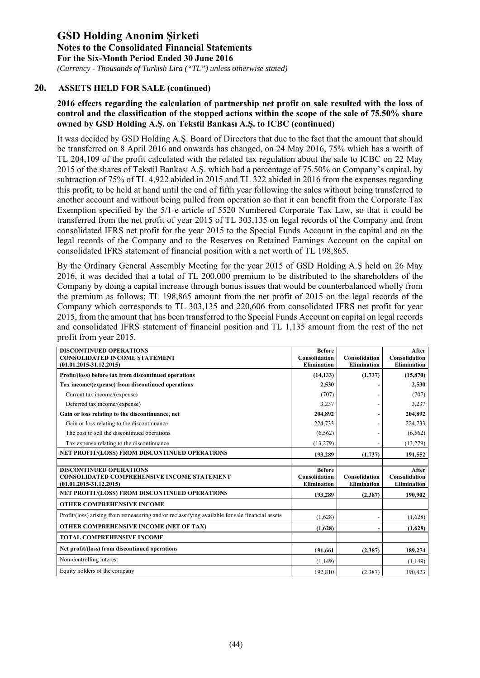*(Currency - Thousands of Turkish Lira ("TL") unless otherwise stated)*

# **20. ASSETS HELD FOR SALE (continued)**

# **2016 effects regarding the calculation of partnership net profit on sale resulted with the loss of control and the classification of the stopped actions within the scope of the sale of 75.50% share owned by GSD Holding A.Ş. on Tekstil Bankası A.Ş. to ICBC (continued)**

It was decided by GSD Holding A.Ş. Board of Directors that due to the fact that the amount that should be transferred on 8 April 2016 and onwards has changed, on 24 May 2016, 75% which has a worth of TL 204,109 of the profit calculated with the related tax regulation about the sale to ICBC on 22 May 2015 of the shares of Tekstil Bankası A.Ş. which had a percentage of 75.50% on Company's capital, by subtraction of 75% of TL 4,922 abided in 2015 and TL 322 abided in 2016 from the expenses regarding this profit, to be held at hand until the end of fifth year following the sales without being transferred to another account and without being pulled from operation so that it can benefit from the Corporate Tax Exemption specified by the 5/1-e article of 5520 Numbered Corporate Tax Law, so that it could be transferred from the net profit of year 2015 of TL 303,135 on legal records of the Company and from consolidated IFRS net profit for the year 2015 to the Special Funds Account in the capital and on the legal records of the Company and to the Reserves on Retained Earnings Account on the capital on consolidated IFRS statement of financial position with a net worth of TL 198,865.

By the Ordinary General Assembly Meeting for the year 2015 of GSD Holding A.Ş held on 26 May 2016, it was decided that a total of TL 200,000 premium to be distributed to the shareholders of the Company by doing a capital increase through bonus issues that would be counterbalanced wholly from the premium as follows; TL 198,865 amount from the net profit of 2015 on the legal records of the Company which corresponds to TL 303,135 and 220,606 from consolidated IFRS net profit for year 2015, from the amount that has been transferred to the Special Funds Account on capital on legal records and consolidated IFRS statement of financial position and TL 1,135 amount from the rest of the net profit from year 2015.

| <b>DISCONTINUED OPERATIONS</b><br><b>CONSOLIDATED INCOME STATEMENT</b><br>$(01.01.2015 - 31.12.2015)$               | <b>Before</b><br>Consolidation<br><b>Elimination</b> | Consolidation<br><b>Elimination</b> | After<br>Consolidation<br><b>Elimination</b> |
|---------------------------------------------------------------------------------------------------------------------|------------------------------------------------------|-------------------------------------|----------------------------------------------|
| Profit/(loss) before tax from discontinued operations                                                               | (14, 133)                                            | (1,737)                             | (15, 870)                                    |
| Tax income/(expense) from discontinued operations                                                                   | 2,530                                                |                                     | 2,530                                        |
| Current tax income/(expense)                                                                                        | (707)                                                |                                     | (707)                                        |
| Deferred tax income/(expense)                                                                                       | 3,237                                                |                                     | 3,237                                        |
| Gain or loss relating to the discontinuance, net                                                                    | 204,892                                              |                                     | 204,892                                      |
| Gain or loss relating to the discontinuance                                                                         | 224,733                                              |                                     | 224,733                                      |
| The cost to sell the discontinued operations                                                                        | (6, 562)                                             |                                     | (6, 562)                                     |
| Tax expense relating to the discontinuance                                                                          | (13,279)                                             |                                     | (13, 279)                                    |
| NET PROFIT/(LOSS) FROM DISCONTINUED OPERATIONS                                                                      | 193,289                                              | (1,737)                             | 191,552                                      |
|                                                                                                                     |                                                      |                                     |                                              |
| <b>DISCONTINUED OPERATIONS</b><br><b>CONSOLIDATED COMPREHENSIVE INCOME STATEMENT</b><br>$(01.01.2015 - 31.12.2015)$ | <b>Before</b><br>Consolidation<br><b>Elimination</b> | Consolidation<br><b>Elimination</b> | After<br>Consolidation<br><b>Elimination</b> |
| NET PROFIT/(LOSS) FROM DISCONTINUED OPERATIONS                                                                      | 193,289                                              | (2,387)                             | 190,902                                      |
| OTHER COMPREHENSIVE INCOME                                                                                          |                                                      |                                     |                                              |
| Profit/(loss) arising from remeasuring and/or reclassifying available for sale financial assets                     | (1,628)                                              |                                     | (1,628)                                      |
| OTHER COMPREHENSIVE INCOME (NET OF TAX)                                                                             | (1,628)                                              |                                     | (1,628)                                      |
| <b>TOTAL COMPREHENSIVE INCOME</b>                                                                                   |                                                      |                                     |                                              |
| Net profit/(loss) from discontinued operations                                                                      | 191.661                                              | (2,387)                             | 189,274                                      |
| Non-controlling interest                                                                                            | (1,149)                                              |                                     | (1, 149)                                     |
| Equity holders of the company                                                                                       | 192,810                                              | (2,387)                             | 190.423                                      |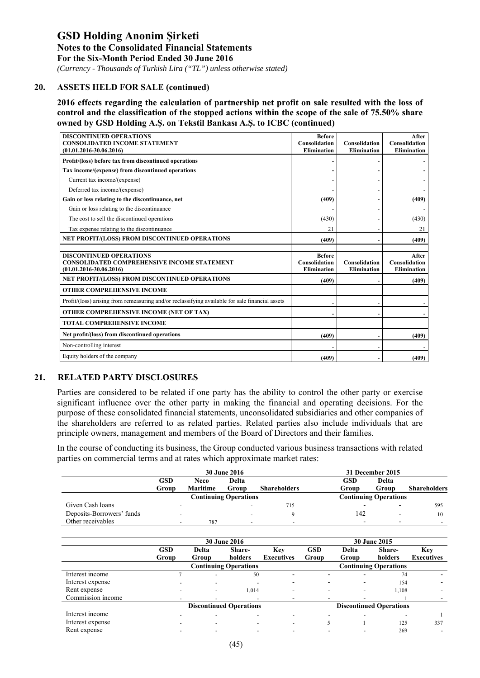*(Currency - Thousands of Turkish Lira ("TL") unless otherwise stated)*

### **20. ASSETS HELD FOR SALE (continued)**

**2016 effects regarding the calculation of partnership net profit on sale resulted with the loss of control and the classification of the stopped actions within the scope of the sale of 75.50% share owned by GSD Holding A.Ş. on Tekstil Bankası A.Ş. to ICBC (continued)** 

| <b>DISCONTINUED OPERATIONS</b><br><b>CONSOLIDATED INCOME STATEMENT</b><br>$(01.01.2016 - 30.06.2016)$ | <b>Before</b><br>Consolidation<br><b>Elimination</b> | Consolidation<br>Elimination | After<br>Consolidation<br><b>Elimination</b> |
|-------------------------------------------------------------------------------------------------------|------------------------------------------------------|------------------------------|----------------------------------------------|
| Profit/(loss) before tax from discontinued operations                                                 |                                                      |                              |                                              |
| Tax income/(expense) from discontinued operations                                                     |                                                      |                              |                                              |
| Current tax income/(expense)                                                                          |                                                      |                              |                                              |
| Deferred tax income/(expense)                                                                         |                                                      |                              |                                              |
| Gain or loss relating to the discontinuance, net                                                      | (409)                                                |                              | (409)                                        |
| Gain or loss relating to the discontinuance                                                           |                                                      |                              |                                              |
| The cost to sell the discontinued operations                                                          | (430)                                                |                              | (430)                                        |
| Tax expense relating to the discontinuance                                                            | 21                                                   |                              | 21                                           |
| NET PROFIT/(LOSS) FROM DISCONTINUED OPERATIONS                                                        | (409)                                                |                              | (409)                                        |
|                                                                                                       |                                                      |                              |                                              |
| <b>DISCONTINUED OPERATIONS</b><br><b>CONSOLIDATED COMPREHENSIVE INCOME STATEMENT</b>                  | <b>Before</b><br>Consolidation                       | Consolidation                | After<br>Consolidation                       |
| $(01.01.2016 - 30.06.2016)$                                                                           | <b>Elimination</b>                                   | Elimination                  | <b>Elimination</b>                           |
| NET PROFIT/(LOSS) FROM DISCONTINUED OPERATIONS                                                        | (409)                                                |                              | (409)                                        |
| <b>OTHER COMPREHENSIVE INCOME</b>                                                                     |                                                      |                              |                                              |
| Profit/(loss) arising from remeasuring and/or reclassifying available for sale financial assets       |                                                      |                              |                                              |
| OTHER COMPREHENSIVE INCOME (NET OF TAX)                                                               |                                                      |                              |                                              |
| <b>TOTAL COMPREHENSIVE INCOME</b>                                                                     |                                                      |                              |                                              |
| Net profit/(loss) from discontinued operations                                                        | (409)                                                |                              | (409)                                        |
| Non-controlling interest                                                                              |                                                      |                              |                                              |
|                                                                                                       |                                                      |                              |                                              |

# **21. RELATED PARTY DISCLOSURES**

Parties are considered to be related if one party has the ability to control the other party or exercise significant influence over the other party in making the financial and operating decisions. For the purpose of these consolidated financial statements, unconsolidated subsidiaries and other companies of the shareholders are referred to as related parties. Related parties also include individuals that are principle owners, management and members of the Board of Directors and their families.

In the course of conducting its business, the Group conducted various business transactions with related parties on commercial terms and at rates which approximate market rates:

|                           |                          |                 | <b>30 June 2016</b>          |                     |            | 31 December 2015             |                     |
|---------------------------|--------------------------|-----------------|------------------------------|---------------------|------------|------------------------------|---------------------|
|                           | <b>GSD</b>               | Neco            | Delta                        |                     | <b>GSD</b> | Delta                        |                     |
|                           | Group                    | <b>Maritime</b> | Group                        | <b>Shareholders</b> | Group      | Group                        | <b>Shareholders</b> |
|                           |                          |                 | <b>Continuing Operations</b> |                     |            | <b>Continuing Operations</b> |                     |
| Given Cash loans          |                          |                 |                              | 715                 |            |                              | 595                 |
| Deposits-Borrowers' funds | $\overline{\phantom{0}}$ |                 |                              |                     | 142        |                              | 10                  |
| Other receivables         | $\overline{\phantom{0}}$ | 787             |                              | -                   |            |                              |                     |

|                   |                |                          | <b>30 June 2016</b>            |                          |                          |       | <b>30 June 2015</b>            |                   |
|-------------------|----------------|--------------------------|--------------------------------|--------------------------|--------------------------|-------|--------------------------------|-------------------|
|                   | <b>GSD</b>     | Delta                    | Share-                         | Key                      | <b>GSD</b>               | Delta | Share-                         | Key               |
|                   | Group          | Group                    | holders                        | <b>Executives</b>        | Group                    | Group | holders                        | <b>Executives</b> |
|                   |                |                          | <b>Continuing Operations</b>   |                          |                          |       | <b>Continuing Operations</b>   |                   |
| Interest income   |                | $\sim$                   | 50                             | $\overline{\phantom{0}}$ | $\overline{\phantom{0}}$ | -     | 74                             | -                 |
| Interest expense  | $\sim$         | $\overline{\phantom{0}}$ | $\overline{\phantom{a}}$       | $\overline{\phantom{0}}$ |                          |       | 154                            |                   |
| Rent expense      | $\overline{a}$ | $\overline{\phantom{a}}$ | 1,014                          | -                        |                          |       | 1,108                          |                   |
| Commission income | $\overline{a}$ | $\overline{\phantom{0}}$ | $\overline{\phantom{a}}$       | ۰                        |                          |       |                                |                   |
|                   |                |                          | <b>Discontinued Operations</b> |                          |                          |       | <b>Discontinued Operations</b> |                   |
| Interest income   | -              |                          | -                              | -                        |                          |       |                                |                   |
| Interest expense  | $\sim$         | $\overline{\phantom{a}}$ | $\overline{\phantom{a}}$       | $\overline{\phantom{a}}$ |                          |       | 125                            | 337               |
| Rent expense      |                |                          |                                |                          |                          |       | 269                            | $\overline{a}$    |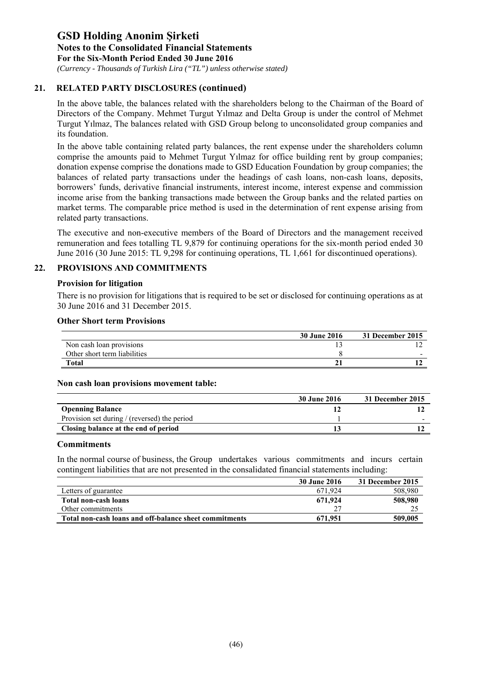*(Currency - Thousands of Turkish Lira ("TL") unless otherwise stated)*

# **21. RELATED PARTY DISCLOSURES (continued)**

In the above table, the balances related with the shareholders belong to the Chairman of the Board of Directors of the Company. Mehmet Turgut Yılmaz and Delta Group is under the control of Mehmet Turgut Yılmaz, The balances related with GSD Group belong to unconsolidated group companies and its foundation.

In the above table containing related party balances, the rent expense under the shareholders column comprise the amounts paid to Mehmet Turgut Yılmaz for office building rent by group companies; donation expense comprise the donations made to GSD Education Foundation by group companies; the balances of related party transactions under the headings of cash loans, non-cash loans, deposits, borrowers' funds, derivative financial instruments, interest income, interest expense and commission income arise from the banking transactions made between the Group banks and the related parties on market terms. The comparable price method is used in the determination of rent expense arising from related party transactions.

The executive and non-executive members of the Board of Directors and the management received remuneration and fees totalling TL 9,879 for continuing operations for the six-month period ended 30 June 2016 (30 June 2015: TL 9,298 for continuing operations, TL 1,661 for discontinued operations).

# **22. PROVISIONS AND COMMITMENTS**

#### **Provision for litigation**

There is no provision for litigations that is required to be set or disclosed for continuing operations as at 30 June 2016 and 31 December 2015.

#### **Other Short term Provisions**

|                              | <b>30 June 2016</b> | 31 December 2015 |
|------------------------------|---------------------|------------------|
| Non cash loan provisions     |                     |                  |
| Other short term liabilities |                     | -                |
| <b>Total</b>                 | 21                  |                  |

### **Non cash loan provisions movement table:**

|                                              | <b>30 June 2016</b> | 31 December 2015 |
|----------------------------------------------|---------------------|------------------|
| <b>Openning Balance</b>                      |                     |                  |
| Provision set during / (reversed) the period |                     |                  |
| Closing balance at the end of period         |                     |                  |

### **Commitments**

In the normal course of business, the Group undertakes various commitments and incurs certain contingent liabilities that are not presented in the consalidated financial statements including:

|                                                        | 30 June 2016 | 31 December 2015 |
|--------------------------------------------------------|--------------|------------------|
| Letters of guarantee                                   | 671.924      | 508,980          |
| Total non-cash loans                                   | 671,924      | 508,980          |
| Other commitments                                      |              |                  |
| Total non-cash loans and off-balance sheet commitments | 671.951      | 509,005          |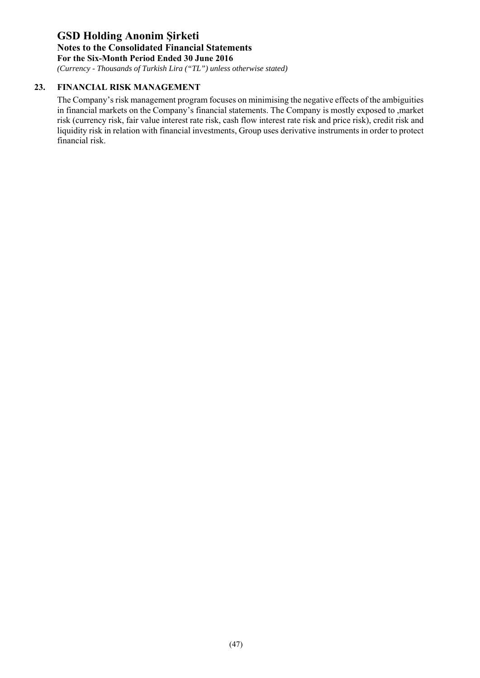*(Currency - Thousands of Turkish Lira ("TL") unless otherwise stated)*

# **23. FINANCIAL RISK MANAGEMENT**

The Company's risk management program focuses on minimising the negative effects of the ambiguities in financial markets on the Company's financial statements. The Company is mostly exposed to ,market risk (currency risk, fair value interest rate risk, cash flow interest rate risk and price risk), credit risk and liquidity risk in relation with financial investments, Group uses derivative instruments in order to protect financial risk.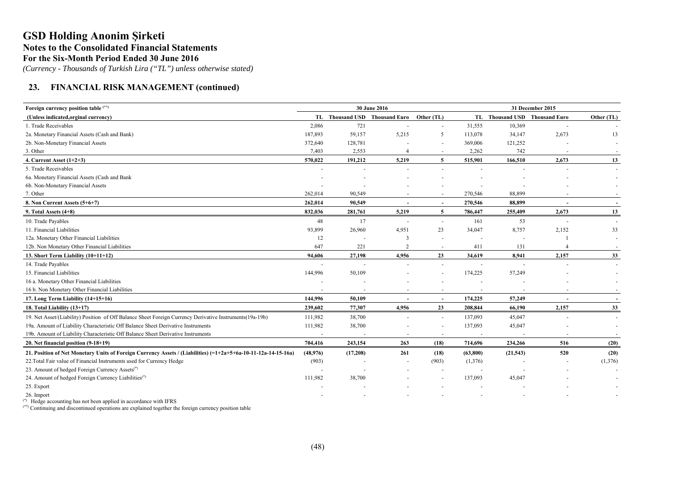*(Currency - Thousands of Turkish Lira ("TL") unless otherwise stated)*

# **23. FINANCIAL RISK MANAGEMENT (continued)**

| Foreign currency position table (**)                                                                             |                          |          | 30 June 2016                             |                          |                          | 31 December 2015              |       |            |  |  |
|------------------------------------------------------------------------------------------------------------------|--------------------------|----------|------------------------------------------|--------------------------|--------------------------|-------------------------------|-------|------------|--|--|
| (Unless indicated, orginal currency)                                                                             |                          |          | TL Thousand USD Thousand Euro Other (TL) |                          |                          | TL Thousand USD Thousand Euro |       | Other (TL) |  |  |
| 1. Trade Receivables                                                                                             | 2,086                    | 721      |                                          | $\sim$                   | 31,555                   | 10,369                        |       |            |  |  |
| 2a. Monetary Financial Assets (Cash and Bank)                                                                    | 187,893                  | 59,157   | 5,215                                    | 5                        | 113,078                  | 34,147                        | 2,673 | 13         |  |  |
| 2b. Non-Monetary Financial Assets                                                                                | 372,640                  | 128,781  |                                          | $\overline{a}$           | 369,006                  | 121,252                       |       |            |  |  |
| 3. Other                                                                                                         | 7,403                    | 2,553    | $\overline{4}$                           | $\sim$                   | 2,262                    | 742                           |       |            |  |  |
| 4. Current Asset $(1+2+3)$                                                                                       | 570,022                  | 191,212  | 5,219                                    | 5                        | 515,901                  | 166,510                       | 2,673 | 13         |  |  |
| 5. Trade Receivables                                                                                             |                          |          |                                          |                          |                          |                               |       |            |  |  |
| 6a. Monetary Financial Assets (Cash and Bank                                                                     |                          |          |                                          |                          |                          |                               |       |            |  |  |
| 6b. Non-Monetary Financial Assets                                                                                |                          |          |                                          |                          |                          |                               |       |            |  |  |
| 7. Other                                                                                                         | 262,014                  | 90,549   |                                          |                          | 270,546                  | 88,899                        |       |            |  |  |
| 8. Non Current Assets (5+6+7)                                                                                    | 262,014                  | 90.549   |                                          | $\overline{\phantom{a}}$ | 270,546                  | 88.899                        |       |            |  |  |
| 9. Total Assets $(4+8)$                                                                                          | 832,036                  | 281,761  | 5,219                                    | 5                        | 786,447                  | 255,409                       | 2,673 | 13         |  |  |
| 10. Trade Payables                                                                                               | 48                       | 17       |                                          | $\overline{\phantom{a}}$ | 161                      | 53                            |       |            |  |  |
| 11. Financial Liabilities                                                                                        | 93,899                   | 26,960   | 4,951                                    | 23                       | 34,047                   | 8,757                         | 2,152 | 33         |  |  |
| 12a. Monetary Other Financial Liabilities                                                                        | 12                       |          | 3                                        | $\overline{a}$           |                          |                               |       |            |  |  |
| 12b. Non Monetary Other Financial Liabilities                                                                    | 647                      | 221      | $\overline{c}$                           | $\overline{\phantom{a}}$ | 411                      | 131                           |       |            |  |  |
| 13. Short Term Liability (10+11+12)                                                                              | 94,606                   | 27,198   | 4,956                                    | 23                       | 34,619                   | 8,941                         | 2,157 | 33         |  |  |
| 14. Trade Payables                                                                                               |                          |          |                                          | $\sim$                   |                          |                               |       |            |  |  |
| 15. Financial Liabilities                                                                                        | 144,996                  | 50,109   |                                          |                          | 174,225                  | 57,249                        |       |            |  |  |
| 16 a. Monetary Other Financial Liabilities                                                                       |                          |          |                                          |                          |                          |                               |       |            |  |  |
| 16 b. Non Monetary Other Financial Liabilities                                                                   |                          |          |                                          | $\overline{\phantom{a}}$ |                          |                               |       |            |  |  |
| 17. Long Term Liability (14+15+16)                                                                               | 144,996                  | 50,109   |                                          | $\overline{\phantom{a}}$ | 174,225                  | 57,249                        |       |            |  |  |
| 18. Total Liability (13+17)                                                                                      | 239,602                  | 77,307   | 4,956                                    | 23                       | 208,844                  | 66,190                        | 2,157 | 33         |  |  |
| 19. Net Asset/(Liability) Position of Off Balance Sheet Foreign Currency Derivative Instruments(19a-19b)         | 111,982                  | 38,700   |                                          | $\sim$                   | 137,093                  | 45,047                        |       | $\sim$     |  |  |
| 19a. Amount of Liability Characteristic Off Balance Sheet Derivative Instruments                                 | 111,982                  | 38,700   |                                          | $\sim$                   | 137,093                  | 45,047                        |       |            |  |  |
| 19b. Amount of Liability Characteristic Off Balance Sheet Derivative Instruments                                 | $\overline{\phantom{a}}$ | $\sim$   |                                          | $\overline{\phantom{a}}$ | $\overline{\phantom{a}}$ |                               |       |            |  |  |
| 20. Net financial position (9-18+19)                                                                             | 704,416                  | 243,154  | 263                                      | (18)                     | 714,696                  | 234,266                       | 516   | (20)       |  |  |
| 21. Position of Net Monetary Units of Foreign Currency Assets / (Liabilities) $(=1+2a+5+6a-10-11-12a-14-15-16a)$ | (48,976)                 | (17,208) | 261                                      | (18)                     | (63, 800)                | (21, 543)                     | 520   | (20)       |  |  |
| 22. Total Fair value of Financial Instruments used for Currency Hedge                                            | (903)                    |          |                                          | (903)                    | (1,376)                  |                               |       | (1,376)    |  |  |
| 23. Amount of hedged Foreign Currency Assets <sup>(*)</sup>                                                      |                          |          |                                          |                          |                          |                               |       |            |  |  |
| 24. Amount of hedged Foreign Currency Liabilities <sup>(*)</sup>                                                 | 111,982                  | 38,700   |                                          |                          | 137,093                  | 45,047                        |       |            |  |  |
| 25. Export                                                                                                       |                          |          |                                          |                          |                          |                               |       |            |  |  |
| 26. Import                                                                                                       |                          |          |                                          |                          |                          |                               |       |            |  |  |
| $^{(*)}$ Hodge accounting has not been applied in accordance with IEDS.                                          |                          |          |                                          |                          |                          |                               |       |            |  |  |

Hedge accounting has not been applied in accordance with IFRS

(\*\*) Continuing and discontinued operations are explained together the foreign currency position table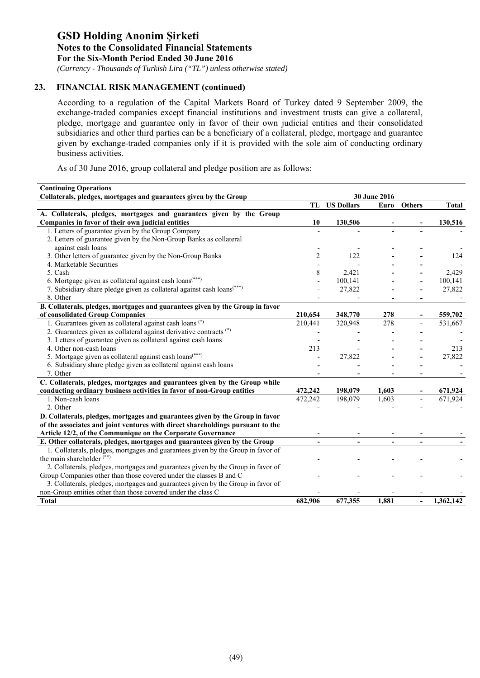*(Currency - Thousands of Turkish Lira ("TL") unless otherwise stated)*

# **23. FINANCIAL RISK MANAGEMENT (continued)**

According to a regulation of the Capital Markets Board of Turkey dated 9 September 2009, the exchange-traded companies except financial institutions and investment trusts can give a collateral, pledge, mortgage and guarantee only in favor of their own judicial entities and their consolidated subsidiaries and other third parties can be a beneficiary of a collateral, pledge, mortgage and guarantee given by exchange-traded companies only if it is provided with the sole aim of conducting ordinary business activities.

As of 30 June 2016, group collateral and pledge position are as follows:

| <b>Continuing Operations</b>                                                       |                |                   |                |               |                      |
|------------------------------------------------------------------------------------|----------------|-------------------|----------------|---------------|----------------------|
| Collaterals, pledges, mortgages and guarantees given by the Group                  |                |                   | 30 June 2016   |               |                      |
|                                                                                    | TL             | <b>US Dollars</b> | Euro           | <b>Others</b> | <b>Total</b>         |
| A. Collaterals, pledges, mortgages and guarantees given by the Group               |                |                   |                |               |                      |
| Companies in favor of their own judicial entities                                  | 10             | 130,506           |                |               | 130,516              |
| 1. Letters of guarantee given by the Group Company                                 |                |                   |                |               |                      |
| 2. Letters of guarantee given by the Non-Group Banks as collateral                 |                |                   |                |               |                      |
| against cash loans                                                                 |                |                   |                |               |                      |
| 3. Other letters of guarantee given by the Non-Group Banks                         | 2              | 122               |                |               | 124                  |
| 4. Marketable Securities                                                           |                |                   |                |               |                      |
| 5. Cash                                                                            | 8              | 2,421             |                |               | 2,429                |
| 6. Mortgage given as collateral against cash loans <sup>(***)</sup>                |                | 100,141           |                |               | 100,141              |
| 7. Subsidiary share pledge given as collateral against cash loans <sup>(***)</sup> |                | 27,822            |                |               | 27,822               |
| 8. Other                                                                           |                |                   |                |               |                      |
| B. Collaterals, pledges, mortgages and guarantees given by the Group in favor      |                |                   |                |               |                      |
| of consolidated Group Companies                                                    | 210,654        | 348,770           | 278            |               | 559,702              |
| 1. Guarantees given as collateral against cash loans (*)                           | 210,441        | 320,948           | 278            |               | $\overline{531,667}$ |
| 2. Guarantees given as collateral against derivative contracts (*)                 |                |                   |                |               |                      |
| 3. Letters of guarantee given as collateral against cash loans                     |                |                   |                |               |                      |
| 4. Other non-cash loans                                                            | 213            |                   |                |               | 213                  |
| 5. Mortgage given as collateral against cash loans <sup>(***)</sup>                |                | 27,822            |                |               | 27,822               |
| 6. Subsidiary share pledge given as collateral against cash loans                  |                |                   |                |               |                      |
| 7. Other                                                                           |                |                   |                |               |                      |
| C. Collaterals, pledges, mortgages and guarantees given by the Group while         |                |                   |                |               |                      |
| conducting ordinary business activities in favor of non-Group entities             | 472,242        | 198,079           | 1.603          |               | 671,924              |
| 1. Non-cash loans                                                                  | 472,242        | 198,079           | 1,603          |               | 671,924              |
| 2. Other                                                                           |                |                   |                |               |                      |
| D. Collaterals, pledges, mortgages and guarantees given by the Group in favor      |                |                   |                |               |                      |
| of the associates and joint ventures with direct shareholdings pursuant to the     |                |                   |                |               |                      |
| Article 12/2, of the Communique on the Corporate Governance                        |                |                   |                |               |                      |
| E. Other collaterals, pledges, mortgages and guarantees given by the Group         | $\blacksquare$ | $\blacksquare$    | $\blacksquare$ |               |                      |
| 1. Collaterals, pledges, mortgages and guarantees given by the Group in favor of   |                |                   |                |               |                      |
| the main shareholder <sup>(**)</sup>                                               |                |                   |                |               |                      |
| 2. Collaterals, pledges, mortgages and guarantees given by the Group in favor of   |                |                   |                |               |                      |
| Group Companies other than those covered under the classes B and C                 |                |                   |                |               |                      |
| 3. Collaterals, pledges, mortgages and guarantees given by the Group in favor of   |                |                   |                |               |                      |
| non-Group entities other than those covered under the class C                      |                |                   |                |               |                      |
| <b>Total</b>                                                                       | 682,906        | 677,355           | 1.881          |               | 1,362,142            |
|                                                                                    |                |                   |                |               |                      |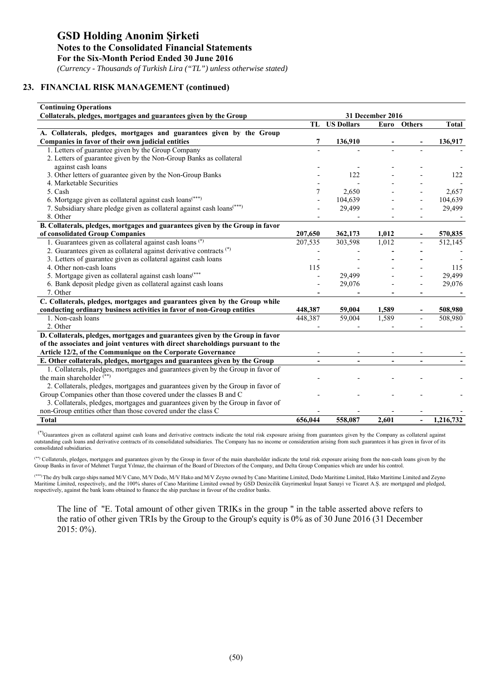*(Currency - Thousands of Turkish Lira ("TL") unless otherwise stated)*

# **23. FINANCIAL RISK MANAGEMENT (continued)**

| <b>Continuing Operations</b>                                                       |                  |                      |                |                          |              |  |  |
|------------------------------------------------------------------------------------|------------------|----------------------|----------------|--------------------------|--------------|--|--|
| Collaterals, pledges, mortgages and guarantees given by the Group                  | 31 December 2016 |                      |                |                          |              |  |  |
|                                                                                    |                  | <b>TL</b> US Dollars |                | Euro Others              | <b>Total</b> |  |  |
| A. Collaterals, pledges, mortgages and guarantees given by the Group               |                  |                      |                |                          |              |  |  |
| Companies in favor of their own judicial entities                                  | 7                | 136,910              |                |                          | 136,917      |  |  |
| 1. Letters of guarantee given by the Group Company                                 |                  |                      |                |                          |              |  |  |
| 2. Letters of guarantee given by the Non-Group Banks as collateral                 |                  |                      |                |                          |              |  |  |
| against cash loans                                                                 |                  |                      |                |                          |              |  |  |
| 3. Other letters of guarantee given by the Non-Group Banks                         |                  | 122                  |                |                          | 122          |  |  |
| 4. Marketable Securities                                                           |                  |                      |                |                          |              |  |  |
| 5. Cash                                                                            | 7                | 2,650                |                |                          | 2,657        |  |  |
| 6. Mortgage given as collateral against cash loans <sup>(***)</sup>                |                  | 104,639              |                |                          | 104,639      |  |  |
| 7. Subsidiary share pledge given as collateral against cash loans <sup>(***)</sup> |                  | 29,499               |                |                          | 29,499       |  |  |
| 8. Other                                                                           |                  |                      |                |                          |              |  |  |
| B. Collaterals, pledges, mortgages and guarantees given by the Group in favor      |                  |                      |                |                          |              |  |  |
| of consolidated Group Companies                                                    | 207,650          | 362,173              | 1,012          |                          | 570,835      |  |  |
| 1. Guarantees given as collateral against cash loans (*)                           | 207,535          | 303,598              | 1,012          |                          | 512,145      |  |  |
| 2. Guarantees given as collateral against derivative contracts (*)                 |                  |                      |                |                          |              |  |  |
| 3. Letters of guarantee given as collateral against cash loans                     |                  |                      |                |                          |              |  |  |
| 4. Other non-cash loans                                                            | 115              |                      |                |                          | 115          |  |  |
| 5. Mortgage given as collateral against cash loans <sup>(***</sup>                 |                  | 29,499               |                |                          | 29,499       |  |  |
| 6. Bank deposit pledge given as collateral against cash loans                      |                  | 29,076               |                |                          | 29,076       |  |  |
| 7. Other                                                                           |                  |                      |                |                          |              |  |  |
| C. Collaterals, pledges, mortgages and guarantees given by the Group while         |                  |                      |                |                          |              |  |  |
| conducting ordinary business activities in favor of non-Group entities             | 448,387          | 59,004               | 1,589          |                          | 508,980      |  |  |
| 1. Non-cash loans                                                                  | 448,387          | 59,004               | 1,589          |                          | 508,980      |  |  |
| 2. Other                                                                           |                  |                      |                |                          |              |  |  |
| D. Collaterals, pledges, mortgages and guarantees given by the Group in favor      |                  |                      |                |                          |              |  |  |
| of the associates and joint ventures with direct shareholdings pursuant to the     |                  |                      |                |                          |              |  |  |
| Article 12/2, of the Communique on the Corporate Governance                        |                  |                      |                |                          |              |  |  |
| E. Other collaterals, pledges, mortgages and guarantees given by the Group         |                  | $\blacksquare$       | $\blacksquare$ | $\blacksquare$           |              |  |  |
| 1. Collaterals, pledges, mortgages and guarantees given by the Group in favor of   |                  |                      |                |                          |              |  |  |
| the main shareholder $(**)$                                                        |                  |                      |                |                          |              |  |  |
| 2. Collaterals, pledges, mortgages and guarantees given by the Group in favor of   |                  |                      |                |                          |              |  |  |
| Group Companies other than those covered under the classes B and C                 |                  |                      |                |                          |              |  |  |
| 3. Collaterals, pledges, mortgages and guarantees given by the Group in favor of   |                  |                      |                |                          |              |  |  |
| non-Group entities other than those covered under the class C                      |                  |                      |                |                          |              |  |  |
| <b>Total</b>                                                                       | 656,044          | 558,087              | 2,601          | $\overline{\phantom{0}}$ | 1,216,732    |  |  |

 (\*)Guarantees given as collateral against cash loans and derivative contracts indicate the total risk exposure arising from guarantees given by the Company as collateral against outstanding cash loans and derivative contracts of its consolidated subsidiaries. The Company has no income or consideration arising from such guarantees it has given in favor of its consolidated subsidiaries.

(\*\*) Collaterals, pledges, mortgages and guarantees given by the Group in favor of the main shareholder indicate the total risk exposure arising from the non-cash loans given by the Group Banks in favor of Mehmet Turgut Yılmaz, the chairman of the Board of Directors of the Company, and Delta Group Companies which are under his control.

(\*\*\*) The dry bulk cargo ships named M/V Cano, M/V Dodo, M/V Hako and M/V Zeyno owned by Cano Maritime Limited, Dodo Maritime Limited, Hako Maritime Limited and Zeyno Maritime Limited, respectively, and the 100% shares of Cano Maritime Limited owned by GSD Denizcilik Gayrimenkul İnşaat Sanayi ve Ticaret A.Ş. are mortgaged and pledged, respectively, against the bank loans obtained to finance the ship purchase in favour of the creditor banks.

The line of "E. Total amount of other given TRIKs in the group " in the table asserted above refers to the ratio of other given TRIs by the Group to the Group's equity is 0% as of 30 June 2016 (31 December 2015: 0%).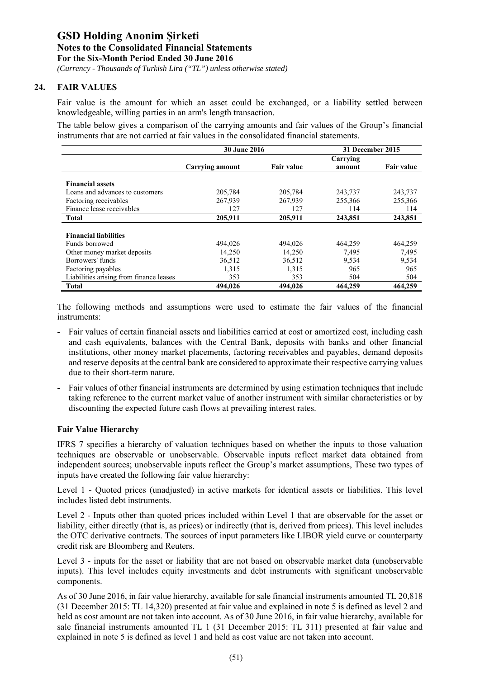*(Currency - Thousands of Turkish Lira ("TL") unless otherwise stated)*

# **24. FAIR VALUES**

Fair value is the amount for which an asset could be exchanged, or a liability settled between knowledgeable, willing parties in an arm's length transaction.

The table below gives a comparison of the carrying amounts and fair values of the Group's financial instruments that are not carried at fair values in the consolidated financial statements.

|                                         | <b>30 June 2016</b>    |                   | 31 December 2015 |                   |
|-----------------------------------------|------------------------|-------------------|------------------|-------------------|
|                                         |                        |                   | Carrying         |                   |
|                                         | <b>Carrying amount</b> | <b>Fair value</b> | amount           | <b>Fair value</b> |
|                                         |                        |                   |                  |                   |
| <b>Financial assets</b>                 |                        |                   |                  |                   |
| Loans and advances to customers         | 205,784                | 205,784           | 243,737          | 243,737           |
| Factoring receivables                   | 267,939                | 267,939           | 255,366          | 255,366           |
| Finance lease receivables               | 127                    | 127               | 114              | 114               |
| Total                                   | 205,911                | 205,911           | 243,851          | 243,851           |
|                                         |                        |                   |                  |                   |
| <b>Financial liabilities</b>            |                        |                   |                  |                   |
| Funds borrowed                          | 494,026                | 494.026           | 464,259          | 464,259           |
| Other money market deposits             | 14,250                 | 14,250            | 7,495            | 7,495             |
| Borrowers' funds                        | 36,512                 | 36,512            | 9,534            | 9,534             |
| Factoring payables                      | 1,315                  | 1,315             | 965              | 965               |
| Liabilities arising from finance leases | 353                    | 353               | 504              | 504               |
| Total                                   | 494,026                | 494,026           | 464,259          | 464,259           |

The following methods and assumptions were used to estimate the fair values of the financial instruments:

- Fair values of certain financial assets and liabilities carried at cost or amortized cost, including cash and cash equivalents, balances with the Central Bank, deposits with banks and other financial institutions, other money market placements, factoring receivables and payables, demand deposits and reserve deposits at the central bank are considered to approximate their respective carrying values due to their short-term nature.
- Fair values of other financial instruments are determined by using estimation techniques that include taking reference to the current market value of another instrument with similar characteristics or by discounting the expected future cash flows at prevailing interest rates.

### **Fair Value Hierarchy**

IFRS 7 specifies a hierarchy of valuation techniques based on whether the inputs to those valuation techniques are observable or unobservable. Observable inputs reflect market data obtained from independent sources; unobservable inputs reflect the Group's market assumptions, These two types of inputs have created the following fair value hierarchy:

Level 1 - Quoted prices (unadjusted) in active markets for identical assets or liabilities. This level includes listed debt instruments.

Level 2 - Inputs other than quoted prices included within Level 1 that are observable for the asset or liability, either directly (that is, as prices) or indirectly (that is, derived from prices). This level includes the OTC derivative contracts. The sources of input parameters like LIBOR yield curve or counterparty credit risk are Bloomberg and Reuters.

Level 3 - inputs for the asset or liability that are not based on observable market data (unobservable inputs). This level includes equity investments and debt instruments with significant unobservable components.

As of 30 June 2016, in fair value hierarchy, available for sale financial instruments amounted TL 20,818 (31 December 2015: TL 14,320) presented at fair value and explained in note 5 is defined as level 2 and held as cost amount are not taken into account. As of 30 June 2016, in fair value hierarchy, available for sale financial instruments amounted TL 1 (31 December 2015: TL 311) presented at fair value and explained in note 5 is defined as level 1 and held as cost value are not taken into account.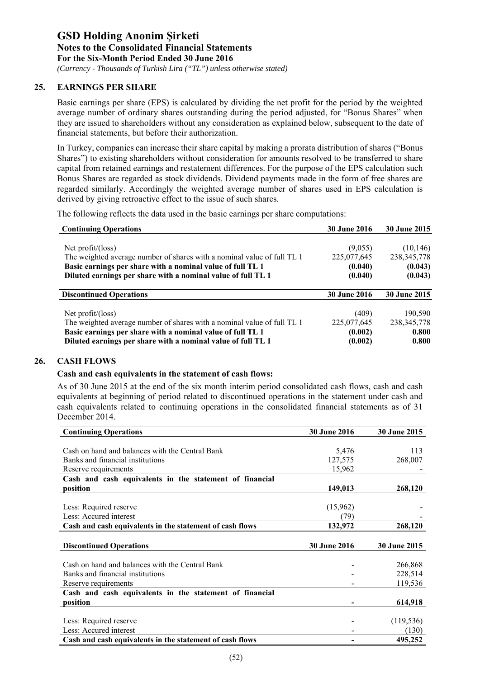*(Currency - Thousands of Turkish Lira ("TL") unless otherwise stated)*

# **25. EARNINGS PER SHARE**

Basic earnings per share (EPS) is calculated by dividing the net profit for the period by the weighted average number of ordinary shares outstanding during the period adjusted, for "Bonus Shares" when they are issued to shareholders without any consideration as explained below, subsequent to the date of financial statements, but before their authorization.

In Turkey, companies can increase their share capital by making a prorata distribution of shares ("Bonus Shares") to existing shareholders without consideration for amounts resolved to be transferred to share capital from retained earnings and restatement differences. For the purpose of the EPS calculation such Bonus Shares are regarded as stock dividends. Dividend payments made in the form of free shares are regarded similarly. Accordingly the weighted average number of shares used in EPS calculation is derived by giving retroactive effect to the issue of such shares.

The following reflects the data used in the basic earnings per share computations:

| <b>Continuing Operations</b>                                            | <b>30 June 2016</b> | 30 June 2015        |
|-------------------------------------------------------------------------|---------------------|---------------------|
|                                                                         |                     |                     |
| Net $profit/(\text{loss})$                                              | (9,055)             | (10, 146)           |
| The weighted average number of shares with a nominal value of full TL 1 | 225,077,645         | 238, 345, 778       |
| Basic earnings per share with a nominal value of full TL 1              | (0.040)             | (0.043)             |
| Diluted earnings per share with a nominal value of full TL 1            | (0.040)             | (0.043)             |
| <b>Discontinued Operations</b>                                          | <b>30 June 2016</b> | <b>30 June 2015</b> |
|                                                                         |                     |                     |
| Net $profit/(\text{loss})$                                              | (409)               | 190,590             |
| The weighted average number of shares with a nominal value of full TL 1 | 225,077,645         | 238, 345, 778       |
| Basic earnings per share with a nominal value of full TL 1              | (0.002)             | 0.800               |
| Diluted earnings per share with a nominal value of full TL 1            | (0.002)             | 0.800               |

# **26. CASH FLOWS**

### **Cash and cash equivalents in the statement of cash flows:**

As of 30 June 2015 at the end of the six month interim period consolidated cash flows, cash and cash equivalents at beginning of period related to discontinued operations in the statement under cash and cash equivalents related to continuing operations in the consolidated financial statements as of 31 December 2014.

| <b>Continuing Operations</b>                             | <b>30 June 2016</b> | <b>30 June 2015</b> |
|----------------------------------------------------------|---------------------|---------------------|
|                                                          |                     |                     |
| Cash on hand and balances with the Central Bank          | 5,476               | 113                 |
| Banks and financial institutions                         | 127,575             | 268,007             |
| Reserve requirements                                     | 15,962              |                     |
| Cash and cash equivalents in the statement of financial  |                     |                     |
| position                                                 | 149,013             | 268,120             |
|                                                          |                     |                     |
| Less: Required reserve                                   | (15,962)            |                     |
| Less: Accured interest                                   | (79)                |                     |
| Cash and cash equivalents in the statement of cash flows | 132,972             | 268,120             |
|                                                          |                     |                     |
| <b>Discontinued Operations</b>                           | 30 June 2016        | <b>30 June 2015</b> |
|                                                          |                     |                     |
| Cash on hand and balances with the Central Bank          |                     | 266,868             |
| Banks and financial institutions                         |                     | 228,514             |
| Reserve requirements                                     |                     | 119,536             |
| Cash and cash equivalents in the statement of financial  |                     |                     |
| position                                                 |                     | 614,918             |
|                                                          |                     |                     |
|                                                          |                     |                     |
| Less: Required reserve                                   |                     | (119, 536)          |
| Less: Accured interest                                   |                     | (130)               |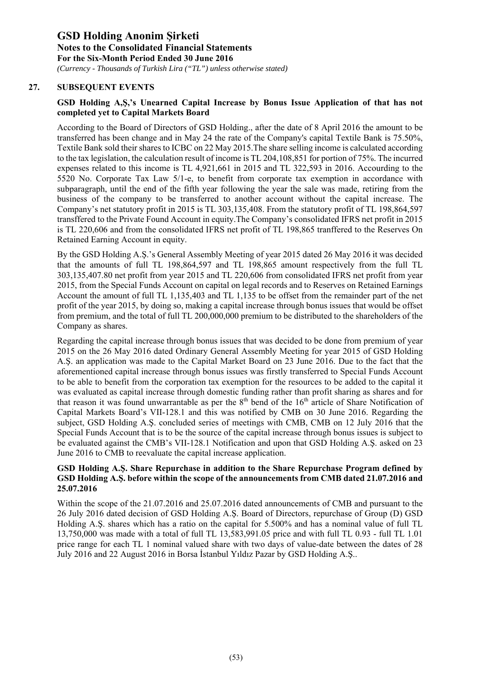*(Currency - Thousands of Turkish Lira ("TL") unless otherwise stated)*

# **27. SUBSEQUENT EVENTS**

# **GSD Holding A,Ş,'s Unearned Capital Increase by Bonus Issue Application of that has not completed yet to Capital Markets Board**

According to the Board of Directors of GSD Holding., after the date of 8 April 2016 the amount to be transferred has been change and in May 24 the rate of the Company's capital Textile Bank is 75.50%, Textile Bank sold their shares to ICBC on 22 May 2015.The share selling income is calculated according to the tax legislation, the calculation result of income is TL 204,108,851 for portion of 75%. The incurred expenses related to this income is TL 4,921,661 in 2015 and TL 322,593 in 2016. Accourding to the 5520 No. Corporate Tax Law 5/1-e, to benefit from corporate tax exemption in accordance with subparagraph, until the end of the fifth year following the year the sale was made, retiring from the business of the company to be transferred to another account without the capital increase. The Company's net statutory profit in 2015 is TL 303,135,408. From the statutory profit of TL 198,864,597 transffered to the Private Found Account in equity.The Company's consolidated IFRS net profit in 2015 is TL 220,606 and from the consolidated IFRS net profit of TL 198,865 tranffered to the Reserves On Retained Earning Account in equity.

By the GSD Holding A.Ş.'s General Assembly Meeting of year 2015 dated 26 May 2016 it was decided that the amounts of full TL 198,864,597 and TL 198,865 amount respectively from the full TL 303,135,407.80 net profit from year 2015 and TL 220,606 from consolidated IFRS net profit from year 2015, from the Special Funds Account on capital on legal records and to Reserves on Retained Earnings Account the amount of full TL 1,135,403 and TL 1,135 to be offset from the remainder part of the net profit of the year 2015, by doing so, making a capital increase through bonus issues that would be offset from premium, and the total of full TL 200,000,000 premium to be distributed to the shareholders of the Company as shares.

Regarding the capital increase through bonus issues that was decided to be done from premium of year 2015 on the 26 May 2016 dated Ordinary General Assembly Meeting for year 2015 of GSD Holding A.Ş. an application was made to the Capital Market Board on 23 June 2016. Due to the fact that the aforementioned capital increase through bonus issues was firstly transferred to Special Funds Account to be able to benefit from the corporation tax exemption for the resources to be added to the capital it was evaluated as capital increase through domestic funding rather than profit sharing as shares and for that reason it was found unwarrantable as per the  $8<sup>th</sup>$  bend of the 16<sup>th</sup> article of Share Notification of Capital Markets Board's VII-128.1 and this was notified by CMB on 30 June 2016. Regarding the subject, GSD Holding A.Ş. concluded series of meetings with CMB, CMB on 12 July 2016 that the Special Funds Account that is to be the source of the capital increase through bonus issues is subject to be evaluated against the CMB's VII-128.1 Notification and upon that GSD Holding A.Ş. asked on 23 June 2016 to CMB to reevaluate the capital increase application.

# **GSD Holding A.Ş. Share Repurchase in addition to the Share Repurchase Program defined by GSD Holding A.Ş. before within the scope of the announcements from CMB dated 21.07.2016 and 25.07.2016**

Within the scope of the 21.07.2016 and 25.07.2016 dated announcements of CMB and pursuant to the 26 July 2016 dated decision of GSD Holding A.Ş. Board of Directors, repurchase of Group (D) GSD Holding A.Ş. shares which has a ratio on the capital for 5.500% and has a nominal value of full TL 13,750,000 was made with a total of full TL 13,583,991.05 price and with full TL 0.93 - full TL 1.01 price range for each TL 1 nominal valued share with two days of value-date between the dates of 28 July 2016 and 22 August 2016 in Borsa İstanbul Yıldız Pazar by GSD Holding A.Ş..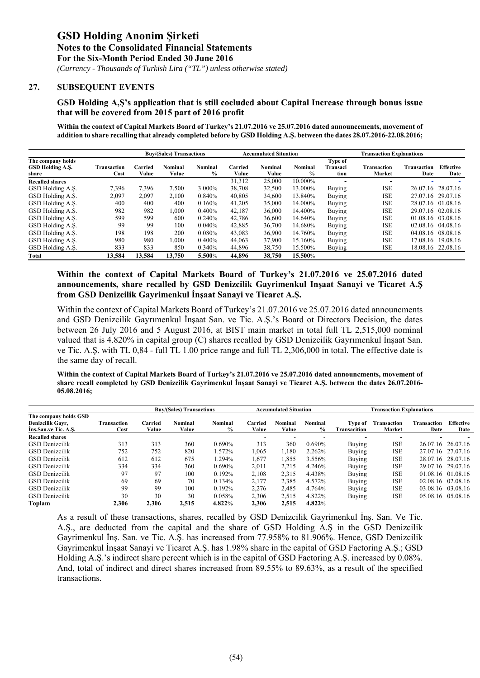*(Currency - Thousands of Turkish Lira ("TL") unless otherwise stated)*

#### **27. SUBSEQUENT EVENTS**

#### **GSD Holding A,Ş's application that is still cocluded about Capital Increase through bonus issue that will be covered from 2015 part of 2016 profit**

Within the context of Capital Markets Board of Turkey's 21.07.2016 ve 25.07.2016 dated announcements, movement of **addition to share recalling that already completed before by GSD Holding A.Ş. between the dates 28.07.2016-22.08.2016;** 

|                        |             |         | <b>Buy/(Sales) Transactions</b> |                |         | <b>Accumulated Situation</b> |               | <b>Transaction Explanations</b> |             |                    |                   |
|------------------------|-------------|---------|---------------------------------|----------------|---------|------------------------------|---------------|---------------------------------|-------------|--------------------|-------------------|
| The company holds      |             |         |                                 |                |         |                              |               | Type of                         |             |                    |                   |
| GSD Holding A.S.       | Transaction | Carried | Nominal                         | <b>Nominal</b> | Carried | Nominal                      | Nominal       | Transaci                        | Transaction | <b>Transaction</b> | <b>Effective</b>  |
| share                  | Cost        | Value   | Value                           | $\frac{6}{9}$  | Value   | Value                        | $\frac{0}{0}$ | tion                            | Market      | Date               | Date              |
| <b>Recalled shares</b> |             |         |                                 |                | 31,312  | 25,000                       | 10.000%       | ۰                               |             |                    |                   |
| GSD Holding A.S.       | 7.396       | 7.396   | 7.500                           | 3.000%         | 38.708  | 32,500                       | 13.000%       | Buying                          | <b>ISE</b>  | 26.07.16           | 28.07.16          |
| GSD Holding A.S.       | 2,097       | 2,097   | 2.100                           | 0.840%         | 40,805  | 34,600                       | 13.840%       | Buying                          | <b>ISE</b>  |                    | 27.07.16 29.07.16 |
| GSD Holding A.S.       | 400         | 400     | 400                             | 0.160%         | 41,205  | 35,000                       | 14.000%       | Buying                          | <b>ISE</b>  |                    | 28.07.16 01.08.16 |
| GSD Holding A.S.       | 982         | 982     | 000.                            | 0.400%         | 42.187  | 36,000                       | 14.400%       | Buying                          | <b>ISE</b>  |                    | 29.07.16 02.08.16 |
| GSD Holding A.S.       | 599         | 599     | 600                             | 0.240%         | 42,786  | 36,600                       | 14.640%       | Buying                          | <b>ISE</b>  |                    | 01.08.16 03.08.16 |
| GSD Holding A.S.       | 99          | 99      | 100                             | 0.040%         | 42,885  | 36,700                       | 14.680%       | Buying                          | <b>ISE</b>  |                    | 02.08.16 04.08.16 |
| GSD Holding A.S.       | 198         | 198     | 200                             | 0.080%         | 43.083  | 36,900                       | 14.760%       | Buying                          | <b>ISE</b>  | 04.08.16           | 08.08.16          |
| GSD Holding A.Ş.       | 980         | 980     | 000.1                           | 0.400%         | 44,063  | 37,900                       | 15.160%       | Buying                          | <b>ISE</b>  | 17.08.16           | 19.08.16          |
| GSD Holding A.S.       | 833         | 833     | 850                             | 0.340%         | 44,896  | 38,750                       | 15.500%       | Buying                          | <b>ISE</b>  |                    | 18.08.16 22.08.16 |
| Total                  | 13.584      | 13.584  | 13,750                          | 5.500%         | 44.896  | 38,750                       | 15.500%       |                                 |             |                    |                   |

### **Within the context of Capital Markets Board of Turkey's 21.07.2016 ve 25.07.2016 dated announcements, share recalled by GSD Denizcilik Gayrimenkul Inşaat Sanayi ve Ticaret A.Ş from GSD Denizcilik Gayrimenkul İnşaat Sanayi ve Ticaret A.Ş.**

Within the context of Capital Markets Board of Turkey's 21.07.2016 ve 25.07.2016 dated announcments and GSD Denizcilik Gayrımenkul İnşaat San. ve Tic. A.Ş.'s Board ot Directors Decision, the dates between 26 July 2016 and 5 August 2016, at BIST main market in total full TL 2,515,000 nominal valued that is 4.820% in capital group (C) shares recalled by GSD Denizcilik Gayrımenkul İnşaat San. ve Tic. A.Ş. with TL 0,84 - full TL 1.00 price range and full TL 2,306,000 in total. The effective date is the same day of recall.

**Within the context of Capital Markets Board of Turkey's 21.07.2016 ve 25.07.2016 dated announcments, movement of share recall completed by GSD Denizcilik Gayrimenkul İnşaat Sanayi ve Ticaret A.Ş. between the dates 26.07.2016- 05.08.2016;** 

|                                                                   |                            |                  | <b>Buy/(Sales) Transactions</b> |                 | <b>Accumulated Situation</b> |                         |                                 | <b>Transaction Explanations</b> |                       |                     |                          |
|-------------------------------------------------------------------|----------------------------|------------------|---------------------------------|-----------------|------------------------------|-------------------------|---------------------------------|---------------------------------|-----------------------|---------------------|--------------------------|
| The company holds GSD<br>Denizcilik Gavr,<br>Ins.San.ve Tic. A.S. | <b>Transaction</b><br>Cost | Carried<br>Value | <b>Nominal</b><br>Value         | Nominal<br>$\%$ | Carried<br>Value             | <b>Nominal</b><br>Value | <b>Nominal</b><br>$\frac{9}{6}$ | Type of<br><b>Transacition</b>  | Transaction<br>Market | Transaction<br>Date | <b>Effective</b><br>Date |
| <b>Recalled shares</b>                                            |                            |                  |                                 |                 |                              |                         |                                 |                                 |                       |                     |                          |
| <b>GSD</b> Denizcilik                                             | 313                        | 313              | 360                             | 0.690%          | 313                          | 360                     | 0.690%                          | Buying                          | <b>ISE</b>            |                     | 26.07.16 26.07.16        |
| <b>GSD</b> Denizcilik                                             | 752                        | 752              | 820                             | .572%           | 1.065                        | 1.180                   | 2.262%                          | Buying                          | <b>ISE</b>            |                     | 27.07.16 27.07.16        |
| <b>GSD</b> Denizcilik                                             | 612                        | 612              | 675                             | .294%           | 1.677                        | 1.855                   | 3.556%                          | <b>Buying</b>                   | <b>ISE</b>            |                     | 28.07.16 28.07.16        |
| <b>GSD</b> Denizcilik                                             | 334                        | 334              | 360                             | 0.690%          | 2,011                        | 2,215                   | 4.246%                          | Buying                          | <b>ISE</b>            |                     | 29.07.16 29.07.16        |
| <b>GSD</b> Denizcilik                                             | 97                         | 97               | 100                             | 0.192%          | 2.108                        | 2.315                   | 4.438%                          | <b>Buying</b>                   | <b>ISE</b>            |                     | 01.08.16 01.08.16        |
| <b>GSD</b> Denizcilik                                             | 69                         | 69               | 70                              | 0.134%          | 2.177                        | 2,385                   | 4.572%                          | Buying                          | <b>ISE</b>            |                     | 02.08.16 02.08.16        |
| <b>GSD</b> Denizcilik                                             | 99                         | 99               | 100                             | 0.192%          | 2.276                        | 2.485                   | 4.764%                          | Buying                          | <b>ISE</b>            | 03.08.16            | 03.08.16                 |
| <b>GSD</b> Denizcilik                                             | 30                         | 30               | 30                              | 0.058%          | 2.306                        | 2,515                   | 4.822%                          | Buying                          | <b>ISE</b>            |                     | 05.08.16 05.08.16        |
| Toplam                                                            | 2.306                      | 2.306            | 2,515                           | 4.822%          | 2.306                        | 2,515                   | 4.822%                          |                                 |                       |                     |                          |

As a result of these transactions, shares, recalled by GSD Denizcilik Gayrimenkul İnş. San. Ve Tic. A.Ş., are deducted from the capital and the share of GSD Holding A.Ş in the GSD Denizcilik Gayrimenkul İnş. San. ve Tic. A.Ş. has increased from 77.958% to 81.906%. Hence, GSD Denizcilik Gayrimenkul İnşaat Sanayi ve Ticaret A.Ş. has 1.98% share in the capital of GSD Factoring A.Ş.; GSD Holding A.Ş.'s indirect share percent which is in the capital of GSD Factoring A.Ş. increased by 0.08%. And, total of indirect and direct shares increased from 89.55% to 89.63%, as a result of the specified transactions.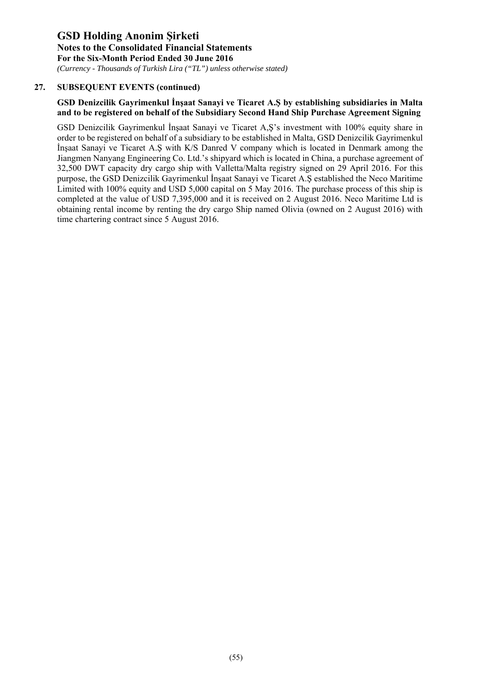*(Currency - Thousands of Turkish Lira ("TL") unless otherwise stated)*

# **27. SUBSEQUENT EVENTS (continued)**

# **GSD Denizcilik Gayrimenkul İnşaat Sanayi ve Ticaret A.Ş by establishing subsidiaries in Malta and to be registered on behalf of the Subsidiary Second Hand Ship Purchase Agreement Signing**

GSD Denizcilik Gayrimenkul İnşaat Sanayi ve Ticaret A,Ş's investment with 100% equity share in order to be registered on behalf of a subsidiary to be established in Malta, GSD Denizcilik Gayrimenkul İnşaat Sanayi ve Ticaret A.Ş with K/S Danred V company which is located in Denmark among the Jiangmen Nanyang Engineering Co. Ltd.'s shipyard which is located in China, a purchase agreement of 32,500 DWT capacity dry cargo ship with Valletta/Malta registry signed on 29 April 2016. For this purpose, the GSD Denizcilik Gayrimenkul İnşaat Sanayi ve Ticaret A.Ş established the Neco Maritime Limited with 100% equity and USD 5,000 capital on 5 May 2016. The purchase process of this ship is completed at the value of USD 7,395,000 and it is received on 2 August 2016. Neco Maritime Ltd is obtaining rental income by renting the dry cargo Ship named Olivia (owned on 2 August 2016) with time chartering contract since 5 August 2016.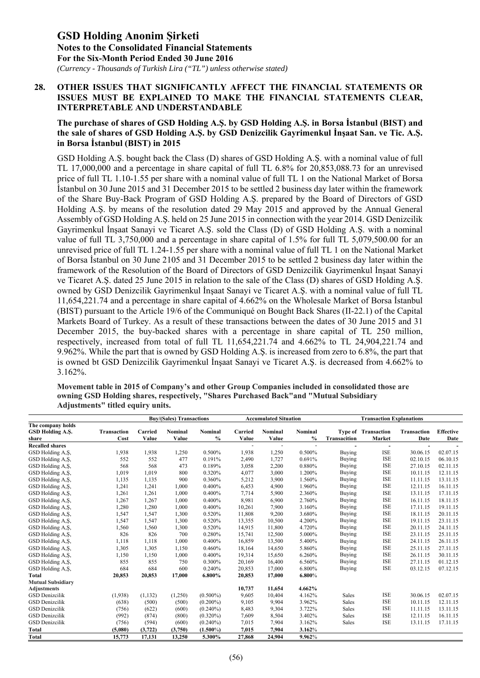*(Currency - Thousands of Turkish Lira ("TL") unless otherwise stated)*

### **28. OTHER ISSUES THAT SIGNIFICANTLY AFFECT THE FINANCIAL STATEMENTS OR ISSUES MUST BE EXPLAINED TO MAKE THE FINANCIAL STATEMENTS CLEAR, INTERPRETABLE AND UNDERSTANDABLE**

# **The purchase of shares of GSD Holding A.Ş. by GSD Holding A.Ş. in Borsa İstanbul (BIST) and the sale of shares of GSD Holding A.Ş. by GSD Denizcilik Gayrimenkul İnşaat San. ve Tic. A.Ş. in Borsa İstanbul (BIST) in 2015**

GSD Holding A.Ş. bought back the Class (D) shares of GSD Holding A.Ş. with a nominal value of full TL 17,000,000 and a percentage in share capital of full TL 6.8% for 20,853,088.73 for an unrevised price of full TL 1.10-1.55 per share with a nominal value of full TL 1 on the National Market of Borsa İstanbul on 30 June 2015 and 31 December 2015 to be settled 2 business day later within the framework of the Share Buy-Back Program of GSD Holding A.Ş. prepared by the Board of Directors of GSD Holding A.Ş. by means of the resolution dated 29 May 2015 and approved by the Annual General Assembly of GSD Holding A.Ş. held on 25 June 2015 in connection with the year 2014. GSD Denizcilik Gayrimenkul İnşaat Sanayi ve Ticaret A.Ş. sold the Class (D) of GSD Holding A.Ş. with a nominal value of full TL 3,750,000 and a percentage in share capital of 1.5% for full TL 5,079,500.00 for an unrevised price of full TL 1.24-1.55 per share with a nominal value of full TL 1 on the National Market of Borsa İstanbul on 30 June 2105 and 31 December 2015 to be settled 2 business day later within the framework of the Resolution of the Board of Directors of GSD Denizcilik Gayrimenkul İnşaat Sanayi ve Ticaret A.Ş. dated 25 June 2015 in relation to the sale of the Class (D) shares of GSD Holding A.Ş. owned by GSD Denizcilik Gayrimenkul İnşaat Sanayi ve Ticaret A.Ş. with a nominal value of full TL 11,654,221.74 and a percentage in share capital of 4.662% on the Wholesale Market of Borsa İstanbul (BIST) pursuant to the Article 19/6 of the Communiqué on Bought Back Shares (II-22.1) of the Capital Markets Board of Turkey. As a result of these transactions between the dates of 30 June 2015 and 31 December 2015, the buy-backed shares with a percentage in share capital of TL 250 million, respectively, increased from total of full TL 11,654,221.74 and 4.662% to TL 24,904,221.74 and 9.962%. While the part that is owned by GSD Holding A.Ş. is increased from zero to 6.8%, the part that is owned bt GSD Denizcilik Gayrimenkul İnşaat Sanayi ve Ticaret A.Ş. is decreased from 4.662% to 3.162%.

**Movement table in 2015 of Company's and other Group Companies included in consolidated those are owning GSD Holding shares, respectively, "Shares Purchased Back"and "Mutual Subsidiary Adjustments" titled equiry units.** 

|                          |                    |          | <b>Buy/(Sales) Transactions</b> |             |         | <b>Accumulated Situation</b> |               |               | <b>Transaction Explanations</b> |                |                  |  |
|--------------------------|--------------------|----------|---------------------------------|-------------|---------|------------------------------|---------------|---------------|---------------------------------|----------------|------------------|--|
| The company holds        |                    |          |                                 |             |         |                              |               |               |                                 |                |                  |  |
| GSD Holding A.S.         | <b>Transaction</b> | Carried  | Nominal                         | Nominal     | Carried | Nominal                      | Nominal       |               | <b>Type of Transaction</b>      | Transaction    | <b>Effective</b> |  |
| share                    | Cost               | Value    | Value                           | $\%$        | Value   | Value                        | $\frac{0}{0}$ | Transacition  | Market                          | Date           | Date             |  |
| <b>Recalled shares</b>   |                    |          |                                 |             | ÷       | $\mathbf{r}$                 |               |               | $\blacksquare$                  | $\blacksquare$ |                  |  |
| GSD Holding A, S,        | 1,938              | 1,938    | 1,250                           | 0.500%      | 1,938   | 1,250                        | 0.500%        | Buying        | <b>ISE</b>                      | 30.06.15       | 02.07.15         |  |
| GSD Holding A, S,        | 552                | 552      | 477                             | 0.191%      | 2,490   | 1,727                        | 0.691%        | Buying        | <b>ISE</b>                      | 02.10.15       | 06.10.15         |  |
| GSD Holding A, S,        | 568                | 568      | 473                             | 0.189%      | 3,058   | 2,200                        | 0.880%        | Buying        | <b>ISE</b>                      | 27.10.15       | 02.11.15         |  |
| GSD Holding A, S,        | 1,019              | 1,019    | 800                             | 0.320%      | 4,077   | 3,000                        | 1.200%        | <b>Buying</b> | <b>ISE</b>                      | 10.11.15       | 12.11.15         |  |
| GSD Holding A, S,        | 1,135              | 1,135    | 900                             | 0.360%      | 5,212   | 3.900                        | 1.560%        | Buying        | <b>ISE</b>                      | 11.11.15       | 13.11.15         |  |
| GSD Holding A, S,        | 1,241              | 1,241    | 1,000                           | 0.400%      | 6,453   | 4,900                        | 1.960%        | Buying        | <b>ISE</b>                      | 12.11.15       | 16.11.15         |  |
| GSD Holding A, S,        | 1,261              | 1,261    | 1,000                           | 0.400%      | 7.714   | 5,900                        | 2.360%        | <b>Buying</b> | <b>ISE</b>                      | 13.11.15       | 17.11.15         |  |
| GSD Holding A, S,        | 1,267              | 1,267    | 1,000                           | 0.400%      | 8,981   | 6,900                        | 2.760%        | Buying        | <b>ISE</b>                      | 16.11.15       | 18.11.15         |  |
| GSD Holding A, S,        | 1,280              | 1,280    | 1,000                           | 0.400%      | 10,261  | 7,900                        | 3.160%        | Buying        | <b>ISE</b>                      | 17.11.15       | 19.11.15         |  |
| GSD Holding A, S,        | 1,547              | 1,547    | 1,300                           | 0.520%      | 11,808  | 9,200                        | 3.680%        | Buying        | <b>ISE</b>                      | 18.11.15       | 20.11.15         |  |
| GSD Holding A, S,        | 1,547              | 1,547    | 1,300                           | 0.520%      | 13,355  | 10,500                       | 4.200%        | <b>Buying</b> | <b>ISE</b>                      | 19.11.15       | 23.11.15         |  |
| GSD Holding A, S,        | 1,560              | 1,560    | 1,300                           | 0.520%      | 14,915  | 11,800                       | 4.720%        | Buying        | <b>ISE</b>                      | 20.11.15       | 24.11.15         |  |
| GSD Holding A, S,        | 826                | 826      | 700                             | 0.280%      | 15,741  | 12,500                       | 5.000%        | Buying        | <b>ISE</b>                      | 23.11.15       | 25.11.15         |  |
| GSD Holding A.S.         | 1,118              | 1,118    | 1,000                           | 0.400%      | 16,859  | 13,500                       | 5.400%        | Buying        | <b>ISE</b>                      | 24.11.15       | 26.11.15         |  |
| GSD Holding A, S,        | 1,305              | 1,305    | 1,150                           | 0.460%      | 18,164  | 14,650                       | 5.860%        | Buying        | <b>ISE</b>                      | 25.11.15       | 27.11.15         |  |
| GSD Holding A, S,        | 1,150              | 1,150    | 1,000                           | 0.400%      | 19,314  | 15,650                       | 6.260%        | Buying        | <b>ISE</b>                      | 26.11.15       | 30.11.15         |  |
| GSD Holding A, S,        | 855                | 855      | 750                             | 0.300%      | 20,169  | 16.400                       | 6.560%        | Buying        | <b>ISE</b>                      | 27.11.15       | 01.12.15         |  |
| GSD Holding A, S,        | 684                | 684      | 600                             | 0.240%      | 20,853  | 17,000                       | 6.800%        | Buying        | <b>ISE</b>                      | 03.12.15       | 07.12.15         |  |
| Total                    | 20,853             | 20,853   | 17,000                          | $6.800\%$   | 20,853  | 17,000                       | $6.800\%$     |               |                                 |                |                  |  |
| <b>Mutual Subsidiary</b> |                    |          |                                 |             |         |                              |               |               |                                 |                |                  |  |
| <b>Adjustments</b>       |                    |          |                                 |             | 10,737  | 11,654                       | 4.662%        |               |                                 |                |                  |  |
| <b>GSD</b> Denizcilik    | (1,938)            | (1,132)  | (1,250)                         | $(0.500\%)$ | 9,605   | 10,404                       | 4.162%        | Sales         | <b>ISE</b>                      | 30.06.15       | 02.07.15         |  |
| <b>GSD</b> Denizcilik    | (638)              | (500)    | (500)                           | $(0.200\%)$ | 9,105   | 9,904                        | 3.962%        | Sales         | <b>ISE</b>                      | 10.11.15       | 12.11.15         |  |
| <b>GSD</b> Denizcilik    | (756)              | (622)    | (600)                           | $(0.240\%)$ | 8,483   | 9,304                        | 3.722%        | Sales         | <b>ISE</b>                      | 11.11.15       | 13.11.15         |  |
| <b>GSD</b> Denizcilik    | (992)              | (874)    | (800)                           | $(0.320\%)$ | 7,609   | 8,504                        | 3.402%        | Sales         | <b>ISE</b>                      | 12.11.15       | 16.11.15         |  |
| <b>GSD</b> Denizcilik    | (756)              | (594)    | (600)                           | $(0.240\%)$ | 7,015   | 7,904                        | 3.162%        | Sales         | <b>ISE</b>                      | 13.11.15       | 17.11.15         |  |
| Total                    | (5,080)            | (3, 722) | (3,750)                         | $(1.500\%)$ | 7,015   | 7,904                        | 3.162%        |               |                                 |                |                  |  |
| Total                    | 15,773             | 17,131   | 13,250                          | 5.300%      | 27,868  | 24.904                       | 9.962%        |               |                                 |                |                  |  |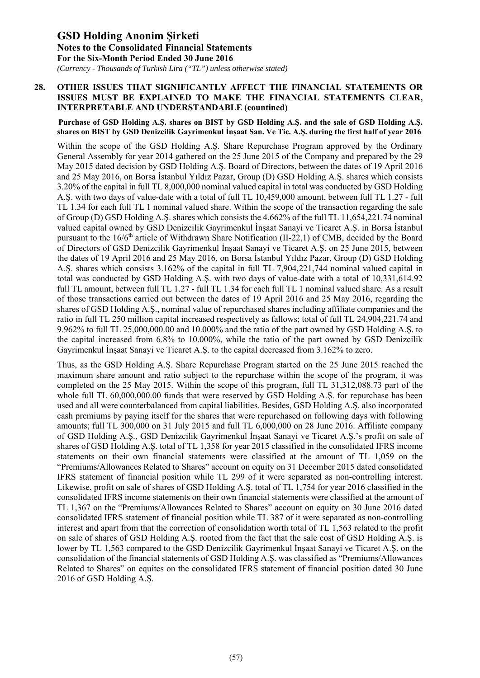*(Currency - Thousands of Turkish Lira ("TL") unless otherwise stated)*

### **28. OTHER ISSUES THAT SIGNIFICANTLY AFFECT THE FINANCIAL STATEMENTS OR ISSUES MUST BE EXPLAINED TO MAKE THE FINANCIAL STATEMENTS CLEAR, INTERPRETABLE AND UNDERSTANDABLE (countined)**

#### **Purchase of GSD Holding A.Ş. shares on BIST by GSD Holding A.Ş. and the sale of GSD Holding A.Ş. shares on BIST by GSD Denizcilik Gayrimenkul İnşaat San. Ve Tic. A.Ş. during the first half of year 2016**

Within the scope of the GSD Holding A.S. Share Repurchase Program approved by the Ordinary General Assembly for year 2014 gathered on the 25 June 2015 of the Company and prepared by the 29 May 2015 dated decision by GSD Holding A.Ş. Board of Directors, between the dates of 19 April 2016 and 25 May 2016, on Borsa İstanbul Yıldız Pazar, Group (D) GSD Holding A.Ş. shares which consists 3.20% of the capital in full TL 8,000,000 nominal valued capital in total was conducted by GSD Holding A.Ş. with two days of value-date with a total of full TL 10,459,000 amount, between full TL 1.27 - full TL 1.34 for each full TL 1 nominal valued share. Within the scope of the transaction regarding the sale of Group (D) GSD Holding A.Ş. shares which consists the 4.662% of the full TL 11,654,221.74 nominal valued capital owned by GSD Denizcilik Gayrimenkul İnşaat Sanayi ve Ticaret A.Ş. in Borsa İstanbul pursuant to the  $16/6<sup>th</sup>$  article of Withdrawn Share Notification (II-22,1) of CMB, decided by the Board of Directors of GSD Denizcilik Gayrimenkul İnşaat Sanayi ve Ticaret A.Ş. on 25 June 2015, between the dates of 19 April 2016 and 25 May 2016, on Borsa İstanbul Yıldız Pazar, Group (D) GSD Holding A.Ş. shares which consists 3.162% of the capital in full TL 7,904,221,744 nominal valued capital in total was conducted by GSD Holding A.Ş. with two days of value-date with a total of 10,331,614.92 full TL amount, between full TL 1.27 - full TL 1.34 for each full TL 1 nominal valued share. As a result of those transactions carried out between the dates of 19 April 2016 and 25 May 2016, regarding the shares of GSD Holding A.Ş., nominal value of repurchased shares including affiliate companies and the ratio in full TL 250 million capital increased respectively as fallows; total of full TL 24,904,221.74 and 9.962% to full TL 25,000,000.00 and 10.000% and the ratio of the part owned by GSD Holding A.Ş. to the capital increased from 6.8% to 10.000%, while the ratio of the part owned by GSD Denizcilik Gayrimenkul İnşaat Sanayi ve Ticaret A.Ş. to the capital decreased from 3.162% to zero.

Thus, as the GSD Holding A.Ş. Share Repurchase Program started on the 25 June 2015 reached the maximum share amount and ratio subject to the repurchase within the scope of the program, it was completed on the 25 May 2015. Within the scope of this program, full TL 31,312,088.73 part of the whole full TL 60,000,000.00 funds that were reserved by GSD Holding A.S. for repurchase has been used and all were counterbalanced from capital liabilities. Besides, GSD Holding A.Ş. also incorporated cash premiums by paying itself for the shares that were repurchased on following days with following amounts; full TL 300,000 on 31 July 2015 and full TL 6,000,000 on 28 June 2016. Affiliate company of GSD Holding A.Ş., GSD Denizcilik Gayrimenkul İnşaat Sanayi ve Ticaret A.Ş.'s profit on sale of shares of GSD Holding A.Ş. total of TL 1,358 for year 2015 classified in the consolidated IFRS income statements on their own financial statements were classified at the amount of TL 1,059 on the "Premiums/Allowances Related to Shares" account on equity on 31 December 2015 dated consolidated IFRS statement of financial position while TL 299 of it were separated as non-controlling interest. Likewise, profit on sale of shares of GSD Holding A.Ş. total of TL 1,754 for year 2016 classified in the consolidated IFRS income statements on their own financial statements were classified at the amount of TL 1,367 on the "Premiums/Allowances Related to Shares" account on equity on 30 June 2016 dated consolidated IFRS statement of financial position while TL 387 of it were separated as non-controlling interest and apart from that the correction of consolidation worth total of TL 1,563 related to the profit on sale of shares of GSD Holding A.Ş. rooted from the fact that the sale cost of GSD Holding A.Ş. is lower by TL 1,563 compared to the GSD Denizcilik Gayrimenkul İnşaat Sanayi ve Ticaret A.Ş. on the consolidation of the financial statements of GSD Holding A.Ş. was classified as "Premiums/Allowances Related to Shares" on equites on the consolidated IFRS statement of financial position dated 30 June 2016 of GSD Holding A.Ş.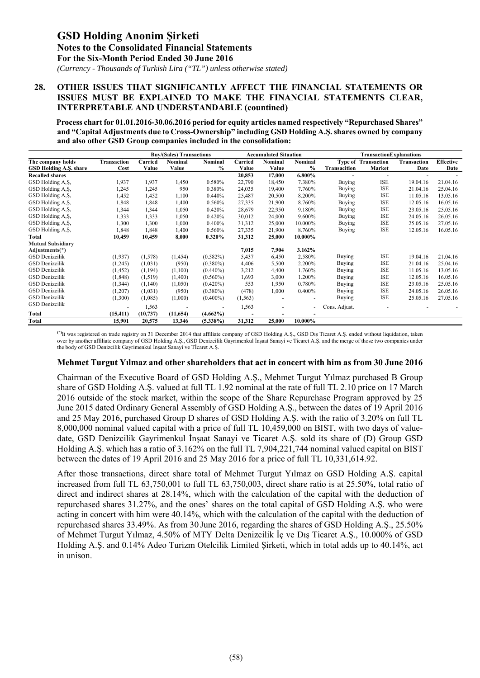*(Currency - Thousands of Turkish Lira ("TL") unless otherwise stated)*

#### **28. OTHER ISSUES THAT SIGNIFICANTLY AFFECT THE FINANCIAL STATEMENTS OR ISSUES MUST BE EXPLAINED TO MAKE THE FINANCIAL STATEMENTS CLEAR, INTERPRETABLE AND UNDERSTANDABLE (countined)**

 **Process chart for 01.01.2016-30.06.2016 period for equity articles named respectively "Repurchased Shares" and "Capital Adjustments due to Cross-Ownership" including GSD Holding A.Ş. shares owned by company and also other GSD Group companies included in the consolidation:**

|                          |                          |           | <b>Buy/(Sales) Transactions</b> |                          |          | <b>Accumulated Situation</b> |                | <b>TransactionExplanations</b> |                            |             |                  |
|--------------------------|--------------------------|-----------|---------------------------------|--------------------------|----------|------------------------------|----------------|--------------------------------|----------------------------|-------------|------------------|
| The company holds        | <b>Transaction</b>       | Carried   | Nominal                         | Nominal                  | Carried  | Nominal                      | <b>Nominal</b> |                                | <b>Type of Transaction</b> | Transaction | <b>Effective</b> |
| GSD Holding A.S. share   | Cost                     | Value     | Value                           | $\frac{0}{0}$            | Value    | Value                        | $\frac{0}{0}$  | Transacition                   | Market                     | Date        | Date             |
| <b>Recalled shares</b>   |                          |           |                                 |                          | 20,853   | 17,000                       | 6.800%         |                                |                            |             |                  |
| GSD Holding A, S,        | 1,937                    | 1,937     | 1,450                           | 0.580%                   | 22,790   | 18,450                       | 7.380%         | <b>Buying</b>                  | <b>ISE</b>                 | 19.04.16    | 21.04.16         |
| GSD Holding A, S,        | 1,245                    | 1,245     | 950                             | 0.380%                   | 24,035   | 19,400                       | 7.760%         | Buying                         | <b>ISE</b>                 | 21.04.16    | 25.04.16         |
| GSD Holding A, S,        | 1,452                    | 1,452     | 1,100                           | 0.440%                   | 25.487   | 20,500                       | 8.200%         | Buying                         | <b>ISE</b>                 | 11.05.16    | 13.05.16         |
| GSD Holding A, S,        | 1,848                    | 1,848     | 1,400                           | 0.560%                   | 27,335   | 21,900                       | 8.760%         | Buying                         | <b>ISE</b>                 | 12.05.16    | 16.05.16         |
| GSD Holding A.S.         | 1,344                    | 1,344     | 1,050                           | 0.420%                   | 28,679   | 22,950                       | 9.180%         | <b>Buying</b>                  | <b>ISE</b>                 | 23.05.16    | 25.05.16         |
| GSD Holding A, S,        | 1,333                    | 1,333     | 1,050                           | 0.420%                   | 30,012   | 24,000                       | 9.600%         | Buying                         | <b>ISE</b>                 | 24.05.16    | 26.05.16         |
| GSD Holding A, S,        | 1,300                    | 1,300     | 1,000                           | 0.400%                   | 31,312   | 25,000                       | 10.000%        | Buying                         | <b>ISE</b>                 | 25.05.16    | 27.05.16         |
| GSD Holding A, S,        | 1,848                    | 1,848     | 1,400                           | 0.560%                   | 27,335   | 21,900                       | 8.760%         | Buying                         | <b>ISE</b>                 | 12.05.16    | 16.05.16         |
| Total                    | 10,459                   | 10,459    | 8,000                           | 0.320%                   | 31,312   | 25,000                       | 10.000%        |                                |                            |             |                  |
| <b>Mutual Subsidiary</b> |                          |           |                                 |                          |          |                              |                |                                |                            |             |                  |
| Adjustments(*)           |                          |           |                                 |                          | 7,015    | 7,904                        | 3.162%         |                                |                            |             |                  |
| GSD Denizcilik           | (1,937)                  | (1,578)   | (1, 454)                        | $(0.582\%)$              | 5,437    | 6,450                        | 2.580%         | Buying                         | <b>ISE</b>                 | 19.04.16    | 21.04.16         |
| <b>GSD</b> Denizcilik    | (1,245)                  | (1,031)   | (950)                           | $(0.380\%)$              | 4,406    | 5,500                        | 2.200%         | Buying                         | <b>ISE</b>                 | 21.04.16    | 25.04.16         |
| GSD Denizcilik           | (1, 452)                 | (1, 194)  | (1,100)                         | $(0.440\%)$              | 3,212    | 4,400                        | 1.760%         | Buying                         | <b>ISE</b>                 | 11.05.16    | 13.05.16         |
| <b>GSD</b> Denizcilik    | (1, 848)                 | (1,519)   | (1,400)                         | $(0.560\%)$              | 1,693    | 3,000                        | 1.200%         | Buying                         | <b>ISE</b>                 | 12.05.16    | 16.05.16         |
| GSD Denizcilik           | (1, 344)                 | (1,140)   | (1,050)                         | $(0.420\%)$              | 553      | 1,950                        | 0.780%         | Buying                         | <b>ISE</b>                 | 23.05.16    | 25.05.16         |
| <b>GSD</b> Denizcilik    | (1,207)                  | (1,031)   | (950)                           | $(0.380\%)$              | (478)    | 1,000                        | 0.400%         | Buying                         | <b>ISE</b>                 | 24.05.16    | 26.05.16         |
| <b>GSD</b> Denizcilik    | (1,300)                  | (1,085)   | (1,000)                         | $(0.400\%)$              | (1, 563) |                              |                | Buying                         | <b>ISE</b>                 | 25.05.16    | 27.05.16         |
| <b>GSD</b> Denizcilik    | $\overline{\phantom{a}}$ | 1,563     | $\overline{\phantom{a}}$        | $\overline{\phantom{a}}$ | 1,563    |                              | ä,             | Cons. Adjust.                  |                            |             |                  |
| Total                    | (15, 411)                | (10, 737) | (11,654)                        | $(4.662\%)$              |          |                              |                |                                |                            |             |                  |
| Total                    | 15,901                   | 20,575    | 13,346                          | $(5.338\%)$              | 31,312   | 25,000                       | 10.000%        |                                |                            |             |                  |

**(\*)**It was registered on trade registry on 31 December 2014 that affiliate company of GSD Holding A.Ş., GSD Dış Ticaret A.Ş. ended without liquidation, taken over by another affiliate company of GSD Holding A.Ş., GSD Denizcilik Gayrimenkul İnşaat Sanayi ve Ticaret A.Ş. and the merge of those two companies under the body of GSD Denizcilik Gayrimenkul İnşaat Sanayi ve Tİcaret A.Ş.

#### **Mehmet Turgut Yılmaz and other shareholders that act in concert with him as from 30 June 2016**

Chairman of the Executive Board of GSD Holding A.Ş., Mehmet Turgut Yılmaz purchased B Group share of GSD Holding A.Ş. valued at full TL 1.92 nominal at the rate of full TL 2.10 price on 17 March 2016 outside of the stock market, within the scope of the Share Repurchase Program approved by 25 June 2015 dated Ordinary General Assembly of GSD Holding A.Ş., between the dates of 19 April 2016 and 25 May 2016, purchased Group D shares of GSD Holding A.Ş. with the ratio of 3.20% on full TL 8,000,000 nominal valued capital with a price of full TL 10,459,000 on BIST, with two days of valuedate, GSD Denizcilik Gayrimenkul İnşaat Sanayi ve Ticaret A.Ş. sold its share of (D) Group GSD Holding A.Ş. which has a ratio of 3.162% on the full TL 7,904,221,744 nominal valued capital on BIST between the dates of 19 April 2016 and 25 May 2016 for a price of full TL 10,331,614.92.

After those transactions, direct share total of Mehmet Turgut Yılmaz on GSD Holding A.Ş. capital increased from full TL 63,750,001 to full TL 63,750,003, direct share ratio is at 25.50%, total ratio of direct and indirect shares at 28.14%, which with the calculation of the capital with the deduction of repurchased shares 31.27%, and the ones' shares on the total capital of GSD Holding A.Ş. who were acting in concert with him were 40.14%, which with the calculation of the capital with the deduction of repurchased shares 33.49%. As from 30 June 2016, regarding the shares of GSD Holding A.Ş., 25.50% of Mehmet Turgut Yılmaz, 4.50% of MTY Delta Denizcilik İç ve Dış Ticaret A.Ş., 10.000% of GSD Holding A.Ş. and 0.14% Adeo Turizm Otelcilik Limited Şirketi, which in total adds up to 40.14%, act in unison.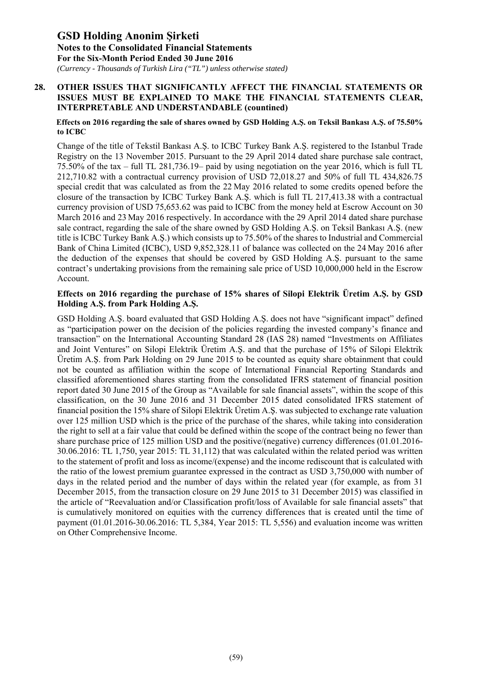*(Currency - Thousands of Turkish Lira ("TL") unless otherwise stated)*

### **28. OTHER ISSUES THAT SIGNIFICANTLY AFFECT THE FINANCIAL STATEMENTS OR ISSUES MUST BE EXPLAINED TO MAKE THE FINANCIAL STATEMENTS CLEAR, INTERPRETABLE AND UNDERSTANDABLE (countined)**

#### **Effects on 2016 regarding the sale of shares owned by GSD Holding A.Ş. on Teksil Bankası A.Ş. of 75.50% to ICBC**

Change of the title of Tekstil Bankası A.Ş. to ICBC Turkey Bank A.Ş. registered to the Istanbul Trade Registry on the 13 November 2015. Pursuant to the 29 April 2014 dated share purchase sale contract, 75.50% of the tax – full TL 281,736.19– paid by using negotiation on the year 2016, which is full TL 212,710.82 with a contractual currency provision of USD 72,018.27 and 50% of full TL 434,826.75 special credit that was calculated as from the 22 May 2016 related to some credits opened before the closure of the transaction by ICBC Turkey Bank A.Ş. which is full TL 217,413.38 with a contractual currency provision of USD 75,653.62 was paid to ICBC from the money held at Escrow Account on 30 March 2016 and 23 May 2016 respectively. In accordance with the 29 April 2014 dated share purchase sale contract, regarding the sale of the share owned by GSD Holding A.S. on Teksil Bankası A.S. (new title is ICBC Turkey Bank A.Ş.) which consists up to 75.50% of the shares to Industrial and Commercial Bank of China Limited (ICBC), USD 9,852,328.11 of balance was collected on the 24 May 2016 after the deduction of the expenses that should be covered by GSD Holding A.Ş. pursuant to the same contract's undertaking provisions from the remaining sale price of USD 10,000,000 held in the Escrow Account.

### **Effects on 2016 regarding the purchase of 15% shares of Silopi Elektrik Üretim A.Ş. by GSD Holding A.Ş. from Park Holding A.Ş.**

GSD Holding A.Ş. board evaluated that GSD Holding A.Ş. does not have "significant impact" defined as "participation power on the decision of the policies regarding the invested company's finance and transaction" on the International Accounting Standard 28 (IAS 28) named "Investments on Affiliates and Joint Ventures" on Silopi Elektrik Üretim A.Ş. and that the purchase of 15% of Silopi Elektrik Üretim A.Ş. from Park Holding on 29 June 2015 to be counted as equity share obtainment that could not be counted as affiliation within the scope of International Financial Reporting Standards and classified aforementioned shares starting from the consolidated IFRS statement of financial position report dated 30 June 2015 of the Group as "Available for sale financial assets", within the scope of this classification, on the 30 June 2016 and 31 December 2015 dated consolidated IFRS statement of financial position the 15% share of Silopi Elektrik Üretim A.Ş. was subjected to exchange rate valuation over 125 million USD which is the price of the purchase of the shares, while taking into consideration the right to sell at a fair value that could be defined within the scope of the contract being no fewer than share purchase price of 125 million USD and the positive/(negative) currency differences (01.01.2016- 30.06.2016: TL 1,750, year 2015: TL 31,112) that was calculated within the related period was written to the statement of profit and loss as income/(expense) and the income rediscount that is calculated with the ratio of the lowest premium guarantee expressed in the contract as USD 3,750,000 with number of days in the related period and the number of days within the related year (for example, as from 31 December 2015, from the transaction closure on 29 June 2015 to 31 December 2015) was classified in the article of "Reevaluation and/or Classification profit/loss of Available for sale financial assets" that is cumulatively monitored on equities with the currency differences that is created until the time of payment (01.01.2016-30.06.2016: TL 5,384, Year 2015: TL 5,556) and evaluation income was written on Other Comprehensive Income.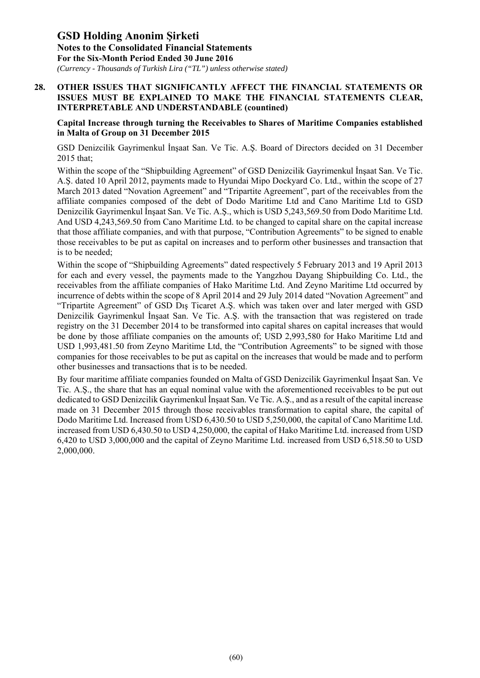*(Currency - Thousands of Turkish Lira ("TL") unless otherwise stated)*

### **28. OTHER ISSUES THAT SIGNIFICANTLY AFFECT THE FINANCIAL STATEMENTS OR ISSUES MUST BE EXPLAINED TO MAKE THE FINANCIAL STATEMENTS CLEAR, INTERPRETABLE AND UNDERSTANDABLE (countined)**

### **Capital Increase through turning the Receivables to Shares of Maritime Companies established in Malta of Group on 31 December 2015**

GSD Denizcilik Gayrimenkul İnşaat San. Ve Tic. A.Ş. Board of Directors decided on 31 December 2015 that;

Within the scope of the "Shipbuilding Agreement" of GSD Denizcilik Gayrimenkul İnşaat San. Ve Tic. A.Ş. dated 10 April 2012, payments made to Hyundai Mipo Dockyard Co. Ltd., within the scope of 27 March 2013 dated "Novation Agreement" and "Tripartite Agreement", part of the receivables from the affiliate companies composed of the debt of Dodo Maritime Ltd and Cano Maritime Ltd to GSD Denizcilik Gayrimenkul İnşaat San. Ve Tic. A.Ş., which is USD 5,243,569.50 from Dodo Maritime Ltd. And USD 4,243,569.50 from Cano Maritime Ltd. to be changed to capital share on the capital increase that those affiliate companies, and with that purpose, "Contribution Agreements" to be signed to enable those receivables to be put as capital on increases and to perform other businesses and transaction that is to be needed;

Within the scope of "Shipbuilding Agreements" dated respectively 5 February 2013 and 19 April 2013 for each and every vessel, the payments made to the Yangzhou Dayang Shipbuilding Co. Ltd., the receivables from the affiliate companies of Hako Maritime Ltd. And Zeyno Maritime Ltd occurred by incurrence of debts within the scope of 8 April 2014 and 29 July 2014 dated "Novation Agreement" and "Tripartite Agreement" of GSD Dış Ticaret A.Ş. which was taken over and later merged with GSD Denizcilik Gayrimenkul İnşaat San. Ve Tic. A.Ş. with the transaction that was registered on trade registry on the 31 December 2014 to be transformed into capital shares on capital increases that would be done by those affiliate companies on the amounts of; USD 2,993,580 for Hako Maritime Ltd and USD 1,993,481.50 from Zeyno Maritime Ltd, the "Contribution Agreements" to be signed with those companies for those receivables to be put as capital on the increases that would be made and to perform other businesses and transactions that is to be needed.

By four maritime affiliate companies founded on Malta of GSD Denizcilik Gayrimenkul İnşaat San. Ve Tic. A.Ş., the share that has an equal nominal value with the aforementioned receivables to be put out dedicated to GSD Denizcilik Gayrimenkul İnşaat San. Ve Tic. A.Ş., and as a result of the capital increase made on 31 December 2015 through those receivables transformation to capital share, the capital of Dodo Maritime Ltd. Increased from USD 6,430.50 to USD 5,250,000, the capital of Cano Maritime Ltd. increased from USD 6,430.50 to USD 4,250,000, the capital of Hako Maritime Ltd. increased from USD 6,420 to USD 3,000,000 and the capital of Zeyno Maritime Ltd. increased from USD 6,518.50 to USD 2,000,000.